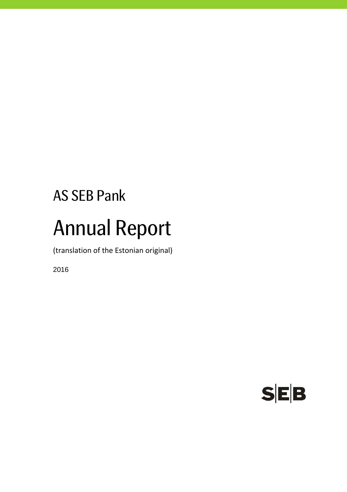# AS SEB Pank Annual Report

(translation of the Estonian original)

2016

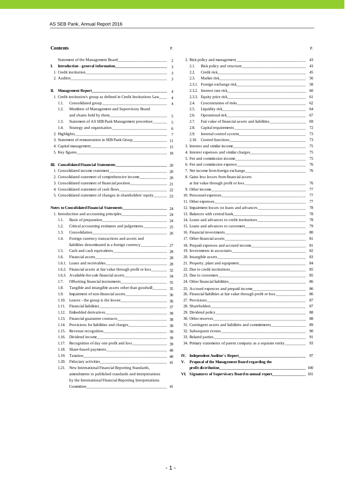|    |       |                                                                                   | $\overline{2}$           | 2. Risk policy and management_______            |
|----|-------|-----------------------------------------------------------------------------------|--------------------------|-------------------------------------------------|
| I. |       |                                                                                   | $\overline{3}$           | Risk policy and structure____<br>2.1.           |
|    |       |                                                                                   | 3                        | 2.2.                                            |
|    |       |                                                                                   | 3                        | 2.3.<br>Market risk___________________          |
|    |       |                                                                                   |                          | 2.3.1. Foreign exchange risk________            |
|    |       | <b>II.</b> Management Report________<br>_________                                 | $\overline{4}$           |                                                 |
|    |       | 1. Credit institution's group as defined in Credit Institutions Law____           | $\overline{4}$           | 2.3.3. Equity price risk_____________           |
|    | 1.1.  |                                                                                   | $\overline{4}$           | Concentration of risks_______<br>2.4.           |
|    | 1.2.  | Members of Management and Supervisory Board                                       |                          | 2.5.<br>Liquidity risk_______________           |
|    |       | and shares held by them______<br>_______                                          | 5                        | Operational risk<br>2.6.                        |
|    | 1.3.  | Statement of AS SEB Pank Management procedure                                     | $\overline{\phantom{0}}$ | 2.7.<br>Fair value of financial assets and      |
|    | 1.4.  |                                                                                   |                          | 2.8.<br>Capital requirements__________          |
|    |       |                                                                                   | $7\phantom{.0}$          | 2.9.<br>Internal control system______           |
|    |       | 3. Statement of remuneration in SEB Pank Group___________________________________ |                          | 2.10. Control functions__________               |
|    |       |                                                                                   |                          | 3. Interest and similar income_________         |
|    |       |                                                                                   |                          | 4. Interest expenses and similar charges_       |
|    |       |                                                                                   |                          | 5. Fee and commission income________            |
|    |       |                                                                                   |                          | 6. Fee and commission expense_______            |
|    |       |                                                                                   |                          | 7. Net income from foreign exchange____         |
|    |       | 2. Consolidated statement of comprehensive income                                 |                          | 8. Gains less losses from financial assets      |
|    |       |                                                                                   |                          | at fair value through profit or loss___         |
|    |       |                                                                                   |                          |                                                 |
|    |       |                                                                                   |                          |                                                 |
|    |       |                                                                                   |                          |                                                 |
|    |       |                                                                                   |                          | 12. Impairment losses on loans and advanc       |
|    |       |                                                                                   |                          | 13. Balances with central bank                  |
|    | 1.1.  | ----------------- 24                                                              |                          | 14. Loans and advances to credit institution    |
|    | 1.2.  |                                                                                   |                          | 15. Loans and advances to customers____         |
|    | 1.3.  | $\frac{1}{26}$                                                                    |                          |                                                 |
|    | 1.4.  | Foreign currency transactions and assets and                                      |                          | 17. Other financial assets_____________         |
|    |       |                                                                                   |                          | 18. Prepaid expenses and accrued income_        |
|    | 1.5.  |                                                                                   |                          | 19. Investments in associates__________         |
|    | 1.6.  |                                                                                   |                          |                                                 |
|    |       |                                                                                   |                          | 21. Property, plant and equipment______         |
|    |       |                                                                                   |                          | 22. Due to credit institutions                  |
|    |       |                                                                                   |                          | 23. Due to customers                            |
|    | 1.7.  | Offsetting financial instruments<br>$-$ 35                                        |                          | 24. Other financial liabilities                 |
|    | 1.8.  |                                                                                   |                          | 25. Accrued expences and prepaid income         |
|    | 1.9.  |                                                                                   |                          | 26. Financial liabilities at fair value through |
|    | 1.10. |                                                                                   |                          |                                                 |
|    | 1.11. |                                                                                   |                          |                                                 |
|    | 1.12. |                                                                                   |                          |                                                 |
|    | 1.13. |                                                                                   |                          |                                                 |
|    | 1.14. |                                                                                   |                          | 31. Contingent assets and liabilities and co    |
|    | 1.15. |                                                                                   |                          |                                                 |
|    | 1.16. | Dividend income<br>--------------- 39                                             |                          | 33. Related parties                             |
|    | 1.17. |                                                                                   |                          | 34. Primary statements of parent company        |
|    | 1.18. |                                                                                   | $-40$                    |                                                 |
|    |       |                                                                                   |                          |                                                 |

by the International Financial Reporting Interpretations Committee\_\_\_\_\_\_\_\_\_\_\_\_\_\_\_\_\_\_\_\_\_\_\_\_\_\_\_\_\_\_\_\_\_\_\_\_\_\_ 41

|    | Contents                                                                    | Р.                   |    |                                                                  | Р. |
|----|-----------------------------------------------------------------------------|----------------------|----|------------------------------------------------------------------|----|
|    |                                                                             | $\overline{2}$       |    |                                                                  |    |
| I. |                                                                             | 3                    |    | 2.1.                                                             |    |
|    |                                                                             |                      |    | 2.2.                                                             |    |
|    |                                                                             |                      |    | 2.3.                                                             |    |
|    |                                                                             |                      |    | 2.3.1.                                                           |    |
|    |                                                                             |                      |    | 2.3.2.                                                           |    |
|    | 1. Credit institution's group as defined in Credit Institutions Law______ 4 |                      |    | 2.3.3.                                                           |    |
|    | 1.1.                                                                        |                      |    | 2.4.                                                             |    |
|    | 1.2.<br>Members of Management and Supervisory Board                         |                      |    | 2.5.                                                             |    |
|    |                                                                             |                      |    | 2.6.                                                             |    |
|    | 1.3.                                                                        |                      |    | 2.7.                                                             |    |
|    | 1.4.                                                                        |                      |    | 2.8.                                                             |    |
|    | 2. Highlights_                                                              |                      |    | 2.9.                                                             |    |
|    |                                                                             |                      |    | 2.10.                                                            |    |
|    |                                                                             |                      |    |                                                                  |    |
|    |                                                                             |                      |    |                                                                  |    |
|    |                                                                             |                      |    |                                                                  |    |
|    |                                                                             |                      |    |                                                                  |    |
|    |                                                                             |                      |    |                                                                  |    |
|    |                                                                             |                      |    | 8. Gains less losses from financial assets                       |    |
|    |                                                                             |                      |    |                                                                  |    |
|    |                                                                             |                      |    |                                                                  |    |
|    |                                                                             |                      |    |                                                                  |    |
|    |                                                                             |                      |    |                                                                  |    |
|    |                                                                             |                      |    |                                                                  |    |
|    |                                                                             |                      |    |                                                                  |    |
|    | 1.1.                                                                        |                      |    |                                                                  |    |
|    | 1.2.                                                                        |                      |    |                                                                  | 79 |
|    | 1.3.<br>Consolidation                                                       | ----------------- 26 |    |                                                                  |    |
|    | 1.4.<br>Foreign currency transactions and assets and                        |                      |    |                                                                  |    |
|    |                                                                             |                      |    |                                                                  |    |
|    | 1.5.                                                                        |                      |    |                                                                  |    |
|    | 1.6.                                                                        |                      |    |                                                                  |    |
|    | 1.6.1.                                                                      |                      |    |                                                                  |    |
|    | 1.6.2.                                                                      |                      |    |                                                                  |    |
|    | 1.6.3.                                                                      |                      |    |                                                                  |    |
|    | 1.7.                                                                        |                      |    |                                                                  |    |
|    | 1.8.                                                                        |                      |    |                                                                  |    |
|    | 1.9.                                                                        |                      |    | 26. Financial liabilities at fair value through profit or loss   | 86 |
|    | 1.10.                                                                       |                      |    |                                                                  |    |
|    | Financial liabilities<br>1.11.                                              | --- 37               |    |                                                                  | 87 |
|    | 1.12.                                                                       |                      |    |                                                                  | 88 |
|    | 1.13.                                                                       |                      |    |                                                                  |    |
|    | 1.14.                                                                       |                      |    |                                                                  |    |
|    | 1.15.                                                                       |                      |    |                                                                  |    |
|    | 1.16.<br>Dividend income<br>$\frac{1}{2}$                                   |                      |    |                                                                  |    |
|    | 1.17.                                                                       |                      |    | 34. Primary statements of parent company as a separate entity 93 |    |
|    | 1.18.                                                                       |                      |    |                                                                  |    |
|    | 1.19.                                                                       |                      |    |                                                                  | 97 |
|    | 1.20.                                                                       |                      | V. | Proposal of the Management Board regarding the                   |    |
|    | 1.21.<br>New International Financial Reporting Standards,                   |                      |    |                                                                  |    |
|    | amendments to published standards and interpretations                       |                      |    |                                                                  |    |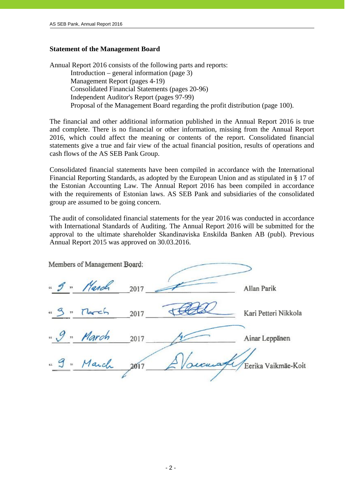#### **Statement of the Management Board**

Annual Report 2016 consists of the following parts and reports: Introduction – general information (page 3) Management Report (pages 4-19) Consolidated Financial Statements (pages 20-96) Independent Auditor's Report (pages 97-99) Proposal of the Management Board regarding the profit distribution (page 100).

The financial and other additional information published in the Annual Report 2016 is true and complete. There is no financial or other information, missing from the Annual Report 2016, which could affect the meaning or contents of the report. Consolidated financial statements give a true and fair view of the actual financial position, results of operations and cash flows of the AS SEB Pank Group.

Consolidated financial statements have been compiled in accordance with the International Financial Reporting Standards, as adopted by the European Union and as stipulated in § 17 of the Estonian Accounting Law. The Annual Report 2016 has been compiled in accordance with the requirements of Estonian laws. AS SEB Pank and subsidiaries of the consolidated group are assumed to be going concern.

The audit of consolidated financial statements for the year 2016 was conducted in accordance with International Standards of Auditing. The Annual Report 2016 will be submitted for the approval to the ultimate shareholder Skandinaviska Enskilda Banken AB (publ). Previous Annual Report 2015 was approved on 30.03.2016.

| Members of Management Board: |      |                              |
|------------------------------|------|------------------------------|
| " I " March                  | 2017 | Allan Parik                  |
| " g " March                  | 2017 | Kari Petteri Nikkola         |
| "9" March                    | 2017 | Ainar Leppänen               |
| " g " March                  | 2017 | secura / Eerika Vaikmäe-Koit |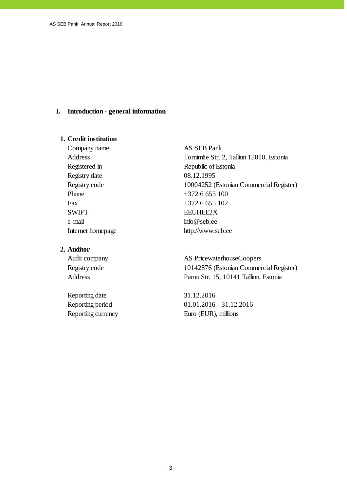#### **I. Introduction - general information**

#### **1. Credit institution**

Company name AS SEB Pank Registry date 08.12.1995 Phone  $+3726655100$ Fax  $+372\ 6\ 655\ 102$ SWIFT EEUHEE2X e-mail info@seb.ee

# **2. Auditor**

Reporting date 31.12.2016 Reporting currency Euro (EUR), millions

Address Tornimäe Str. 2, Tallinn 15010, Estonia Registered in Republic of Estonia Registry code 10004252 (Estonian Commercial Register) Internet homepage http://www.seb.ee

Audit company AS PricewaterhouseCoopers Registry code 10142876 (Estonian Commercial Register) Address Pärnu Str. 15, 10141 Tallinn, Estonia

Reporting period 01.01.2016 - 31.12.2016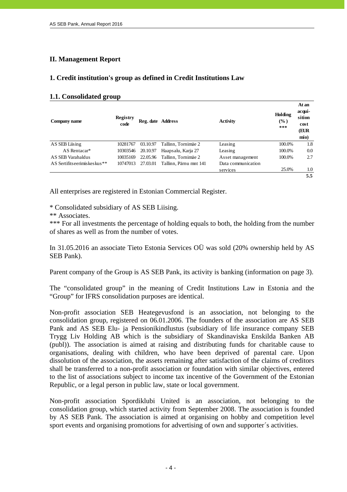# **II. Management Report**

# **1. Credit institution's group as defined in Credit Institutions Law**

#### **1.1. Consolidated group**

| Company name                | <b>Registry</b><br>code | Reg. date Address |                        | <b>Activity</b>    | Holding<br>(%)<br>*** | At an<br>acqui-<br>sition<br>cost<br>(EUR<br>mio) |
|-----------------------------|-------------------------|-------------------|------------------------|--------------------|-----------------------|---------------------------------------------------|
| AS SEB Liising              | 10281767                | 03.10.97          | Tallinn, Tornimäe 2    | Leasing            | 100.0%                | 1.8                                               |
| AS Rentacar*                | 10303546                | 20.10.97          | Haapsalu, Karja 27     | Leasing            | 100.0%                | 0.0                                               |
| AS SEB Varahaldus           | 10035169                | 22.05.96          | Tallinn, Tornimäe 2    | Asset management   | 100.0%                | 2.7                                               |
| AS Sertifitseerimiskeskus** | 10747013                | 27.03.01          | Tallinn. Pärnu mnt 141 | Data communication |                       |                                                   |
|                             |                         |                   |                        | services           | 25.0%                 | 1.0                                               |
|                             |                         |                   |                        |                    |                       | 5.5                                               |

All enterprises are registered in Estonian Commercial Register.

\* Consolidated subsidiary of AS SEB Liising.

\*\* Associates.

\*\*\* For all investments the percentage of holding equals to both, the holding from the number of shares as well as from the number of votes.

In 31.05.2016 an associate Tieto Estonia Services OÜ was sold (20% ownership held by AS SEB Pank).

Parent company of the Group is AS SEB Pank, its activity is banking (information on page 3).

The "consolidated group" in the meaning of Credit Institutions Law in Estonia and the "Group" for IFRS consolidation purposes are identical.

Non-profit association SEB Heategevusfond is an association, not belonging to the consolidation group, registered on 06.01.2006. The founders of the association are AS SEB Pank and AS SEB Elu- ja Pensionikindlustus (subsidiary of life insurance company SEB Trygg Liv Holding AB which is the subsidiary of Skandinaviska Enskilda Banken AB (publ)). The association is aimed at raising and distributing funds for charitable cause to organisations, dealing with children, who have been deprived of parental care. Upon dissolution of the association, the assets remaining after satisfaction of the claims of creditors shall be transferred to a non-profit association or foundation with similar objectives, entered to the list of associations subject to income tax incentive of the Government of the Estonian Republic, or a legal person in public law, state or local government.

Non-profit association Spordiklubi United is an association, not belonging to the consolidation group, which started activity from September 2008. The association is founded by AS SEB Pank. The association is aimed at organising on hobby and competition level sport events and organising promotions for advertising of own and supporter´s activities.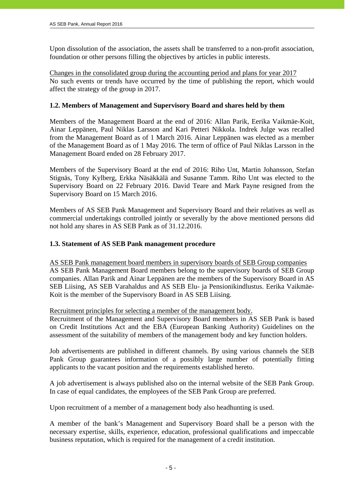Upon dissolution of the association, the assets shall be transferred to a non-profit association, foundation or other persons filling the objectives by articles in public interests.

Changes in the consolidated group during the accounting period and plans for year 2017 No such events or trends have occurred by the time of publishing the report, which would affect the strategy of the group in 2017.

# **1.2. Members of Management and Supervisory Board and shares held by them**

Members of the Management Board at the end of 2016: Allan Parik, Eerika Vaikmäe-Koit, Ainar Leppänen, Paul Niklas Larsson and Kari Petteri Nikkola. Indrek Julge was recalled from the Management Board as of 1 March 2016. Ainar Leppänen was elected as a member of the Management Board as of 1 May 2016. The term of office of Paul Niklas Larsson in the Management Board ended on 28 February 2017.

Members of the Supervisory Board at the end of 2016: Riho Unt, Martin Johansson, Stefan Stignäs, Tony Kylberg, Erkka Näsäkkälä and Susanne Tamm. Riho Unt was elected to the Supervisory Board on 22 February 2016. David Teare and Mark Payne resigned from the Supervisory Board on 15 March 2016.

Members of AS SEB Pank Management and Supervisory Board and their relatives as well as commercial undertakings controlled jointly or severally by the above mentioned persons did not hold any shares in AS SEB Pank as of 31.12.2016.

# **1.3. Statement of AS SEB Pank management procedure**

AS SEB Pank management board members in supervisory boards of SEB Group companies AS SEB Pank Management Board members belong to the supervisory boards of SEB Group companies. Allan Parik and Ainar Leppänen are the members of the Supervisory Board in AS SEB Liising, AS SEB Varahaldus and AS SEB Elu- ja Pensionikindlustus. Eerika Vaikmäe-Koit is the member of the Supervisory Board in AS SEB Liising.

Recruitment principles for selecting a member of the management body.

Recruitment of the Management and Supervisory Board members in AS SEB Pank is based on Credit Institutions Act and the EBA (European Banking Authority) Guidelines on the assessment of the suitability of members of the management body and key function holders.

Job advertisements are published in different channels. By using various channels the SEB Pank Group guarantees information of a possibly large number of potentially fitting applicants to the vacant position and the requirements established hereto.

A job advertisement is always published also on the internal website of the SEB Pank Group. In case of equal candidates, the employees of the SEB Pank Group are preferred.

Upon recruitment of a member of a management body also headhunting is used.

A member of the bank's Management and Supervisory Board shall be a person with the necessary expertise, skills, experience, education, professional qualifications and impeccable business reputation, which is required for the management of a credit institution.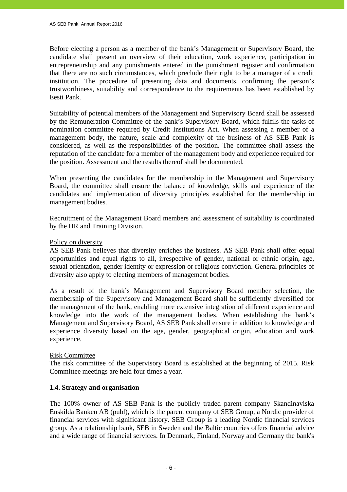Before electing a person as a member of the bank's Management or Supervisory Board, the candidate shall present an overview of their education, work experience, participation in entrepreneurship and any punishments entered in the punishment register and confirmation that there are no such circumstances, which preclude their right to be a manager of a credit institution. The procedure of presenting data and documents, confirming the person's trustworthiness, suitability and correspondence to the requirements has been established by Eesti Pank.

Suitability of potential members of the Management and Supervisory Board shall be assessed by the Remuneration Committee of the bank's Supervisory Board, which fulfils the tasks of nomination committee required by Credit Institutions Act. When assessing a member of a management body, the nature, scale and complexity of the business of AS SEB Pank is considered, as well as the responsibilities of the position. The committee shall assess the reputation of the candidate for a member of the management body and experience required for the position. Assessment and the results thereof shall be documented.

When presenting the candidates for the membership in the Management and Supervisory Board, the committee shall ensure the balance of knowledge, skills and experience of the candidates and implementation of diversity principles established for the membership in management bodies.

Recruitment of the Management Board members and assessment of suitability is coordinated by the HR and Training Division.

# Policy on diversity

AS SEB Pank believes that diversity enriches the business. AS SEB Pank shall offer equal opportunities and equal rights to all, irrespective of gender, national or ethnic origin, age, sexual orientation, gender identity or expression or religious conviction. General principles of diversity also apply to electing members of management bodies.

As a result of the bank's Management and Supervisory Board member selection, the membership of the Supervisory and Management Board shall be sufficiently diversified for the management of the bank, enabling more extensive integration of different experience and knowledge into the work of the management bodies. When establishing the bank's Management and Supervisory Board, AS SEB Pank shall ensure in addition to knowledge and experience diversity based on the age, gender, geographical origin, education and work experience.

#### Risk Committee

The risk committee of the Supervisory Board is established at the beginning of 2015. Risk Committee meetings are held four times a year.

# **1.4. Strategy and organisation**

The 100% owner of AS SEB Pank is the publicly traded parent company Skandinaviska Enskilda Banken AB (publ), which is the parent company of SEB Group, a Nordic provider of financial services with significant history. SEB Group is a leading Nordic financial services group. As a relationship bank, SEB in Sweden and the Baltic countries offers financial advice and a wide range of financial services. In Denmark, Finland, Norway and Germany the bank's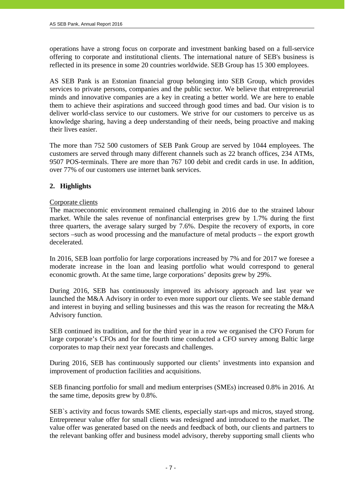operations have a strong focus on corporate and investment banking based on a full-service offering to corporate and institutional clients. The international nature of SEB's business is reflected in its presence in some 20 countries worldwide. SEB Group has 15 300 employees.

AS SEB Pank is an Estonian financial group belonging into SEB Group, which provides services to private persons, companies and the public sector. We believe that entrepreneurial minds and innovative companies are a key in creating a better world. We are here to enable them to achieve their aspirations and succeed through good times and bad. Our vision is to deliver world-class service to our customers. We strive for our customers to perceive us as knowledge sharing, having a deep understanding of their needs, being proactive and making their lives easier.

The more than 752 500 customers of SEB Pank Group are served by 1044 employees. The customers are served through many different channels such as 22 branch offices, 234 ATMs, 9507 POS-terminals. There are more than 767 100 debit and credit cards in use. In addition, over 77% of our customers use internet bank services.

# **2. Highlights**

#### Corporate clients

The macroeconomic environment remained challenging in 2016 due to the strained labour market. While the sales revenue of nonfinancial enterprises grew by 1.7% during the first three quarters, the average salary surged by 7.6%. Despite the recovery of exports, in core sectors –such as wood processing and the manufacture of metal products – the export growth decelerated.

In 2016, SEB loan portfolio for large corporations increased by 7% and for 2017 we foresee a moderate increase in the loan and leasing portfolio what would correspond to general economic growth. At the same time, large corporations' deposits grew by 29%.

During 2016, SEB has continuously improved its advisory approach and last year we launched the M&A Advisory in order to even more support our clients. We see stable demand and interest in buying and selling businesses and this was the reason for recreating the M&A Advisory function.

SEB continued its tradition, and for the third year in a row we organised the CFO Forum for large corporate's CFOs and for the fourth time conducted a CFO survey among Baltic large corporates to map their next year forecasts and challenges.

During 2016, SEB has continuously supported our clients' investments into expansion and improvement of production facilities and acquisitions.

SEB financing portfolio for small and medium enterprises (SMEs) increased 0.8% in 2016. At the same time, deposits grew by 0.8%.

SEB`s activity and focus towards SME clients, especially start-ups and micros, stayed strong. Entrepreneur value offer for small clients was redesigned and introduced to the market. The value offer was generated based on the needs and feedback of both, our clients and partners to the relevant banking offer and business model advisory, thereby supporting small clients who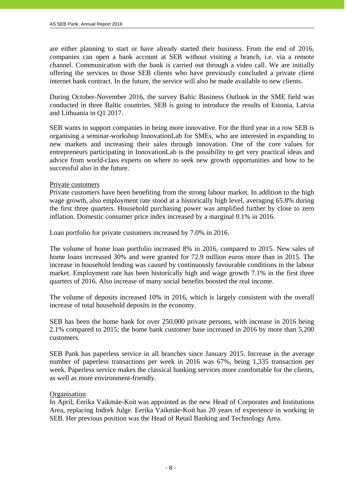are either planning to start or have already started their business. From the end of 2016, companies can open a bank account at SEB without visiting a branch, i.e. via a remote channel. Communication with the bank is carried out through a video call. We are initially offering the services to those SEB clients who have previously concluded a private client internet bank contract. In the future, the service will also be made available to new clients.

During October-November 2016, the survey Baltic Business Outlook in the SME field was conducted in three Baltic countries. SEB is going to introduce the results of Estonia, Latvia and Lithuania in Q1 2017.

SEB wants to support companies in being more innovative. For the third year in a row SEB is organising a seminar-workshop InnovationLab for SMEs, who are interested in expanding to new markets and increasing their sales through innovation. One of the core values for entrepreneurs participating in InnovationLab is the possibility to get very practical ideas and advice from world-class experts on where to seek new growth opportunities and how to be successful also in the future.

#### Private customers

Private customers have been benefiting from the strong labour market. In addition to the high wage growth, also employment rate stood at a historically high level, averaging 65.8% during the first three quarters. Household purchasing power was amplified further by close to zero inflation. Domestic consumer price index increased by a marginal 0.1% in 2016.

Loan portfolio for private customers increased by 7.0% in 2016.

The volume of home loan portfolio increased 8% in 2016, compared to 2015. New sales of home loans increased 30% and were granted for 72.9 million euros more than in 2015. The increase in household lending was caused by continuously favourable conditions in the labour market. Employment rate has been historically high and wage growth 7.1% in the first three quarters of 2016. Also increase of many social benefits boosted the real income.

The volume of deposits increased 10% in 2016, which is largely consistent with the overall increase of total household deposits in the economy.

SEB has been the home bank for over 250,000 private persons, with increase in 2016 being 2.1% compared to 2015; the home bank customer base increased in 2016 by more than 5,200 customers.

SEB Pank has paperless service in all branches since January 2015. Increase in the average number of paperless transactions per week in 2016 was 67%, being 1,335 transaction per week. Paperless service makes the classical banking services more comfortable for the clients, as well as more environment-friendly.

#### **Organisation**

In April, Eerika Vaikmäe-Koit was appointed as the new Head of Corporates and Institutions Area, replacing Indrek Julge. Eerika Vaikmäe-Koit has 20 years of experience in working in SEB. Her previous position was the Head of Retail Banking and Technology Area.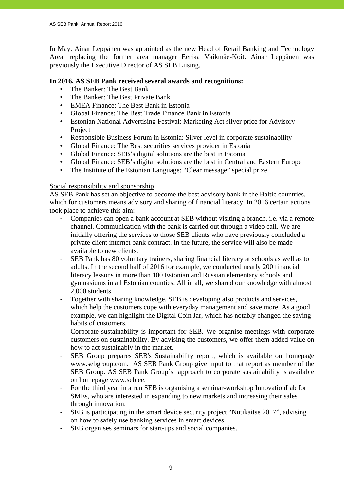In May, Ainar Leppänen was appointed as the new Head of Retail Banking and Technology Area, replacing the former area manager Eerika Vaikmäe-Koit. Ainar Leppänen was previously the Executive Director of AS SEB Liising.

# **In 2016, AS SEB Pank received several awards and recognitions:**

- The Banker: The Best Bank
- The Banker: The Best Private Bank
- EMEA Finance: The Best Bank in Estonia
- Global Finance: The Best Trade Finance Bank in Estonia
- Estonian National Advertising Festival: Marketing Act silver price for Advisory Project
- Responsible Business Forum in Estonia: Silver level in corporate sustainability
- Global Finance: The Best securities services provider in Estonia
- Global Finance: SEB's digital solutions are the best in Estonia
- Global Finance: SEB's digital solutions are the best in Central and Eastern Europe
- The Institute of the Estonian Language: "Clear message" special prize

#### Social responsibility and sponsorship

AS SEB Pank has set an objective to become the best advisory bank in the Baltic countries, which for customers means advisory and sharing of financial literacy. In 2016 certain actions took place to achieve this aim:

- Companies can open a bank account at SEB without visiting a branch, i.e. via a remote channel. Communication with the bank is carried out through a video call. We are initially offering the services to those SEB clients who have previously concluded a private client internet bank contract. In the future, the service will also be made available to new clients.
- SEB Pank has 80 voluntary trainers, sharing financial literacy at schools as well as to adults. In the second half of 2016 for example, we conducted nearly 200 financial literacy lessons in more than 100 Estonian and Russian elementary schools and gymnasiums in all Estonian counties. All in all, we shared our knowledge with almost 2,000 students.
- Together with sharing knowledge, SEB is developing also products and services, which help the customers cope with everyday management and save more. As a good example, we can highlight the Digital Coin Jar, which has notably changed the saving habits of customers.
- Corporate sustainability is important for SEB. We organise meetings with corporate customers on sustainability. By advising the customers, we offer them added value on how to act sustainably in the market.
- SEB Group prepares SEB's Sustainability report, which is available on homepage www.sebgroup.com. AS SEB Pank Group give input to that report as member of the SEB Group. AS SEB Pank Group`s approach to corporate sustainability is available on homepage www.seb.ee.
- For the third year in a run SEB is organising a seminar-workshop InnovationLab for SMEs, who are interested in expanding to new markets and increasing their sales through innovation.
- SEB is participating in the smart device security project "Nutikaitse 2017", advising on how to safely use banking services in smart devices.
- SEB organises seminars for start-ups and social companies.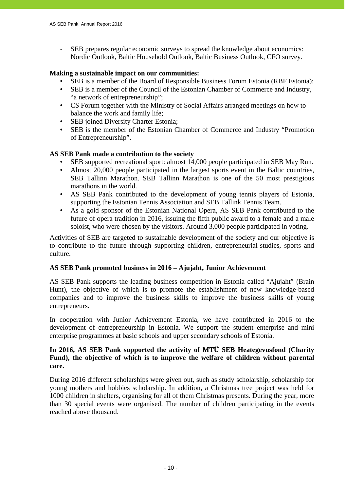- SEB prepares regular economic surveys to spread the knowledge about economics: Nordic Outlook, Baltic Household Outlook, Baltic Business Outlook, CFO survey.

# **Making a sustainable impact on our communities:**

- SEB is a member of the Board of Responsible Business Forum Estonia (RBF Estonia);
- SEB is a member of the Council of the Estonian Chamber of Commerce and Industry, "a network of entrepreneurship";
- CS Forum together with the Ministry of Social Affairs arranged meetings on how to balance the work and family life;
- SEB joined Diversity Charter Estonia;
- SEB is the member of the Estonian Chamber of Commerce and Industry "Promotion of Entrepreneurship".

# **AS SEB Pank made a contribution to the society**

- SEB supported recreational sport: almost 14,000 people participated in SEB May Run.
- Almost 20,000 people participated in the largest sports event in the Baltic countries, SEB Tallinn Marathon. SEB Tallinn Marathon is one of the 50 most prestigious marathons in the world.
- AS SEB Pank contributed to the development of young tennis players of Estonia, supporting the Estonian Tennis Association and SEB Tallink Tennis Team.
- As a gold sponsor of the Estonian National Opera, AS SEB Pank contributed to the future of opera tradition in 2016, issuing the fifth public award to a female and a male soloist, who were chosen by the visitors. Around 3,000 people participated in voting.

Activities of SEB are targeted to sustainable development of the society and our objective is to contribute to the future through supporting children, entrepreneurial-studies, sports and culture.

#### **AS SEB Pank promoted business in 2016 – Ajujaht, Junior Achievement**

AS SEB Pank supports the leading business competition in Estonia called "Ajujaht" (Brain Hunt), the objective of which is to promote the establishment of new knowledge-based companies and to improve the business skills to improve the business skills of young entrepreneurs.

In cooperation with Junior Achievement Estonia, we have contributed in 2016 to the development of entrepreneurship in Estonia. We support the student enterprise and mini enterprise programmes at basic schools and upper secondary schools of Estonia.

# **In 2016, AS SEB Pank supported the activity of MTÜ SEB Heategevusfond (Charity Fund), the objective of which is to improve the welfare of children without parental care.**

During 2016 different scholarships were given out, such as study scholarship, scholarship for young mothers and hobbies scholarship. In addition, a Christmas tree project was held for 1000 children in shelters, organising for all of them Christmas presents. During the year, more than 30 special events were organised. The number of children participating in the events reached above thousand.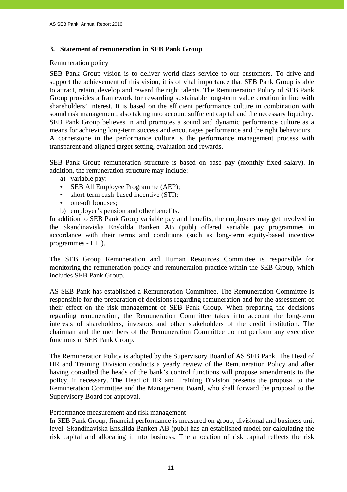#### **3. Statement of remuneration in SEB Pank Group**

# Remuneration policy

j

SEB Pank Group vision is to deliver world-class service to our customers. To drive and support the achievement of this vision, it is of vital importance that SEB Pank Group is able to attract, retain, develop and reward the right talents. The Remuneration Policy of SEB Pank Group provides a framework for rewarding sustainable long-term value creation in line with shareholders' interest. It is based on the efficient performance culture in combination with sound risk management, also taking into account sufficient capital and the necessary liquidity. SEB Pank Group believes in and promotes a sound and dynamic performance culture as a means for achieving long-term success and encourages performance and the right behaviours. A cornerstone in the performance culture is the performance management process with transparent and aligned target setting, evaluation and rewards.

SEB Pank Group remuneration structure is based on base pay (monthly fixed salary). In addition, the remuneration structure may include:

- a) variable pay:
- SEB All Employee Programme (AEP);
- short-term cash-based incentive (STI);
- one-off bonuses:
- b) employer's pension and other benefits.

In addition to SEB Pank Group variable pay and benefits, the employees may get involved in the Skandinaviska Enskilda Banken AB (publ) offered variable pay programmes in accordance with their terms and conditions (such as long-term equity-based incentive programmes - LTI).

The SEB Group Remuneration and Human Resources Committee is responsible for monitoring the remuneration policy and remuneration practice within the SEB Group, which includes SEB Pank Group.

AS SEB Pank has established a Remuneration Committee. The Remuneration Committee is responsible for the preparation of decisions regarding remuneration and for the assessment of their effect on the risk management of SEB Pank Group. When preparing the decisions regarding remuneration, the Remuneration Committee takes into account the long-term interests of shareholders, investors and other stakeholders of the credit institution. The chairman and the members of the Remuneration Committee do not perform any executive functions in SEB Pank Group.

The Remuneration Policy is adopted by the Supervisory Board of AS SEB Pank. The Head of HR and Training Division conducts a yearly review of the Remuneration Policy and after having consulted the heads of the bank's control functions will propose amendments to the policy, if necessary. The Head of HR and Training Division presents the proposal to the Remuneration Committee and the Management Board, who shall forward the proposal to the Supervisory Board for approval.

#### Performance measurement and risk management

In SEB Pank Group, financial performance is measured on group, divisional and business unit level. Skandinaviska Enskilda Banken AB (publ) has an established model for calculating the risk capital and allocating it into business. The allocation of risk capital reflects the risk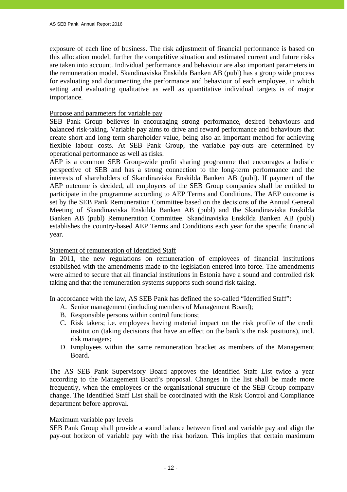exposure of each line of business. The risk adjustment of financial performance is based on this allocation model, further the competitive situation and estimated current and future risks are taken into account. Individual performance and behaviour are also important parameters in the remuneration model. Skandinaviska Enskilda Banken AB (publ) has a group wide process for evaluating and documenting the performance and behaviour of each employee, in which setting and evaluating qualitative as well as quantitative individual targets is of major importance.

#### Purpose and parameters for variable pay

SEB Pank Group believes in encouraging strong performance, desired behaviours and balanced risk-taking. Variable pay aims to drive and reward performance and behaviours that create short and long term shareholder value, being also an important method for achieving flexible labour costs. At SEB Pank Group, the variable pay-outs are determined by operational performance as well as risks.

AEP is a common SEB Group-wide profit sharing programme that encourages a holistic perspective of SEB and has a strong connection to the long-term performance and the interests of shareholders of Skandinaviska Enskilda Banken AB (publ). If payment of the AEP outcome is decided, all employees of the SEB Group companies shall be entitled to participate in the programme according to AEP Terms and Conditions. The AEP outcome is set by the SEB Pank Remuneration Committee based on the decisions of the Annual General Meeting of Skandinaviska Enskilda Banken AB (publ) and the Skandinaviska Enskilda Banken AB (publ) Remuneration Committee. Skandinaviska Enskilda Banken AB (publ) establishes the country-based AEP Terms and Conditions each year for the specific financial year.

#### Statement of remuneration of Identified Staff

In 2011, the new regulations on remuneration of employees of financial institutions established with the amendments made to the legislation entered into force. The amendments were aimed to secure that all financial institutions in Estonia have a sound and controlled risk taking and that the remuneration systems supports such sound risk taking.

In accordance with the law, AS SEB Pank has defined the so-called "Identified Staff":

- A. Senior management (including members of Management Board);
- B. Responsible persons within control functions;
- C. Risk takers; i.e. employees having material impact on the risk profile of the credit institution (taking decisions that have an effect on the bank's the risk positions), incl. risk managers;
- D. Employees within the same remuneration bracket as members of the Management Board.

The AS SEB Pank Supervisory Board approves the Identified Staff List twice a year according to the Management Board's proposal. Changes in the list shall be made more frequently, when the employees or the organisational structure of the SEB Group company change. The Identified Staff List shall be coordinated with the Risk Control and Compliance department before approval.

#### Maximum variable pay levels

SEB Pank Group shall provide a sound balance between fixed and variable pay and align the pay-out horizon of variable pay with the risk horizon. This implies that certain maximum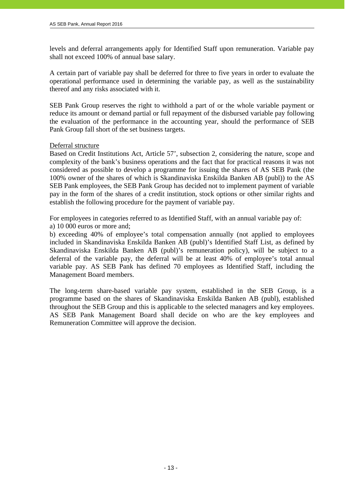levels and deferral arrangements apply for Identified Staff upon remuneration. Variable pay shall not exceed 100% of annual base salary.

A certain part of variable pay shall be deferred for three to five years in order to evaluate the operational performance used in determining the variable pay, as well as the sustainability thereof and any risks associated with it.

SEB Pank Group reserves the right to withhold a part of or the whole variable payment or reduce its amount or demand partial or full repayment of the disbursed variable pay following the evaluation of the performance in the accounting year, should the performance of SEB Pank Group fall short of the set business targets.

#### Deferral structure

Based on Credit Institutions Act, Article 57', subsection 2, considering the nature, scope and complexity of the bank's business operations and the fact that for practical reasons it was not considered as possible to develop a programme for issuing the shares of AS SEB Pank (the 100% owner of the shares of which is Skandinaviska Enskilda Banken AB (publ)) to the AS SEB Pank employees, the SEB Pank Group has decided not to implement payment of variable pay in the form of the shares of a credit institution, stock options or other similar rights and establish the following procedure for the payment of variable pay.

For employees in categories referred to as Identified Staff, with an annual variable pay of:

a) 10 000 euros or more and;

b) exceeding 40% of employee's total compensation annually (not applied to employees included in Skandinaviska Enskilda Banken AB (publ)'s Identified Staff List, as defined by Skandinaviska Enskilda Banken AB (publ)'s remuneration policy), will be subject to a deferral of the variable pay, the deferral will be at least 40% of employee's total annual variable pay. AS SEB Pank has defined 70 employees as Identified Staff, including the Management Board members.

The long-term share-based variable pay system, established in the SEB Group, is a programme based on the shares of Skandinaviska Enskilda Banken AB (publ), established throughout the SEB Group and this is applicable to the selected managers and key employees. AS SEB Pank Management Board shall decide on who are the key employees and Remuneration Committee will approve the decision.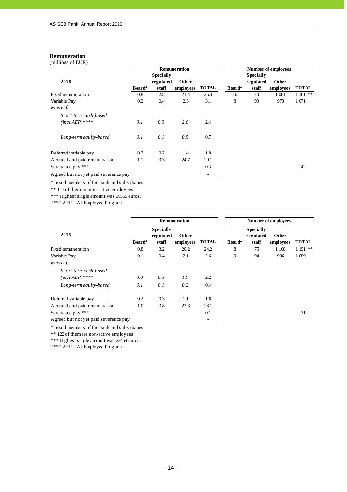#### **Remuneration**

j

(millions of EUR)

|                                       | <b>Remuneration</b> |                  |           |              | Number of employees |                  |           |              |  |
|---------------------------------------|---------------------|------------------|-----------|--------------|---------------------|------------------|-----------|--------------|--|
|                                       |                     | <b>Specially</b> |           |              |                     | <b>Specially</b> |           |              |  |
| 2016                                  |                     | regulated        | Other     |              |                     | regulated        | Other     |              |  |
|                                       | Board*              | staff            | employees | <b>TOTAL</b> | Board*              | staff            | employees | <b>TOTAL</b> |  |
| Fixed remuneration                    | 0.8                 | 2.8              | 21.4      | 25.0         | 10                  | 70               | 1 0 8 1   | $1161$ **    |  |
| Variable Pay                          | 0.2                 | 0.4              | 2.5       | 3.1          | 8                   | 90               | 973       | 1 0 7 1      |  |
| whereof:                              |                     |                  |           |              |                     |                  |           |              |  |
| Short-term cash-based                 |                     |                  |           |              |                     |                  |           |              |  |
| $(incl. AEP)$ ****                    | 0.1                 | 0.3              | 2.0       | 2.4          |                     |                  |           |              |  |
| Long-term equity-based                | 0.1                 | 0.1              | 0.5       | 0.7          |                     |                  |           |              |  |
| Deferred variable pay                 | 0.2                 | 0.2              | 1.4       | 1.8          |                     |                  |           |              |  |
| Accrued and paid remuneration         | 1.1                 | 3.3              | 24.7      | 29.1         |                     |                  |           |              |  |
| Severance pay ***                     |                     |                  |           | 0.3          |                     |                  |           | 42           |  |
| Agreed but not yet paid severance pay |                     |                  |           |              |                     |                  |           |              |  |

\* board members of the bank and subsidiaries

\*\* 117 of them are non-active employees

\*\*\* Highest single amount was 36555 euros.

\*\*\*\* AEP = All Employee Program

|                                           |        |                                        | <b>Remuneration</b> |              | <b>Number of employees</b> |                                        |                    |              |
|-------------------------------------------|--------|----------------------------------------|---------------------|--------------|----------------------------|----------------------------------------|--------------------|--------------|
| 2015                                      | Board* | <b>Specially</b><br>regulated<br>staff | Other<br>employees  | <b>TOTAL</b> | Board*                     | <b>Specially</b><br>regulated<br>staff | Other<br>employees | <b>TOTAL</b> |
| Fixed remuneration                        | 0.8    | 3.2                                    | 20.2                | 24.2         | 8                          | 75                                     | 1 1 0 8            | $1191$ **    |
| Variable Pay                              | 0.1    | 0.4                                    | 2.1                 | 2.6          | 9                          | 94                                     | 986                | 1 0 8 9      |
| whereof:                                  |        |                                        |                     |              |                            |                                        |                    |              |
| Short-term cash-based<br>$(inclAEP)$ **** | 0.0    | 0.3                                    | 1.9                 | 2.2          |                            |                                        |                    |              |
| Long-term equity-based                    | 0.1    | 0.1                                    | 0.2                 | 0.4          |                            |                                        |                    |              |
| Deferred variable pay                     | 0.2    | 0.3                                    | 1.1                 | 1.6          |                            |                                        |                    |              |
| Accrued and paid remuneration             | 1.0    | 3.8                                    | 23.3                | 28.1         |                            |                                        |                    |              |
| Severance pay ***                         |        |                                        |                     | 0.1          |                            |                                        |                    | 31           |
| Agreed but not yet paid severance pay     |        |                                        |                     | ٠            |                            |                                        |                    |              |

\* board members of the bank and subsidiaries

\*\* 122 of them are non-active employees

\*\*\* Highest single amount was 23454 euros.

\*\*\*\* AEP = All Employee Program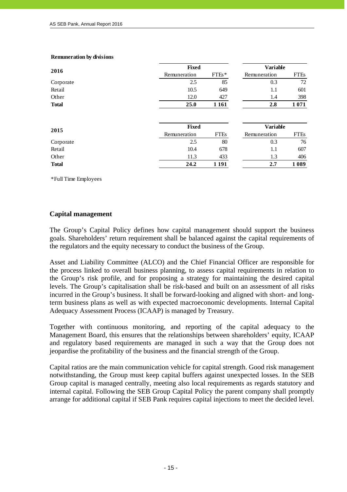|              | <b>Fixed</b> |             | <b>Variable</b> |             |
|--------------|--------------|-------------|-----------------|-------------|
| 2016         | Remuneration | $FTEs*$     | Remuneration    | <b>FTEs</b> |
| Corporate    | 2.5          | 85          | 0.3             | 72          |
| Retail       | 10.5         | 649         | 1.1             | 601         |
| Other        | 12.0         | 427         | 1.4             | 398         |
| <b>Total</b> | 25.0         | 1 1 6 1     | 2.8             | 1071        |
|              | <b>Fixed</b> |             |                 |             |
|              |              |             | <b>Variable</b> |             |
| 2015         | Remuneration | <b>FTEs</b> | Remuneration    | <b>FTEs</b> |
| Corporate    | 2.5          | 80          | 0.3             | 76          |
| Retail       | 10.4         | 678         | 1.1             | 607         |
| Other        | 11.3         | 433         | 1.3             | 406         |
| <b>Total</b> | 24.2         | 1 1 9 1     | 2.7             | 1089        |

#### **Remuneration by divisions**

\*Full Time Employees

# **Capital management**

The Group's Capital Policy defines how capital management should support the business goals. Shareholders' return requirement shall be balanced against the capital requirements of the regulators and the equity necessary to conduct the business of the Group.

Asset and Liability Committee (ALCO) and the Chief Financial Officer are responsible for the process linked to overall business planning, to assess capital requirements in relation to the Group's risk profile, and for proposing a strategy for maintaining the desired capital levels. The Group's capitalisation shall be risk-based and built on an assessment of all risks incurred in the Group's business. It shall be forward-looking and aligned with short- and longterm business plans as well as with expected macroeconomic developments. Internal Capital Adequacy Assessment Process (ICAAP) is managed by Treasury.

Together with continuous monitoring, and reporting of the capital adequacy to the Management Board, this ensures that the relationships between shareholders' equity, ICAAP and regulatory based requirements are managed in such a way that the Group does not jeopardise the profitability of the business and the financial strength of the Group.

Capital ratios are the main communication vehicle for capital strength. Good risk management notwithstanding, the Group must keep capital buffers against unexpected losses. In the SEB Group capital is managed centrally, meeting also local requirements as regards statutory and internal capital. Following the SEB Group Capital Policy the parent company shall promptly arrange for additional capital if SEB Pank requires capital injections to meet the decided level.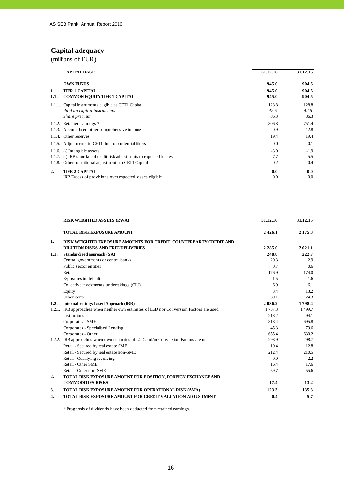# **Capital adequacy**

(millions of EUR)

j

|            | <b>CAPITAL BASE</b>                                                    | 31.12.16       | 31.12.15       |
|------------|------------------------------------------------------------------------|----------------|----------------|
|            | <b>OWN FUNDS</b>                                                       | 945.0          | 904.5          |
| 1.<br>1.1. | <b>TIER 1 CAPITAL</b><br><b>COMMON EQUITY TIER 1 CAPITAL</b>           | 945.0<br>945.0 | 904.5<br>904.5 |
|            | 1.1.1. Capital instruments eligible as CET1 Capital                    | 128.8          | 128.8          |
|            | Paid up capital instruments                                            | 42.5           | 42.5           |
|            | Share premium                                                          | 86.3           | 86.3           |
| 1.1.2.     | Retained earnings *                                                    | 806.8          | 751.4          |
|            | 1.1.3. Accumulated other comprehensive income                          | 0.9            | 12.8           |
| 1.1.4.     | Other reserves                                                         | 19.4           | 19.4           |
|            | 1.1.5. Adjustments to CET1 due to prudential filters                   | 0.0            | $-0.1$         |
|            | $1.1.6.$ (-) Intangible assets                                         | $-3.0$         | $-1.9$         |
|            | 1.1.7. (-) IRB shortfall of credit risk adjustments to expected losses | $-7.7$         | $-5.5$         |
| 1.1.8.     | Other transitional adjustments to CET1 Capital                         | $-0.2$         | $-0.4$         |
| 2.         | <b>TIER 2 CAPITAL</b>                                                  | 0.0            | 0.0            |
|            | IRB Excess of provisions over expected losses eligible                 | 0.0            | 0.0            |

|        | <b>RISK WEIGHTED ASSETS (RWA)</b>                                                | 31.12.16   | 31.12.15   |
|--------|----------------------------------------------------------------------------------|------------|------------|
|        | <b>TOTAL RISK EXPOSURE AMOUNT</b>                                                | 2426.1     | 2 1 7 5 .3 |
| 1.     | RISK WEIGHTED EXPOSURE AMOUNTS FOR CREDIT, COUNTERPARTY CREDIT AND               |            |            |
|        | <b>DILUTION RISKS AND FREE DELIVERIES</b>                                        | 2 2 8 5 .0 | 2021.1     |
| 1.1.   | Standardised approach (SA)                                                       | 248.8      | 222.7      |
|        | Central governments or central banks                                             | 20.3       | 2.9        |
|        | Public sector entities                                                           | 0.7        | 0.6        |
|        | Retail                                                                           | 176.9      | 174.0      |
|        | Exposures in default                                                             | 1.5        | 1.6        |
|        | Collective investments undertakings (CIU)                                        | 6.9        | 6.1        |
|        | Equity                                                                           | 3.4        | 13.2       |
|        | Other items                                                                      | 39.1       | 24.3       |
| 1.2.   | Internal ratings based Approach (IRB)                                            | 2 0 3 6 .2 | 1798.4     |
| 1.2.1. | IRB approaches when neither own estimates of LGD nor Conversion Factors are used | 1737.3     | 1499.7     |
|        | Institutions                                                                     | 218.2      | 94.1       |
|        | Corporates - SME                                                                 | 818.4      | 695.8      |
|        | Corporates - Specialised Lending                                                 | 45.3       | 79.6       |
|        | Corporates - Other                                                               | 655.4      | 630.2      |
| 1.2.2. | IRB approaches when own estimates of LGD and/or Conversion Factors are used      | 298.9      | 298.7      |
|        | Retail - Secured by real estate SME                                              | 10.4       | 12.8       |
|        | Retail - Secured by real estate non-SME                                          | 212.4      | 210.5      |
|        | Retail - Qualifying revolving                                                    | 0.0        | 2.2        |
|        | Retail - Other SME                                                               | 16.4       | 17.6       |
|        | Retail - Other non-SME                                                           | 59.7       | 55.6       |
| 2.     | TOTAL RISK EXPOSURE AMOUNT FOR POSITION, FOREIGN EXCHANGE AND                    |            |            |
|        | <b>COMMODITIES RISKS</b>                                                         | 17.4       | 13.2       |
| 3.     | <b>TOTAL RISK EXPOSURE AMOUNT FOR OPERATIONAL RISK (AMA)</b>                     | 123.3      | 135.3      |
| 4.     | <b>TOTAL RISK EXPOSURE AMOUNT FOR CREDIT VALUATION ADJUSTMENT</b>                | 0.4        | 5.7        |

\* Prognosis of dividends have been deducted from retained earnings.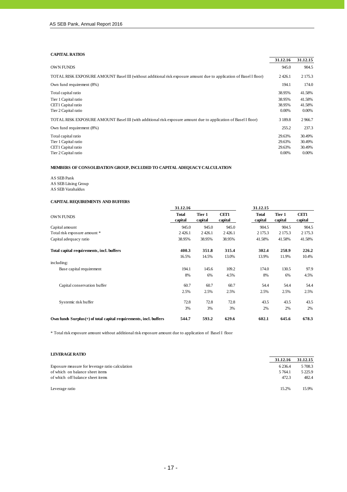#### **CAPITAL RATIOS**

j

|                                                                                                                    | 31.12.16    | 31.12.15 |
|--------------------------------------------------------------------------------------------------------------------|-------------|----------|
| <b>OWN FUNDS</b>                                                                                                   | 945.0       | 904.5    |
| TOTAL RISK EXPOSURE AMOUNT Basel III (without additional risk exposure amount due to application of Basel I floor) | 2426.1      | 2 175.3  |
| Own fund requirement (8%)                                                                                          | 194.1       | 174.0    |
| Total capital ratio                                                                                                | 38.95%      | 41.58%   |
| Tier 1 Capital ratio                                                                                               | 38.95%      | 41.58%   |
| CET1 Capital ratio                                                                                                 | 38.95%      | 41.58%   |
| Tier 2 Capital ratio                                                                                               | 0.00%       | $0.00\%$ |
| TOTAL RISK EXPOSURE AMOUNT Basel III (with additional risk exposure amount due to application of Basel I floor)    | 3 1 8 9 . 8 | 2966.7   |
| Own fund requirement (8%)                                                                                          | 255.2       | 237.3    |
| Total capital ratio                                                                                                | 29.63%      | 30.49%   |
| Tier 1 Capital ratio                                                                                               | 29.63%      | 30.49%   |
| CET1 Capital ratio                                                                                                 | 29.63%      | 30.49%   |
| Tier 2 Capital ratio                                                                                               | 0.00%       | 0.00%    |

#### **MEMBERS OF CONSOLIDATION GROUP, INCLUDED TO CAPITAL ADEQUACY CALCULATION**

AS SEB Pank AS SEB Liising Group AS SEB Varahaldus

#### **CAPITAL REQUIREMENTS AND BUFFERS**

|                                                                     | 31.12.16                |                   |                 | 31.12.15         |                   |                        |
|---------------------------------------------------------------------|-------------------------|-------------------|-----------------|------------------|-------------------|------------------------|
| <b>OWN FUNDS</b>                                                    | <b>Total</b><br>capital | Tier 1<br>capital | CET1<br>capital | Total<br>capital | Tier 1<br>capital | <b>CET1</b><br>capital |
| Capital amount                                                      | 945.0                   | 945.0             | 945.0           | 904.5            | 904.5             | 904.5                  |
| Total risk exposure amount *                                        | 2 4 2 6.1               | 2426.1            | 2426.1          | 2 175.3          | 2 175.3           | 2 175.3                |
| Capital adequacy ratio                                              | 38.95%                  | 38.95%            | 38.95%          | 41.58%           | 41.58%            | 41.58%                 |
| Total capital requirements, incl. buffers                           | 400.3                   | 351.8             | 315.4           | 302.4            | 258.9             | 226.2                  |
|                                                                     | 16.5%                   | 14.5%             | 13.0%           | 13.9%            | 11.9%             | 10.4%                  |
| including:                                                          |                         |                   |                 |                  |                   |                        |
| Base capital requirement                                            | 194.1                   | 145.6             | 109.2           | 174.0            | 130.5             | 97.9                   |
|                                                                     | 8%                      | 6%                | 4.5%            | 8%               | 6%                | 4.5%                   |
| Capital conservation buffer                                         | 60.7                    | 60.7              | 60.7            | 54.4             | 54.4              | 54.4                   |
|                                                                     | 2.5%                    | 2.5%              | 2.5%            | 2.5%             | 2.5%              | 2.5%                   |
| Systemic risk buffer                                                | 72.8                    | 72.8              | 72.8            | 43.5             | 43.5              | 43.5                   |
|                                                                     | 3%                      | 3%                | 3%              | 2%               | 2%                | 2%                     |
| Own funds $Surplus(+)$ of total capital requirements, incl. buffers | 544.7                   | 593.2             | 629.6           | 602.1            | 645.6             | 678.3                  |

\* Total risk exposure amount without additional risk exposure amount due to application of Basel I floor

#### **LEVERAGE RATIO**

|                                                 | 31.12.16  | 31.12.15   |
|-------------------------------------------------|-----------|------------|
| Exposure measure for leverage ratio calculation | 6 2 3 6.4 | 5 708.3    |
| of which on balance sheet items                 | 5 7 64.1  | 5 2 2 5 .9 |
| of which off balance sheet items                | 472.3     | 482.4      |
| Leverage ratio                                  | 15.2%     | 15.9%      |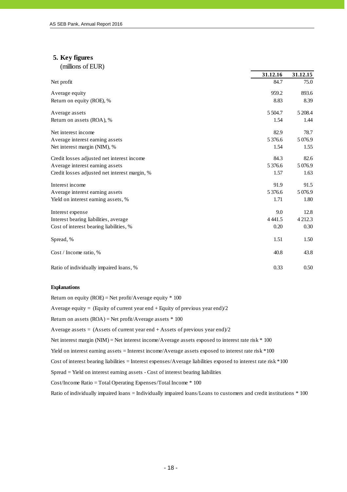# **5. Key figures**

j

| (millions of EUR) |  |  |
|-------------------|--|--|
|                   |  |  |
|                   |  |  |

|                                               | 31.12.16    | 31.12.15    |
|-----------------------------------------------|-------------|-------------|
| Net profit                                    | 84.7        | 75.0        |
| Average equity                                | 959.2       | 893.6       |
| Return on equity (ROE), %                     | 8.83        | 8.39        |
| Average assets                                | 5 5 0 4.7   | 5 208.4     |
| Return on assets (ROA), %                     | 1.54        | 1.44        |
| Net interest income                           | 82.9        | 78.7        |
| Average interest earning assets               | 5 3 7 6 . 6 | 5 0 7 6.9   |
| Net interest margin (NIM), %                  | 1.54        | 1.55        |
| Credit losses adjusted net interest income    | 84.3        | 82.6        |
| Average interest earning assets               | 5 3 7 6 . 6 | 5 0 7 6.9   |
| Credit losses adjusted net interest margin, % | 1.57        | 1.63        |
| Interest income                               | 91.9        | 91.5        |
| Average interest earning assets               | 5 3 7 6 . 6 | 5 0 7 6.9   |
| Yield on interest earning assets, %           | 1.71        | 1.80        |
| Interest expense                              | 9.0         | 12.8        |
| Interest bearing liabilities, average         | 4 4 4 1.5   | 4 2 1 2 . 3 |
| Cost of interest bearing liabilities, %       | 0.20        | 0.30        |
| Spread, %                                     | 1.51        | 1.50        |
| Cost / Income ratio, %                        | 40.8        | 43.8        |
| Ratio of individually impaired loans, %       | 0.33        | 0.50        |

#### **Explanations**

Return on equity (ROE) = Net profit/Average equity  $*$  100 Average equity = (Equity of current year end + Equity of previous year end)/2 Return on assets  $(ROA)$  = Net profit/Average assets  $*100$ Average assets = (Assets of current year end + Assets of previous year end)/2 Net interest margin (NIM) = Net interest income/Average assets exposed to interest rate risk \* 100 Yield on interest earning assets = Interest income/Average assets exposed to interest rate risk \*100 Cost of interest bearing liabilities = Interest expenses/Average liabilities exposed to interest rate risk \*100 Spread = Yield on interest earning assets - Cost of interest bearing liabilities Cost/Income Ratio = Total Operating Expenses/Total Income \* 100 Ratio of individually impaired loans = Individually impaired loans/Loans to customers and credit institutions \* 100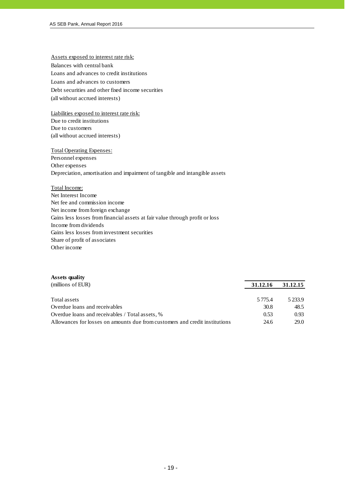Assets exposed to interest rate risk: Balances with central bank Loans and advances to credit institutions Loans and advances to customers Debt securities and other fixed income securities (all without accrued interests)

Liabilities exposed to interest rate risk: Due to credit institutions Due to customers (all without accrued interests)

#### Total Operating Expenses:

Personnel expenses Other expenses Depreciation, amortisation and impairment of tangible and intangible assets

#### Total Income:

Net Interest Income Net fee and commission income Net income from foreign exchange Gains less losses from financial assets at fair value through profit or loss Income from dividends Gains less losses from investment securities Share of profit of associates Other income

#### **Assets quality**

| (millions of EUR)                                                           | 31.12.16  | 31.12.15 |
|-----------------------------------------------------------------------------|-----------|----------|
| Total assets                                                                | 5 7 7 5 4 | 5233.9   |
| Overdue loans and receivables                                               | 30.8      | 48.5     |
| Overdue loans and receivables / Total assets, %                             | 0.53      | 0.93     |
| Allowances for losses on amounts due from customers and credit institutions | 24.6      | 29.0     |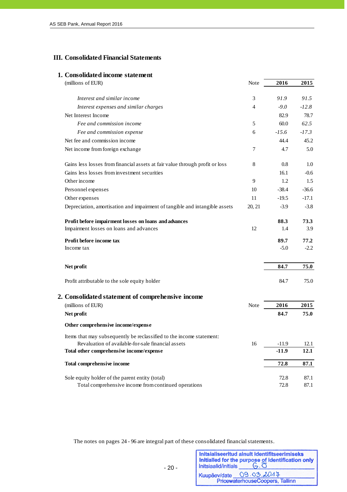#### **III. Consolidated Financial Statements**

#### **1. Consolidated income statement**

| (millions of EUR)                                                                              | <b>Note</b>    | 2016    | 2015    |
|------------------------------------------------------------------------------------------------|----------------|---------|---------|
| Interest and similar income                                                                    | 3              | 91.9    | 91.5    |
| Interest expenses and similar charges                                                          | 4              | $-9.0$  | $-12.8$ |
| Net Interest Income                                                                            |                | 82.9    | 78.7    |
| Fee and commission income                                                                      | 5              | 60.0    | 62.5    |
| Fee and commission expense                                                                     | 6              | $-15.6$ | $-17.3$ |
| Net fee and commission income                                                                  |                | 44.4    | 45.2    |
| Net income from foreign exchange                                                               | $\overline{7}$ | 4.7     | 5.0     |
| Gains less losses from financial assets at fair value through profit or loss                   | 8              | 0.8     | 1.0     |
| Gains less losses from investment securities                                                   |                | 16.1    | $-0.6$  |
| Other income                                                                                   | 9              | 1.2     | 1.5     |
| Personnel expenses                                                                             | 10             | $-38.4$ | $-36.6$ |
| Other expenses                                                                                 | 11             | $-19.5$ | $-17.1$ |
| Depreciation, amortisation and impairment of tangible and intangible assets                    | 20, 21         | $-3.9$  | $-3.8$  |
| Profit before impairment losses on loans and advances                                          |                | 88.3    | 73.3    |
| Impairment losses on loans and advances                                                        | 12             | 1.4     | 3.9     |
| Profit before income tax                                                                       |                | 89.7    | 77.2    |
| Income tax                                                                                     |                | $-5.0$  | $-2.2$  |
| Net profit                                                                                     |                | 84.7    | 75.0    |
| Profit attributable to the sole equity holder                                                  |                | 84.7    | 75.0    |
| 2. Consolidated statement of comprehensive income                                              |                |         |         |
| (millions of EUR)                                                                              | <b>Note</b>    | 2016    | 2015    |
| Net profit                                                                                     |                | 84.7    | 75.0    |
| Other comprehensive income/expense                                                             |                |         |         |
| Items that may subsequently be reclassified to the income statement:                           |                |         |         |
| Revaluation of available-for-sale financial assets<br>Total other comprehensive income/expense | 16             | $-11.9$ | 12.1    |
|                                                                                                |                | $-11.9$ | 12.1    |
| Total comprehensive income                                                                     |                | 72.8    | 87.1    |
| Sole equity holder of the parent entity (total)                                                |                | 72.8    | 87.1    |
| Total comprehensive income from continued operations                                           |                | 72.8    | 87.1    |

The notes on pages 24 - 96 are integral part of these consolidated financial statements.

| Initsiaalid/initials | Initsialiseeritud ainult identifitseerimiseks<br>Initialled for the purpose of identification only<br>$G.\overline{O}$ |
|----------------------|------------------------------------------------------------------------------------------------------------------------|
|                      | Kuupäev/date 09.03.2017                                                                                                |
|                      | PricewaterhouseCoopers, Tallinn                                                                                        |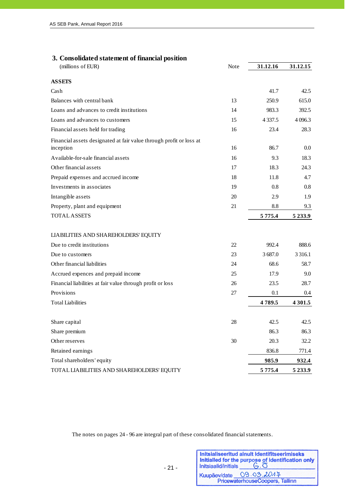# **3. Consolidated statement of financial position**

| (millions of EUR)                                                                | Note | 31.12.16       | 31.12.15            |
|----------------------------------------------------------------------------------|------|----------------|---------------------|
| <b>ASSETS</b>                                                                    |      |                |                     |
| Cash                                                                             |      | 41.7           | 42.5                |
| Balances with central bank                                                       | 13   | 250.9          | 615.0               |
| Loans and advances to credit institutions                                        | 14   | 983.3          | 392.5               |
| Loans and advances to customers                                                  | 15   | 4 3 3 7 .5     | 4 0 9 6.3           |
| Financial assets held for trading                                                | 16   | 23.4           | 28.3                |
| Financial assets designated at fair value through profit or loss at<br>inception | 16   | 86.7           | 0.0                 |
| Available-for-sale financial assets                                              | 16   | 9.3            | 18.3                |
| Other financial assets                                                           | 17   | 18.3           | 24.3                |
| Prepaid expenses and accrued income                                              | 18   | 11.8           | 4.7                 |
| Investments in associates                                                        | 19   | 0.8            | 0.8                 |
| Intangible assets                                                                | 20   | 2.9            | 1.9                 |
| Property, plant and equipment                                                    | 21   | 8.8            | 9.3                 |
| <b>TOTAL ASSETS</b>                                                              |      | 5 7 7 5 .4     | 5 2 3 3 .9          |
| LIABILITIES AND SHAREHOLDERS' EQUITY                                             |      |                |                     |
| Due to credit institutions                                                       | 22   | 992.4          | 888.6               |
| Due to customers                                                                 | 23   | 3687.0         | 3 3 1 6 .1          |
| Other financial liabilities                                                      | 24   | 68.6           | 58.7                |
| Accrued expences and prepaid income                                              | 25   | 17.9           | 9.0                 |
| Financial liabilities at fair value through profit or loss                       | 26   | 23.5           | 28.7                |
| Provisions                                                                       | 27   | 0.1            | 0.4                 |
| <b>Total Liabilities</b>                                                         |      | 4789.5         | 4 3 0 1.5           |
| Share capital                                                                    |      |                |                     |
|                                                                                  | 28   | 42.5<br>86.3   | 42.5                |
| Share premium<br>Other reserves                                                  | 30   | 20.3           | 86.3<br>32.2        |
|                                                                                  |      |                |                     |
| Retained earnings<br>Total shareholders' equity                                  |      | 836.8<br>985.9 | 771.4               |
| TOTAL LIABILITIES AND SHAREHOLDERS' EQUITY                                       |      | 5 7 7 5 .4     | 932.4<br>5 2 3 3 .9 |
|                                                                                  |      |                |                     |

The notes on pages 24 - 96 are integral part of these consolidated financial statements.

| Initsiaalid/initials    | Initsialiseeritud ainult identifitseerimiseks<br>Initialled for the purpose of identification only<br>$G.\overline{O}$ |
|-------------------------|------------------------------------------------------------------------------------------------------------------------|
| Kuupäev/date 09.03.2017 | PricewaterhouseCoopers, Tallinn                                                                                        |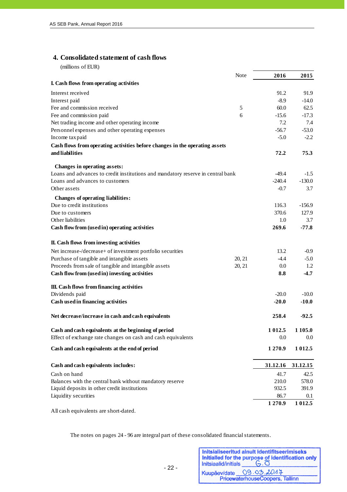#### **4. Consolidated statement of cash flows**

(millions of EUR)

j

|                                                                                 | Note       | 2016      | 2015       |
|---------------------------------------------------------------------------------|------------|-----------|------------|
| I. Cash flows from operating activities                                         |            |           |            |
| Interest received                                                               |            | 91.2      | 91.9       |
| Interest paid                                                                   |            | $-8.9$    | $-14.0$    |
| Fee and commission received                                                     | $\sqrt{5}$ | 60.0      | 62.5       |
| Fee and commission paid                                                         | 6          | $-15.6$   | $-17.3$    |
| Net trading income and other operating income                                   |            | 7.2       | 7.4        |
| Personnel expenses and other operating expenses                                 |            | $-56.7$   | $-53.0$    |
| Income tax paid                                                                 |            | $-5.0$    | $-2.2$     |
| Cash flows from operating activities before changes in the operating assets     |            |           |            |
| and liabilities                                                                 |            | 72.2      | 75.3       |
| Changes in operating assets:                                                    |            |           |            |
| Loans and advances to credit institutions and mandatory reserve in central bank |            | $-49.4$   | $-1.5$     |
| Loans and advances to customers                                                 |            | $-240.4$  | $-130.0$   |
| Other assets                                                                    |            | $-0.7$    | 3.7        |
| Changes of operating liabilities:                                               |            |           |            |
| Due to credit institutions                                                      |            | 116.3     | $-156.9$   |
| Due to customers                                                                |            | 370.6     | 127.9      |
| Other liabilities                                                               |            | 1.0       | 3.7        |
| Cash flow from (used in) operating activities                                   |            | 269.6     | $-77.8$    |
| II. Cash flows from investing activities                                        |            |           |            |
| Net increase-/decrease+ of investment portfolio securities                      |            | 13.2      | $-0.9$     |
| Purchase of tangible and intangible assets                                      | 20, 21     | $-4.4$    | $-5.0$     |
| Proceeds from sale of tangible and intangible assets                            | 20, 21     | 0.0       | 1.2        |
| Cash flow from (used in) investing activities                                   |            | 8.8       | $-4.7$     |
| III. Cash flows from financing activities                                       |            |           |            |
| Dividends paid                                                                  |            | $-20.0$   | $-10.0$    |
| Cash used in financing activities                                               |            | $-20.0$   | $-10.0$    |
| Net decrease/increase in cash and cash equivalents                              |            | 258.4     | $-92.5$    |
| Cash and cash equivalents at the beginning of period                            |            | 1 0 1 2.5 | 1 1 0 5 .0 |
| Effect of exchange rate changes on cash and cash equivalents                    |            | 0.0       | $0.0\,$    |
| Cash and cash equivalents at the end of period                                  |            | 1270.9    | 1 0 1 2.5  |
| Cash and cash equivalents includes:                                             |            | 31.12.16  | 31.12.15   |
| Cash on hand                                                                    |            | 41.7      | 42.5       |
| Balances with the central bank without mandatory reserve                        |            | 210.0     | 578.0      |
| Liquid deposits in other credit institutions                                    |            | 932.5     | 391.9      |
| Liquidity securities                                                            |            | 86.7      | 0.1        |
|                                                                                 |            | 1270.9    | 1 0 1 2.5  |
| All cash equivalents are short-dated.                                           |            |           |            |

The notes on pages 24 - 96 are integral part of these consolidated financial statements.

| Initsiaalid/initials | Initsialiseeritud ainult identifitseerimiseks<br>Initialled for the purpose of identification only<br>$G, \overline{O}$ |
|----------------------|-------------------------------------------------------------------------------------------------------------------------|
| Kuupäev/date         | 09.03.2017                                                                                                              |
|                      | PricewaterhouseCoopers, Tallinn                                                                                         |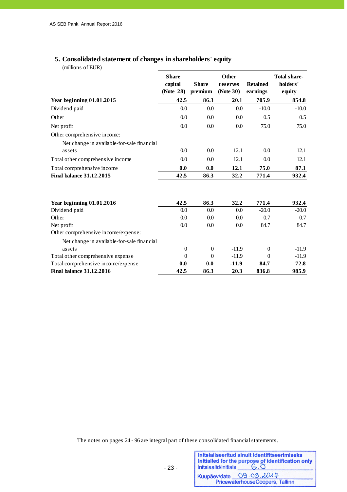# **5. Consolidated statement of changes in shareholders' equity**

(millions of EUR)

|                                            | <b>Share</b><br>capital<br>(Note 28) | <b>Share</b><br>premium | <b>Other</b><br>reserves<br>(Note 30) | <b>Retained</b><br>earnings | <b>Total share-</b><br>holders'<br>equity |
|--------------------------------------------|--------------------------------------|-------------------------|---------------------------------------|-----------------------------|-------------------------------------------|
| Year beginning $01.01.2015$                | 42.5                                 | 86.3                    | 20.1                                  | 705.9                       | 854.8                                     |
| Dividend paid                              | 0.0                                  | 0.0                     | 0.0                                   | $-10.0$                     | $-10.0$                                   |
| Other                                      | 0.0                                  | 0.0                     | 0.0                                   | 0.5                         | 0.5                                       |
| Net profit                                 | 0.0                                  | 0.0                     | 0.0                                   | 75.0                        | 75.0                                      |
| Other comprehensive income:                |                                      |                         |                                       |                             |                                           |
| Net change in available-for-sale financial |                                      |                         |                                       |                             |                                           |
| assets                                     | 0.0                                  | 0.0                     | 12.1                                  | 0.0                         | 12.1                                      |
| Total other comprehensive income           | 0.0                                  | 0.0                     | 12.1                                  | 0.0                         | 12.1                                      |
| Total comprehensive income                 | 0.0                                  | 0.0                     | 12.1                                  | 75.0                        | 87.1                                      |
| <b>Final balance 31.12.2015</b>            | 42.5                                 | 86.3                    | 32.2                                  | 771.4                       | 932.4                                     |
|                                            |                                      |                         |                                       |                             |                                           |
| Year beginning 01.01.2016                  | 42.5                                 | 86.3                    | 32.2                                  | 771.4                       | 932.4                                     |
| Dividend paid                              | 0.0                                  | 0.0                     | 0.0                                   | $-20.0$                     | $-20.0$                                   |
| Other                                      | 0.0                                  | 0.0                     | 0.0                                   | 0.7                         | 0.7                                       |
| Net profit                                 | 0.0                                  | 0.0                     | 0.0                                   | 84.7                        | 84.7                                      |
| Other comprehensive income/expense:        |                                      |                         |                                       |                             |                                           |
| Net change in available-for-sale financial |                                      |                         |                                       |                             |                                           |
| assets                                     | $\theta$                             | $\Omega$                | $-11.9$                               | $\Omega$                    | $-11.9$                                   |
| Total other comprehensive expense          | $\Omega$                             | $\Omega$                | $-11.9$                               | $\Omega$                    | $-11.9$                                   |
| Total comprehensive income/expense         | 0.0                                  | 0.0                     | $-11.9$                               | 84.7                        | 72.8                                      |
| <b>Final balance 31.12.2016</b>            | 42.5                                 | 86.3                    | 20.3                                  | 836.8                       | 985.9                                     |

The notes on pages 24 - 96 are integral part of these consolidated financial statements.

- 23 -

| Initsiaalid/initials | Initsialiseeritud ainult identifitseerimiseks<br>Initialled for the purpose of identification only<br>$G.\overline{O}$ |
|----------------------|------------------------------------------------------------------------------------------------------------------------|
|                      | Kuupäev/date 09.03.2017                                                                                                |
|                      | PricewaterhouseCoopers, Tallinn                                                                                        |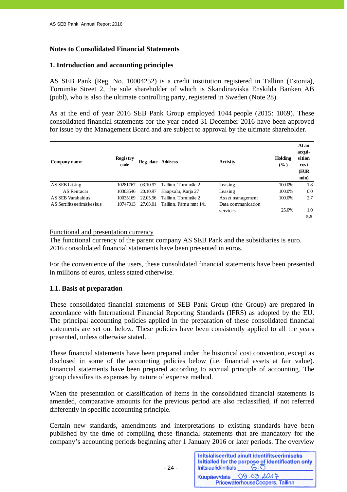# **Notes to Consolidated Financial Statements**

# **1. Introduction and accounting principles**

AS SEB Pank (Reg. No. 10004252) is a credit institution registered in Tallinn (Estonia), Tornimäe Street 2, the sole shareholder of which is Skandinaviska Enskilda Banken AB (publ), who is also the ultimate controlling party, registered in Sweden (Note 28).

As at the end of year 2016 SEB Pank Group employed 1044 people (2015: 1069). These consolidated financial statements for the year ended 31 December 2016 have been approved for issue by the Management Board and are subject to approval by the ultimate shareholder.

| Company name              | <b>Registry</b><br>code | Reg. date Address |                        | Activity           | Holding<br>$($ %) | At an<br>acqui-<br>sition<br>cost<br>(EUR<br>mio) |
|---------------------------|-------------------------|-------------------|------------------------|--------------------|-------------------|---------------------------------------------------|
| AS SEB Liising            | 10281767                | 03.10.97          | Tallinn, Tornimäe 2    | Leasing            | 100.0%            | 1.8                                               |
| AS Rentacar               | 10303546                | 20.10.97          | Haapsalu, Karja 27     | Leasing            | 100.0%            | 0.0                                               |
| AS SEB Varahaldus         | 10035169                | 22.05.96          | Tallinn, Tornimäe 2    | Asset management   | 100.0%            | 2.7                                               |
| AS Sertifitseerimiskeskus | 10747013                | 27.03.01          | Tallinn. Pärnu mnt 141 | Data communication |                   |                                                   |
|                           |                         |                   |                        | services           | 25.0%             | 1.0                                               |
|                           |                         |                   |                        |                    |                   | 5.5                                               |

#### Functional and presentation currency

The functional currency of the parent company AS SEB Pank and the subsidiaries is euro. 2016 consolidated financial statements have been presented in euros.

For the convenience of the users, these consolidated financial statements have been presented in millions of euros, unless stated otherwise.

#### **1.1. Basis of preparation**

These consolidated financial statements of SEB Pank Group (the Group) are prepared in accordance with International Financial Reporting Standards (IFRS) as adopted by the EU. The principal accounting policies applied in the preparation of these consolidated financial statements are set out below. These policies have been consistently applied to all the years presented, unless otherwise stated.

These financial statements have been prepared under the historical cost convention, except as disclosed in some of the accounting policies below (i.e. financial assets at fair value). Financial statements have been prepared according to accrual principle of accounting. The group classifies its expenses by nature of expense method.

When the presentation or classification of items in the consolidated financial statements is amended, comparative amounts for the previous period are also reclassified, if not referred differently in specific accounting principle.

Certain new standards, amendments and interpretations to existing standards have been published by the time of compiling these financial statements that are mandatory for the company's accounting periods beginning after 1 January 2016 or later periods. The overview

| Initsiaalid/initials | Initsialiseeritud ainult identifitseerimiseks<br>Initialled for the purpose of identification only |
|----------------------|----------------------------------------------------------------------------------------------------|
| Kuupäev/date         | 09.03.2017                                                                                         |
|                      | PricewaterhouseCoopers, Tallinn                                                                    |

- 24 -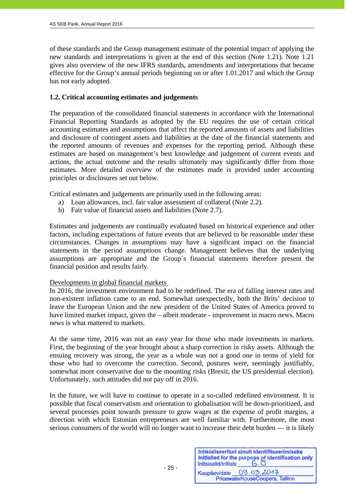of these standards and the Group management estimate of the potential impact of applying the new standards and interpretations is given at the end of this section (Note 1.21). Note 1.21 gives also overview of the new IFRS standards, amendments and interpretations that became effective for the Group's annual periods beginning on or after 1.01.2017 and which the Group has not early adopted.

#### **1.2. Critical accounting estimates and judgements**

The preparation of the consolidated financial statements in accordance with the International Financial Reporting Standards as adopted by the EU requires the use of certain critical accounting estimates and assumptions that affect the reported amounts of assets and liabilities and disclosure of contingent assets and liabilities at the date of the financial statements and the reported amounts of revenues and expenses for the reporting period. Although these estimates are based on management's best knowledge and judgement of current events and actions, the actual outcome and the results ultimately may significantly differ from those estimates. More detailed overview of the estimates made is provided under accounting principles or disclosures set out below.

Critical estimates and judgements are primarily used in the following areas:

- a) Loan allowances, incl. fair value assessment of collateral (Note 2.2).
- b) Fair value of financial assets and liabilities (Note 2.7).

Estimates and judgements are continually evaluated based on historical experience and other factors, including expectations of future events that are believed to be reasonable under these circumstances. Changes in assumptions may have a significant impact on the financial statements in the period assumptions change. Management believes that the underlying assumptions are appropriate and the Group´s financial statements therefore present the financial position and results fairly.

#### Developments in global financial markets

In 2016, the investment environment had to be redefined. The era of falling interest rates and non-existent inflation came to an end. Somewhat unexpectedly, both the Brits' decision to leave the European Union and the new president of the United States of America proved to have limited market impact, given the – albeit moderate - improvement in macro news. Macro news is what mattered to markets.

At the same time, 2016 was not an easy year for those who made investments in markets. First, the beginning of the year brought about a sharp correction in risky assets. Although the ensuing recovery was strong, the year as a whole was not a good one in terms of yield for those who had to overcome the correction. Second, postures were, seemingly justifiably, somewhat more conservative due to the mounting risks (Brexit, the US presidential election). Unfortunately, such attitudes did not pay off in 2016.

In the future, we will have to continue to operate in a so-called redefined environment. It is possible that fiscal conservatism and orientation to globalisation will be down-prioritized, and several processes point towards pressure to grow wages at the expense of profit margins, a direction with which Estonian entrepreneurs are well familiar with. Furthermore, the most serious consumers of the world will no longer want to increase their debt burden — it is likely

| Initsiaalid/initials | Initsialiseeritud ainult identifitseerimiseks<br>Initialled for the purpose of identification only<br>$G.\overline{O}$ |
|----------------------|------------------------------------------------------------------------------------------------------------------------|
| Kuupäev/date         | 09.03.2017                                                                                                             |
|                      | PricewaterhouseCoopers, Tallinn                                                                                        |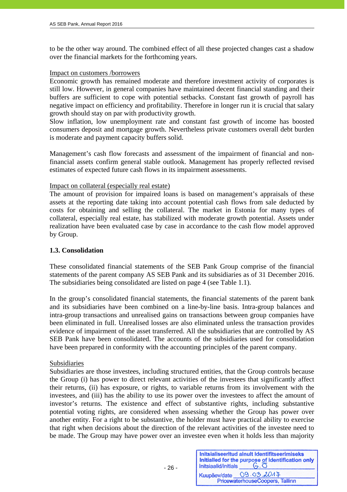to be the other way around. The combined effect of all these projected changes cast a shadow over the financial markets for the forthcoming years.

#### Impact on customers /borrowers

Economic growth has remained moderate and therefore investment activity of corporates is still low. However, in general companies have maintained decent financial standing and their buffers are sufficient to cope with potential setbacks. Constant fast growth of payroll has negative impact on efficiency and profitability. Therefore in longer run it is crucial that salary growth should stay on par with productivity growth.

Slow inflation, low unemployment rate and constant fast growth of income has boosted consumers deposit and mortgage growth. Nevertheless private customers overall debt burden is moderate and payment capacity buffers solid.

Management's cash flow forecasts and assessment of the impairment of financial and nonfinancial assets confirm general stable outlook. Management has properly reflected revised estimates of expected future cash flows in its impairment assessments.

#### Impact on collateral (especially real estate)

The amount of provision for impaired loans is based on management's appraisals of these assets at the reporting date taking into account potential cash flows from sale deducted by costs for obtaining and selling the collateral. The market in Estonia for many types of collateral, especially real estate, has stabilized with moderate growth potential. Assets under realization have been evaluated case by case in accordance to the cash flow model approved by Group.

# **1.3. Consolidation**

These consolidated financial statements of the SEB Pank Group comprise of the financial statements of the parent company AS SEB Pank and its subsidiaries as of 31 December 2016. The subsidiaries being consolidated are listed on page 4 (see Table 1.1).

In the group's consolidated financial statements, the financial statements of the parent bank and its subsidiaries have been combined on a line-by-line basis. Intra-group balances and intra-group transactions and unrealised gains on transactions between group companies have been eliminated in full. Unrealised losses are also eliminated unless the transaction provides evidence of impairment of the asset transferred. All the subsidiaries that are controlled by AS SEB Pank have been consolidated. The accounts of the subsidiaries used for consolidation have been prepared in conformity with the accounting principles of the parent company.

#### Subsidiaries

Subsidiaries are those investees, including structured entities, that the Group controls because the Group (i) has power to direct relevant activities of the investees that significantly affect their returns, (ii) has exposure, or rights, to variable returns from its involvement with the investees, and (iii) has the ability to use its power over the investees to affect the amount of investor's returns. The existence and effect of substantive rights, including substantive potential voting rights, are considered when assessing whether the Group has power over another entity. For a right to be substantive, the holder must have practical ability to exercise that right when decisions about the direction of the relevant activities of the investee need to be made. The Group may have power over an investee even when it holds less than majority

| Initsiaalid/initials | Initsialiseeritud ainult identifitseerimiseks<br>Initialled for the purpose of identification only<br>$G.\overline{O}$ |
|----------------------|------------------------------------------------------------------------------------------------------------------------|
| Kuupäev/date         | 09.03.2017                                                                                                             |
|                      | PricewaterhouseCoopers, Tallinn                                                                                        |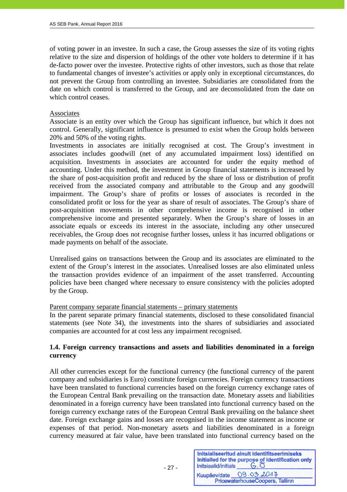of voting power in an investee. In such a case, the Group assesses the size of its voting rights relative to the size and dispersion of holdings of the other vote holders to determine if it has de-facto power over the investee. Protective rights of other investors, such as those that relate to fundamental changes of investee's activities or apply only in exceptional circumstances, do not prevent the Group from controlling an investee. Subsidiaries are consolidated from the date on which control is transferred to the Group, and are deconsolidated from the date on which control ceases.

#### Associates

j

Associate is an entity over which the Group has significant influence, but which it does not control. Generally, significant influence is presumed to exist when the Group holds between 20% and 50% of the voting rights.

Investments in associates are initially recognised at cost. The Group's investment in associates includes goodwill (net of any accumulated impairment loss) identified on acquisition. Investments in associates are accounted for under the equity method of accounting. Under this method, the investment in Group financial statements is increased by the share of post-acquisition profit and reduced by the share of loss or distribution of profit received from the associated company and attributable to the Group and any goodwill impairment. The Group's share of profits or losses of associates is recorded in the consolidated profit or loss for the year as share of result of associates. The Group's share of post-acquisition movements in other comprehensive income is recognised in other comprehensive income and presented separately. When the Group's share of losses in an associate equals or exceeds its interest in the associate, including any other unsecured receivables, the Group does not recognise further losses, unless it has incurred obligations or made payments on behalf of the associate.

Unrealised gains on transactions between the Group and its associates are eliminated to the extent of the Group's interest in the associates. Unrealised losses are also eliminated unless the transaction provides evidence of an impairment of the asset transferred. Accounting policies have been changed where necessary to ensure consistency with the policies adopted by the Group.

#### Parent company separate financial statements – primary statements

In the parent separate primary financial statements, disclosed to these consolidated financial statements (see Note 34), the investments into the shares of subsidiaries and associated companies are accounted for at cost less any impairment recognised.

#### **1.4. Foreign currency transactions and assets and liabilities denominated in a foreign currency**

All other currencies except for the functional currency (the functional currency of the parent company and subsidiaries is Euro) constitute foreign currencies. Foreign currency transactions have been translated to functional currencies based on the foreign currency exchange rates of the European Central Bank prevailing on the transaction date. Monetary assets and liabilities denominated in a foreign currency have been translated into functional currency based on the foreign currency exchange rates of the European Central Bank prevailing on the balance sheet date. Foreign exchange gains and losses are recognised in the income statement as income or expenses of that period. Non-monetary assets and liabilities denominated in a foreign currency measured at fair value, have been translated into functional currency based on the

| Initsiaalid/initials | Initsialiseeritud ainult identifitseerimiseks<br>Initialled for the purpose of identification only |
|----------------------|----------------------------------------------------------------------------------------------------|
|                      | Kuupäev/date 09.03.2014                                                                            |
|                      | PricewaterhouseCoopers, Tallinn                                                                    |

— 27 - Северник в село в 27 - Северник в село в 27 - Северник в село в 27 - Северник в село в село в село в се<br>Село в село в село в село в село в село в село в село в село в село в село в село в село в село в село в село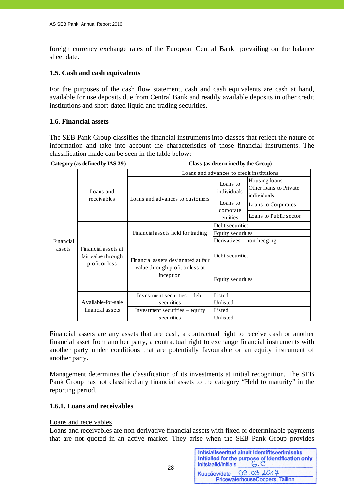foreign currency exchange rates of the European Central Bank prevailing on the balance sheet date.

# **1.5. Cash and cash equivalents**

For the purposes of the cash flow statement, cash and cash equivalents are cash at hand, available for use deposits due from Central Bank and readily available deposits in other credit institutions and short-dated liquid and trading securities.

#### **1.6. Financial assets**

The SEB Pank Group classifies the financial instruments into classes that reflect the nature of information and take into account the characteristics of those financial instruments. The classification made can be seen in the table below:

**Category (as defined by IAS 39) Class (as determined by the Group)**

|           |                                                                       | Loans and advances to credit institutions                                           |                             |                                                        |
|-----------|-----------------------------------------------------------------------|-------------------------------------------------------------------------------------|-----------------------------|--------------------------------------------------------|
| Loans and |                                                                       |                                                                                     | Loans to<br>individuals     | Housing loans<br>Other loans to Private<br>individuals |
|           | receivables                                                           | Loans and advances to customers                                                     | Loans to                    | Loans to Corporates                                    |
|           |                                                                       |                                                                                     | corporate<br>entities       | Loans to Public sector                                 |
|           |                                                                       |                                                                                     | Debt securities             |                                                        |
|           | Financial assets held for trading                                     | Equity securities                                                                   |                             |                                                        |
| Financial | Financial assets at<br>assets<br>fair value through<br>profit or loss |                                                                                     | Derivatives $-$ non-hedging |                                                        |
|           |                                                                       | Financial assets designated at fair<br>value through profit or loss at<br>inception | Debt securities             |                                                        |
|           |                                                                       |                                                                                     | Equity securities           |                                                        |
|           |                                                                       | Investment securities - debt                                                        | Listed                      |                                                        |
|           | Available-for-sale                                                    | securities                                                                          | Unlisted                    |                                                        |
|           | financial assets                                                      | Investment securities $-$ equity                                                    | Listed                      |                                                        |
|           |                                                                       | securities                                                                          | Unlisted                    |                                                        |

Financial assets are any assets that are cash, a contractual right to receive cash or another financial asset from another party, a contractual right to exchange financial instruments with another party under conditions that are potentially favourable or an equity instrument of another party.

Management determines the classification of its investments at initial recognition. The SEB Pank Group has not classified any financial assets to the category "Held to maturity" in the reporting period.

# **1.6.1. Loans and receivables**

 $- 28 -$ 

#### Loans and receivables

Loans and receivables are non-derivative financial assets with fixed or determinable payments that are not quoted in an active market. They arise when the SEB Pank Group provides

Initsialiseeritud ainult identifitseerimiseks Initialled for the purpose of identification only Initsiaalid/initials  $G.\overline{O}$ Kuupäev/date 09.03.2017 PricewaterhouseCoopers, Tallinn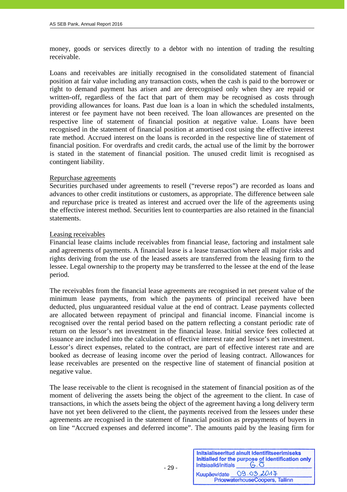money, goods or services directly to a debtor with no intention of trading the resulting receivable.

Loans and receivables are initially recognised in the consolidated statement of financial position at fair value including any transaction costs, when the cash is paid to the borrower or right to demand payment has arisen and are derecognised only when they are repaid or written-off, regardless of the fact that part of them may be recognised as costs through providing allowances for loans. Past due loan is a loan in which the scheduled instalments, interest or fee payment have not been received. The loan allowances are presented on the respective line of statement of financial position at negative value. Loans have been recognised in the statement of financial position at amortised cost using the effective interest rate method. Accrued interest on the loans is recorded in the respective line of statement of financial position. For overdrafts and credit cards, the actual use of the limit by the borrower is stated in the statement of financial position. The unused credit limit is recognised as contingent liability.

#### Repurchase agreements

Securities purchased under agreements to resell ("reverse repos") are recorded as loans and advances to other credit institutions or customers, as appropriate. The difference between sale and repurchase price is treated as interest and accrued over the life of the agreements using the effective interest method. Securities lent to counterparties are also retained in the financial statements.

#### Leasing receivables

Financial lease claims include receivables from financial lease, factoring and instalment sale and agreements of payments. A financial lease is a lease transaction where all major risks and rights deriving from the use of the leased assets are transferred from the leasing firm to the lessee. Legal ownership to the property may be transferred to the lessee at the end of the lease period.

The receivables from the financial lease agreements are recognised in net present value of the minimum lease payments, from which the payments of principal received have been deducted, plus unguaranteed residual value at the end of contract. Lease payments collected are allocated between repayment of principal and financial income. Financial income is recognised over the rental period based on the pattern reflecting a constant periodic rate of return on the lessor's net investment in the financial lease. Initial service fees collected at issuance are included into the calculation of effective interest rate and lessor's net investment. Lessor's direct expenses, related to the contract, are part of effective interest rate and are booked as decrease of leasing income over the period of leasing contract. Allowances for lease receivables are presented on the respective line of statement of financial position at negative value.

The lease receivable to the client is recognised in the statement of financial position as of the moment of delivering the assets being the object of the agreement to the client. In case of transactions, in which the assets being the object of the agreement having a long delivery term have not yet been delivered to the client, the payments received from the lessees under these agreements are recognised in the statement of financial position as prepayments of buyers in on line "Accrued expenses and deferred income". The amounts paid by the leasing firm for

| Initsiaalid/initials | Initsialiseeritud ainult identifitseerimiseks<br>Initialled for the purpose of identification only |
|----------------------|----------------------------------------------------------------------------------------------------|
|                      | Kuupäev/date 09.03.2017                                                                            |
|                      | PricewaterhouseCoopers, Tallinn                                                                    |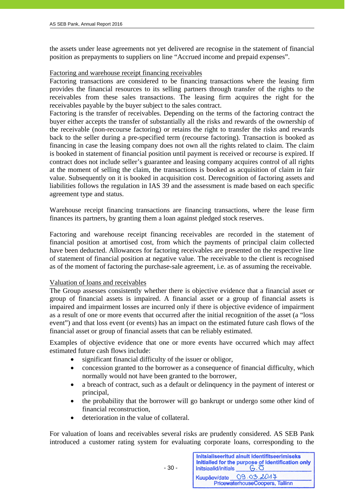the assets under lease agreements not yet delivered are recognise in the statement of financial position as prepayments to suppliers on line "Accrued income and prepaid expenses".

#### Factoring and warehouse receipt financing receivables

Factoring transactions are considered to be financing transactions where the leasing firm provides the financial resources to its selling partners through transfer of the rights to the receivables from these sales transactions. The leasing firm acquires the right for the receivables payable by the buyer subject to the sales contract.

Factoring is the transfer of receivables. Depending on the terms of the factoring contract the buyer either accepts the transfer of substantially all the risks and rewards of the ownership of the receivable (non-recourse factoring) or retains the right to transfer the risks and rewards back to the seller during a pre-specified term (recourse factoring). Transaction is booked as financing in case the leasing company does not own all the rights related to claim. The claim is booked in statement of financial position until payment is received or recourse is expired. If contract does not include seller's guarantee and leasing company acquires control of all rights at the moment of selling the claim, the transactions is booked as acquisition of claim in fair value. Subsequently on it is booked in acquisition cost. Derecognition of factoring assets and liabilities follows the regulation in IAS 39 and the assessment is made based on each specific agreement type and status.

Warehouse receipt financing transactions are financing transactions, where the lease firm finances its partners, by granting them a loan against pledged stock reserves.

Factoring and warehouse receipt financing receivables are recorded in the statement of financial position at amortised cost, from which the payments of principal claim collected have been deducted. Allowances for factoring receivables are presented on the respective line of statement of financial position at negative value. The receivable to the client is recognised as of the moment of factoring the purchase-sale agreement, i.e. as of assuming the receivable.

#### Valuation of loans and receivables

The Group assesses consistently whether there is objective evidence that a financial asset or group of financial assets is impaired. A financial asset or a group of financial assets is impaired and impairment losses are incurred only if there is objective evidence of impairment as a result of one or more events that occurred after the initial recognition of the asset (a "loss event") and that loss event (or events) has an impact on the estimated future cash flows of the financial asset or group of financial assets that can be reliably estimated.

Examples of objective evidence that one or more events have occurred which may affect estimated future cash flows include:

- significant financial difficulty of the issuer or obligor,
- concession granted to the borrower as a consequence of financial difficulty, which normally would not have been granted to the borrower,
- a breach of contract, such as a default or delinquency in the payment of interest or principal,
- the probability that the borrower will go bankrupt or undergo some other kind of financial reconstruction,
- deterioration in the value of collateral.

For valuation of loans and receivables several risks are prudently considered. AS SEB Pank introduced a customer rating system for evaluating corporate loans, corresponding to the

Initsialiseeritud ainult identifitseerimiseks Initialled for the purpose of identification only  $-6.0$ Initsiaalid/initials Kuupäev/date 09.03.2017 PricewaterhouseCoopers, Tallinn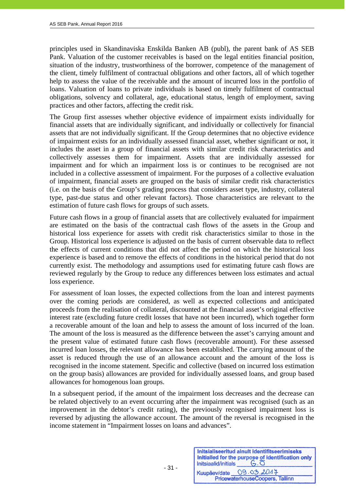principles used in Skandinaviska Enskilda Banken AB (publ), the parent bank of AS SEB Pank. Valuation of the customer receivables is based on the legal entities financial position, situation of the industry, trustworthiness of the borrower, competence of the management of the client, timely fulfilment of contractual obligations and other factors, all of which together help to assess the value of the receivable and the amount of incurred loss in the portfolio of loans. Valuation of loans to private individuals is based on timely fulfilment of contractual obligations, solvency and collateral, age, educational status, length of employment, saving practices and other factors, affecting the credit risk.

The Group first assesses whether objective evidence of impairment exists individually for financial assets that are individually significant, and individually or collectively for financial assets that are not individually significant. If the Group determines that no objective evidence of impairment exists for an individually assessed financial asset, whether significant or not, it includes the asset in a group of financial assets with similar credit risk characteristics and collectively assesses them for impairment. Assets that are individually assessed for impairment and for which an impairment loss is or continues to be recognised are not included in a collective assessment of impairment. For the purposes of a collective evaluation of impairment, financial assets are grouped on the basis of similar credit risk characteristics (i.e. on the basis of the Group's grading process that considers asset type, industry, collateral type, past-due status and other relevant factors). Those characteristics are relevant to the estimation of future cash flows for groups of such assets.

Future cash flows in a group of financial assets that are collectively evaluated for impairment are estimated on the basis of the contractual cash flows of the assets in the Group and historical loss experience for assets with credit risk characteristics similar to those in the Group. Historical loss experience is adjusted on the basis of current observable data to reflect the effects of current conditions that did not affect the period on which the historical loss experience is based and to remove the effects of conditions in the historical period that do not currently exist. The methodology and assumptions used for estimating future cash flows are reviewed regularly by the Group to reduce any differences between loss estimates and actual loss experience.

For assessment of loan losses, the expected collections from the loan and interest payments over the coming periods are considered, as well as expected collections and anticipated proceeds from the realisation of collateral, discounted at the financial asset's original effective interest rate (excluding future credit losses that have not been incurred), which together form a recoverable amount of the loan and help to assess the amount of loss incurred of the loan. The amount of the loss is measured as the difference between the asset's carrying amount and the present value of estimated future cash flows (recoverable amount). For these assessed incurred loan losses, the relevant allowance has been established. The carrying amount of the asset is reduced through the use of an allowance account and the amount of the loss is recognised in the income statement. Specific and collective (based on incurred loss estimation on the group basis) allowances are provided for individually assessed loans, and group based allowances for homogenous loan groups.

In a subsequent period, if the amount of the impairment loss decreases and the decrease can be related objectively to an event occurring after the impairment was recognised (such as an improvement in the debtor's credit rating), the previously recognised impairment loss is reversed by adjusting the allowance account. The amount of the reversal is recognised in the income statement in "Impairment losses on loans and advances".

| Initsiaalid/initials | Initsialiseeritud ainult identifitseerimiseks<br>Initialled for the purpose of identification only |
|----------------------|----------------------------------------------------------------------------------------------------|
| Kuupäev/date         | 09.03.2017                                                                                         |
|                      | PricewaterhouseCoopers, Tallinn                                                                    |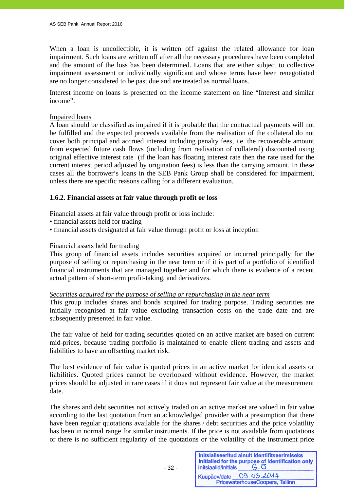When a loan is uncollectible, it is written off against the related allowance for loan impairment. Such loans are written off after all the necessary procedures have been completed and the amount of the loss has been determined. Loans that are either subject to collective impairment assessment or individually significant and whose terms have been renegotiated are no longer considered to be past due and are treated as normal loans.

Interest income on loans is presented on the income statement on line "Interest and similar income".

#### Impaired loans

j

A loan should be classified as impaired if it is probable that the contractual payments will not be fulfilled and the expected proceeds available from the realisation of the collateral do not cover both principal and accrued interest including penalty fees, i.e. the recoverable amount from expected future cash flows (including from realisation of collateral) discounted using original effective interest rate (if the loan has floating interest rate then the rate used for the current interest period adjusted by origination fees) is less than the carrying amount. In these cases all the borrower's loans in the SEB Pank Group shall be considered for impairment, unless there are specific reasons calling for a different evaluation.

#### **1.6.2. Financial assets at fair value through profit or loss**

Financial assets at fair value through profit or loss include:

- financial assets held for trading
- financial assets designated at fair value through profit or loss at inception

#### Financial assets held for trading

This group of financial assets includes securities acquired or incurred principally for the purpose of selling or repurchasing in the near term or if it is part of a portfolio of identified financial instruments that are managed together and for which there is evidence of a recent actual pattern of short-term profit-taking, and derivatives.

#### *Securities acquired for the purpose of selling or repurchasing in the near term*

This group includes shares and bonds acquired for trading purpose. Trading securities are initially recognised at fair value excluding transaction costs on the trade date and are subsequently presented in fair value.

The fair value of held for trading securities quoted on an active market are based on current mid-prices, because trading portfolio is maintained to enable client trading and assets and liabilities to have an offsetting market risk.

The best evidence of fair value is quoted prices in an active market for identical assets or liabilities. Quoted prices cannot be overlooked without evidence. However, the market prices should be adjusted in rare cases if it does not represent fair value at the measurement date.

The shares and debt securities not actively traded on an active market are valued in fair value according to the last quotation from an acknowledged provider with a presumption that there have been regular quotations available for the shares / debt securities and the price volatility has been in normal range for similar instruments. If the price is not available from quotations or there is no sufficient regularity of the quotations or the volatility of the instrument price

| Initsiaalid/initials | Initsialiseeritud ainult identifitseerimiseks<br>Initialled for the purpose of identification only |
|----------------------|----------------------------------------------------------------------------------------------------|
| Kuupäev/date         | 09.03.2017                                                                                         |
|                      | PricewaterhouseCoopers, Tallinn                                                                    |

 $- 32 -$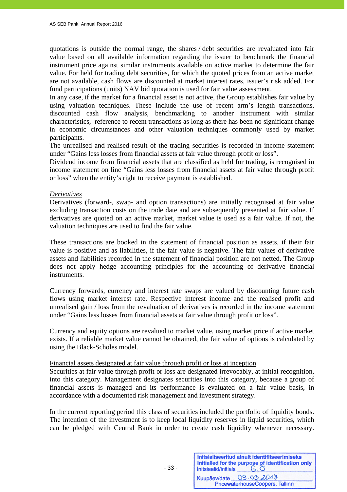quotations is outside the normal range, the shares / debt securities are revaluated into fair value based on all available information regarding the issuer to benchmark the financial instrument price against similar instruments available on active market to determine the fair value. For held for trading debt securities, for which the quoted prices from an active market are not available, cash flows are discounted at market interest rates, issuer's risk added. For fund participations (units) NAV bid quotation is used for fair value assessment.

In any case, if the market for a financial asset is not active, the Group establishes fair value by using valuation techniques. These include the use of recent arm's length transactions, discounted cash flow analysis, benchmarking to another instrument with similar characteristics, reference to recent transactions as long as there has been no significant change in economic circumstances and other valuation techniques commonly used by market participants.

The unrealised and realised result of the trading securities is recorded in income statement under "Gains less losses from financial assets at fair value through profit or loss".

Dividend income from financial assets that are classified as held for trading, is recognised in income statement on line "Gains less losses from financial assets at fair value through profit or loss" when the entity's right to receive payment is established.

#### *Derivatives*

Derivatives (forward-, swap- and option transactions) are initially recognised at fair value excluding transaction costs on the trade date and are subsequently presented at fair value. If derivatives are quoted on an active market, market value is used as a fair value. If not, the valuation techniques are used to find the fair value.

These transactions are booked in the statement of financial position as assets, if their fair value is positive and as liabilities, if the fair value is negative. The fair values of derivative assets and liabilities recorded in the statement of financial position are not netted. The Group does not apply hedge accounting principles for the accounting of derivative financial instruments.

Currency forwards, currency and interest rate swaps are valued by discounting future cash flows using market interest rate. Respective interest income and the realised profit and unrealised gain / loss from the revaluation of derivatives is recorded in the income statement under "Gains less losses from financial assets at fair value through profit or loss".

Currency and equity options are revalued to market value, using market price if active market exists. If a reliable market value cannot be obtained, the fair value of options is calculated by using the Black-Scholes model.

#### Financial assets designated at fair value through profit or loss at inception

 $- 33 -$ 

Securities at fair value through profit or loss are designated irrevocably, at initial recognition, into this category. Management designates securities into this category, because a group of financial assets is managed and its performance is evaluated on a fair value basis, in accordance with a documented risk management and investment strategy.

In the current reporting period this class of securities included the portfolio of liquidity bonds. The intention of the investment is to keep local liquidity reserves in liquid securities, which can be pledged with Central Bank in order to create cash liquidity whenever necessary.

| Initsiaalid/initials | Initsialiseeritud ainult identifitseerimiseks<br>Initialled for the purpose of identification only |
|----------------------|----------------------------------------------------------------------------------------------------|
|                      | Kuupäev/date 09.03.2014                                                                            |
|                      | PricewaterhouseCoopers, Tallinn                                                                    |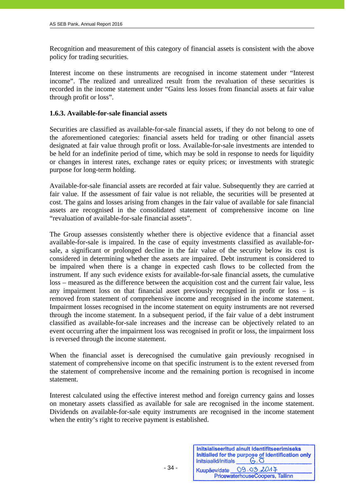Recognition and measurement of this category of financial assets is consistent with the above policy for trading securities.

Interest income on these instruments are recognised in income statement under "Interest income". The realized and unrealized result from the revaluation of these securities is recorded in the income statement under "Gains less losses from financial assets at fair value through profit or loss".

#### **1.6.3. Available-for-sale financial assets**

Securities are classified as available-for-sale financial assets, if they do not belong to one of the aforementioned categories: financial assets held for trading or other financial assets designated at fair value through profit or loss. Available-for-sale investments are intended to be held for an indefinite period of time, which may be sold in response to needs for liquidity or changes in interest rates, exchange rates or equity prices; or investments with strategic purpose for long-term holding.

Available-for-sale financial assets are recorded at fair value. Subsequently they are carried at fair value. If the assessment of fair value is not reliable, the securities will be presented at cost. The gains and losses arising from changes in the fair value of available for sale financial assets are recognised in the consolidated statement of comprehensive income on line "revaluation of available-for-sale financial assets".

The Group assesses consistently whether there is objective evidence that a financial asset available-for-sale is impaired. In the case of equity investments classified as available-forsale, a significant or prolonged decline in the fair value of the security below its cost is considered in determining whether the assets are impaired. Debt instrument is considered to be impaired when there is a change in expected cash flows to be collected from the instrument. If any such evidence exists for available-for-sale financial assets, the cumulative loss – measured as the difference between the acquisition cost and the current fair value, less any impairment loss on that financial asset previously recognised in profit or loss – is removed from statement of comprehensive income and recognised in the income statement. Impairment losses recognised in the income statement on equity instruments are not reversed through the income statement. In a subsequent period, if the fair value of a debt instrument classified as available-for-sale increases and the increase can be objectively related to an event occurring after the impairment loss was recognised in profit or loss, the impairment loss is reversed through the income statement.

When the financial asset is derecognised the cumulative gain previously recognised in statement of comprehensive income on that specific instrument is to the extent reversed from the statement of comprehensive income and the remaining portion is recognised in income statement.

Interest calculated using the effective interest method and foreign currency gains and losses on monetary assets classified as available for sale are recognised in the income statement. Dividends on available-for-sale equity instruments are recognised in the income statement when the entity's right to receive payment is established.

| Initsiaalid/initials | Initsialiseeritud ainult identifitseerimiseks<br>Initialled for the purpose of identification only<br>$G.\overline{O}$ |
|----------------------|------------------------------------------------------------------------------------------------------------------------|
| Kuupäev/date         | 09.03.2017<br>PricewaterhouseCoopers, Tallinn                                                                          |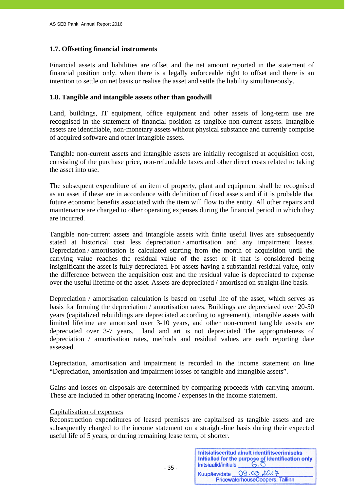# **1.7. Offsetting financial instruments**

Financial assets and liabilities are offset and the net amount reported in the statement of financial position only, when there is a legally enforceable right to offset and there is an intention to settle on net basis or realise the asset and settle the liability simultaneously.

#### **1.8. Tangible and intangible assets other than goodwill**

Land, buildings, IT equipment, office equipment and other assets of long-term use are recognised in the statement of financial position as tangible non-current assets. Intangible assets are identifiable, non-monetary assets without physical substance and currently comprise of acquired software and other intangible assets.

Tangible non-current assets and intangible assets are initially recognised at acquisition cost, consisting of the purchase price, non-refundable taxes and other direct costs related to taking the asset into use.

The subsequent expenditure of an item of property, plant and equipment shall be recognised as an asset if these are in accordance with definition of fixed assets and if it is probable that future economic benefits associated with the item will flow to the entity. All other repairs and maintenance are charged to other operating expenses during the financial period in which they are incurred.

Tangible non-current assets and intangible assets with finite useful lives are subsequently stated at historical cost less depreciation / amortisation and any impairment losses. Depreciation / amortisation is calculated starting from the month of acquisition until the carrying value reaches the residual value of the asset or if that is considered being insignificant the asset is fully depreciated. For assets having a substantial residual value, only the difference between the acquisition cost and the residual value is depreciated to expense over the useful lifetime of the asset. Assets are depreciated / amortised on straight-line basis.

Depreciation / amortisation calculation is based on useful life of the asset, which serves as basis for forming the depreciation / amortisation rates. Buildings are depreciated over 20-50 years (capitalized rebuildings are depreciated according to agreement), intangible assets with limited lifetime are amortised over 3-10 years, and other non-current tangible assets are depreciated over 3-7 years, land and art is not depreciated The appropriateness of depreciation / amortisation rates, methods and residual values are each reporting date assessed.

Depreciation, amortisation and impairment is recorded in the income statement on line "Depreciation, amortisation and impairment losses of tangible and intangible assets".

Gains and losses on disposals are determined by comparing proceeds with carrying amount. These are included in other operating income / expenses in the income statement.

#### Capitalisation of expenses

- 35 -

Reconstruction expenditures of leased premises are capitalised as tangible assets and are subsequently charged to the income statement on a straight-line basis during their expected useful life of 5 years, or during remaining lease term, of shorter.

| Initsiaalid/initials | Initsialiseeritud ainult identifitseerimiseks<br>Initialled for the purpose of identification only<br>$G.\overline{O}$ |
|----------------------|------------------------------------------------------------------------------------------------------------------------|
|                      | Kuupäev/date 09.03.2014                                                                                                |
|                      | PricewaterhouseCoopers, Tallinn                                                                                        |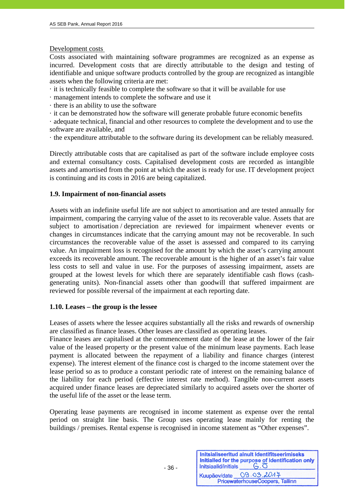#### Development costs

j

Costs associated with maintaining software programmes are recognized as an expense as incurred. Development costs that are directly attributable to the design and testing of identifiable and unique software products controlled by the group are recognized as intangible assets when the following criteria are met:

- · it is technically feasible to complete the software so that it will be available for use
- · management intends to complete the software and use it
- · there is an ability to use the software
- · it can be demonstrated how the software will generate probable future economic benefits

· adequate technical, financial and other resources to complete the development and to use the software are available, and

· the expenditure attributable to the software during its development can be reliably measured.

Directly attributable costs that are capitalised as part of the software include employee costs and external consultancy costs. Capitalised development costs are recorded as intangible assets and amortised from the point at which the asset is ready for use. IT development project is continuing and its costs in 2016 are being capitalized.

# **1.9. Impairment of non-financial assets**

Assets with an indefinite useful life are not subject to amortisation and are tested annually for impairment, comparing the carrying value of the asset to its recoverable value. Assets that are subject to amortisation / depreciation are reviewed for impairment whenever events or changes in circumstances indicate that the carrying amount may not be recoverable. In such circumstances the recoverable value of the asset is assessed and compared to its carrying value. An impairment loss is recognised for the amount by which the asset's carrying amount exceeds its recoverable amount. The recoverable amount is the higher of an asset's fair value less costs to sell and value in use. For the purposes of assessing impairment, assets are grouped at the lowest levels for which there are separately identifiable cash flows (cashgenerating units). Non-financial assets other than goodwill that suffered impairment are reviewed for possible reversal of the impairment at each reporting date.

# **1.10. Leases – the group is the lessee**

 $- 36 -$ 

Leases of assets where the lessee acquires substantially all the risks and rewards of ownership are classified as finance leases. Other leases are classified as operating leases.

Finance leases are capitalised at the commencement date of the lease at the lower of the fair value of the leased property or the present value of the minimum lease payments. Each lease payment is allocated between the repayment of a liability and finance charges (interest expense). The interest element of the finance cost is charged to the income statement over the lease period so as to produce a constant periodic rate of interest on the remaining balance of the liability for each period (effective interest rate method). Tangible non-current assets acquired under finance leases are depreciated similarly to acquired assets over the shorter of the useful life of the asset or the lease term.

Operating lease payments are recognised in income statement as expense over the rental period on straight line basis. The Group uses operating lease mainly for renting the buildings / premises. Rental expense is recognised in income statement as "Other expenses".

| Initsiaalid/initials | Initsialiseeritud ainult identifitseerimiseks<br>Initialied for the purpose of identification only |
|----------------------|----------------------------------------------------------------------------------------------------|
|                      | Kuupäev/date 09.03.2047<br>PricewaterhouseCoopers, Tallinn                                         |
|                      |                                                                                                    |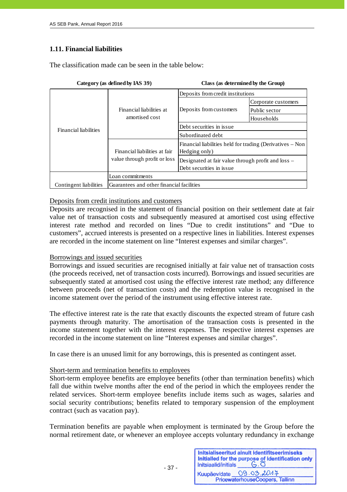# **1.11. Financial liabilities**

The classification made can be seen in the table below:

|                              |                                            | Deposits from credit institutions                                              |                     |  |  |
|------------------------------|--------------------------------------------|--------------------------------------------------------------------------------|---------------------|--|--|
|                              |                                            | Deposits from customers                                                        | Corporate customers |  |  |
|                              | Financial liabilities at<br>amortised cost |                                                                                | Public sector       |  |  |
|                              |                                            |                                                                                | Households          |  |  |
| <b>Financial liabilities</b> |                                            | Debt securities in issue                                                       |                     |  |  |
|                              |                                            | Subordinated debt                                                              |                     |  |  |
|                              | Financial liabilities at fair              | Financial liabilities held for trading (Derivatives - Non<br>Hedging only)     |                     |  |  |
|                              | value through profit or loss               | Designated at fair value through profit and loss –<br>Debt securities in issue |                     |  |  |
|                              | Loan commitments                           |                                                                                |                     |  |  |
| Contingent liabilities       | Guarantees and other financial facilities  |                                                                                |                     |  |  |

#### **Category (as defined by IAS 39) Class (as determined by the Group)**

#### Deposits from credit institutions and customers

Deposits are recognised in the statement of financial position on their settlement date at fair value net of transaction costs and subsequently measured at amortised cost using effective interest rate method and recorded on lines "Due to credit institutions" and "Due to customers", accrued interests is presented on a respective lines in liabilities. Interest expenses are recorded in the income statement on line "Interest expenses and similar charges".

#### Borrowings and issued securities

Borrowings and issued securities are recognised initially at fair value net of transaction costs (the proceeds received, net of transaction costs incurred). Borrowings and issued securities are subsequently stated at amortised cost using the effective interest rate method; any difference between proceeds (net of transaction costs) and the redemption value is recognised in the income statement over the period of the instrument using effective interest rate.

The effective interest rate is the rate that exactly discounts the expected stream of future cash payments through maturity. The amortisation of the transaction costs is presented in the income statement together with the interest expenses. The respective interest expenses are recorded in the income statement on line "Interest expenses and similar charges".

In case there is an unused limit for any borrowings, this is presented as contingent asset.

#### Short-term and termination benefits to employees

— 37 - это не в этом не за селото на 37 - в селото на 37 - в селото на 37 - в селото на 37 - в селото на 37 -

Short-term employee benefits are employee benefits (other than termination benefits) which fall due within twelve months after the end of the period in which the employees render the related services. Short-term employee benefits include items such as wages, salaries and social security contributions; benefits related to temporary suspension of the employment contract (such as vacation pay).

Termination benefits are payable when employment is terminated by the Group before the normal retirement date, or whenever an employee accepts voluntary redundancy in exchange

| Initsiaalid/initials | Initsialiseeritud ainult identifitseerimiseks<br>Initialled for the purpose of identification only<br>$G.\overline{O}$ |
|----------------------|------------------------------------------------------------------------------------------------------------------------|
|                      | Kuupäev/date 09.03.2014                                                                                                |
|                      | PricewaterhouseCoopers, Tallinn                                                                                        |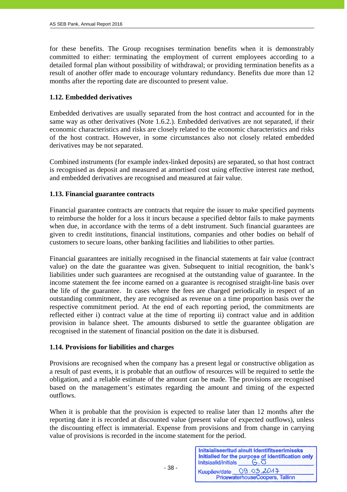for these benefits. The Group recognises termination benefits when it is demonstrably committed to either: terminating the employment of current employees according to a detailed formal plan without possibility of withdrawal; or providing termination benefits as a result of another offer made to encourage voluntary redundancy. Benefits due more than 12 months after the reporting date are discounted to present value.

# **1.12. Embedded derivatives**

Embedded derivatives are usually separated from the host contract and accounted for in the same way as other derivatives (Note 1.6.2.). Embedded derivatives are not separated, if their economic characteristics and risks are closely related to the economic characteristics and risks of the host contract. However, in some circumstances also not closely related embedded derivatives may be not separated.

Combined instruments (for example index-linked deposits) are separated, so that host contract is recognised as deposit and measured at amortised cost using effective interest rate method, and embedded derivatives are recognised and measured at fair value.

# **1.13. Financial guarantee contracts**

Financial guarantee contracts are contracts that require the issuer to make specified payments to reimburse the holder for a loss it incurs because a specified debtor fails to make payments when due, in accordance with the terms of a debt instrument. Such financial guarantees are given to credit institutions, financial institutions, companies and other bodies on behalf of customers to secure loans, other banking facilities and liabilities to other parties.

Financial guarantees are initially recognised in the financial statements at fair value (contract value) on the date the guarantee was given. Subsequent to initial recognition, the bank's liabilities under such guarantees are recognised at the outstanding value of guarantee. In the income statement the fee income earned on a guarantee is recognised straight-line basis over the life of the guarantee. In cases where the fees are charged periodically in respect of an outstanding commitment, they are recognised as revenue on a time proportion basis over the respective commitment period. At the end of each reporting period, the commitments are reflected either i) contract value at the time of reporting ii) contract value and in addition provision in balance sheet. The amounts disbursed to settle the guarantee obligation are recognised in the statement of financial position on the date it is disbursed.

#### **1.14. Provisions for liabilities and charges**

Provisions are recognised when the company has a present legal or constructive obligation as a result of past events, it is probable that an outflow of resources will be required to settle the obligation, and a reliable estimate of the amount can be made. The provisions are recognised based on the management's estimates regarding the amount and timing of the expected outflows.

When it is probable that the provision is expected to realise later than 12 months after the reporting date it is recorded at discounted value (present value of expected outflows), unless the discounting effect is immaterial. Expense from provisions and from change in carrying value of provisions is recorded in the income statement for the period.

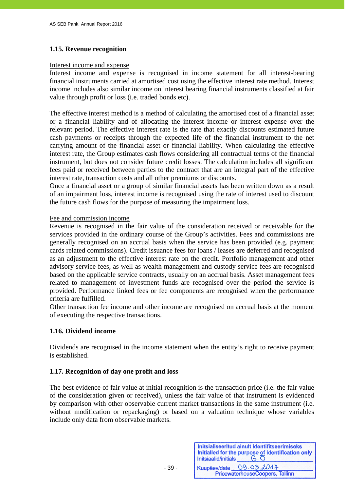# **1.15. Revenue recognition**

#### Interest income and expense

Interest income and expense is recognised in income statement for all interest-bearing financial instruments carried at amortised cost using the effective interest rate method. Interest income includes also similar income on interest bearing financial instruments classified at fair value through profit or loss (i.e. traded bonds etc).

The effective interest method is a method of calculating the amortised cost of a financial asset or a financial liability and of allocating the interest income or interest expense over the relevant period. The effective interest rate is the rate that exactly discounts estimated future cash payments or receipts through the expected life of the financial instrument to the net carrying amount of the financial asset or financial liability. When calculating the effective interest rate, the Group estimates cash flows considering all contractual terms of the financial instrument, but does not consider future credit losses. The calculation includes all significant fees paid or received between parties to the contract that are an integral part of the effective interest rate, transaction costs and all other premiums or discounts.

Once a financial asset or a group of similar financial assets has been written down as a result of an impairment loss, interest income is recognised using the rate of interest used to discount the future cash flows for the purpose of measuring the impairment loss.

#### Fee and commission income

Revenue is recognised in the fair value of the consideration received or receivable for the services provided in the ordinary course of the Group's activities. Fees and commissions are generally recognised on an accrual basis when the service has been provided (e.g. payment cards related commissions). Credit issuance fees for loans / leases are deferred and recognised as an adjustment to the effective interest rate on the credit. Portfolio management and other advisory service fees, as well as wealth management and custody service fees are recognised based on the applicable service contracts, usually on an accrual basis. Asset management fees related to management of investment funds are recognised over the period the service is provided. Performance linked fees or fee components are recognised when the performance criteria are fulfilled.

Other transaction fee income and other income are recognised on accrual basis at the moment of executing the respective transactions.

#### **1.16. Dividend income**

Dividends are recognised in the income statement when the entity's right to receive payment is established.

#### **1.17. Recognition of day one profit and loss**

 $- 39 -$ 

The best evidence of fair value at initial recognition is the transaction price (i.e. the fair value of the consideration given or received), unless the fair value of that instrument is evidenced by comparison with other observable current market transactions in the same instrument (i.e. without modification or repackaging) or based on a valuation technique whose variables include only data from observable markets.

| Initsiaalid/initials | Initsialiseeritud ainult identifitseerimiseks<br>Initialled for the purpose of identification only<br>$G.\overline{O}$ |
|----------------------|------------------------------------------------------------------------------------------------------------------------|
|                      | Kuupäev/date 09.03.2014<br>PricewaterhouseCoopers, Tallinn                                                             |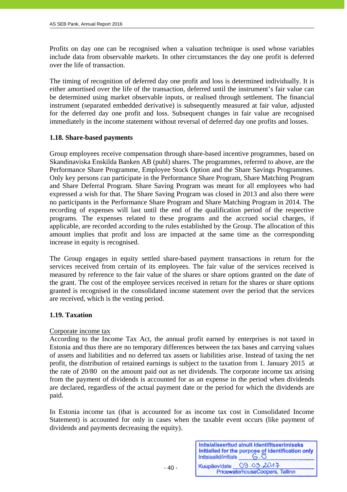Profits on day one can be recognised when a valuation technique is used whose variables include data from observable markets. In other circumstances the day one profit is deferred over the life of transaction.

The timing of recognition of deferred day one profit and loss is determined individually. It is either amortised over the life of the transaction, deferred until the instrument's fair value can be determined using market observable inputs, or realised through settlement. The financial instrument (separated embedded derivative) is subsequently measured at fair value, adjusted for the deferred day one profit and loss. Subsequent changes in fair value are recognised immediately in the income statement without reversal of deferred day one profits and losses.

#### **1.18. Share-based payments**

Group employees receive compensation through share-based incentive programmes, based on Skandinaviska Enskilda Banken AB (publ) shares. The programmes, referred to above, are the Performance Share Programme, Employee Stock Option and the Share Savings Programmes. Only key persons can participate in the Performance Share Program, Share Matching Program and Share Deferral Program. Share Saving Program was meant for all employees who had expressed a wish for that. The Share Saving Program was closed in 2013 and also there were no participants in the Performance Share Program and Share Matching Program in 2014. The recording of expenses will last until the end of the qualification period of the respective programs. The expenses related to these programs and the accrued social charges, if applicable, are recorded according to the rules established by the Group. The allocation of this amount implies that profit and loss are impacted at the same time as the corresponding increase in equity is recognised.

The Group engages in equity settled share-based payment transactions in return for the services received from certain of its employees. The fair value of the services received is measured by reference to the fair value of the shares or share options granted on the date of the grant. The cost of the employee services received in return for the shares or share options granted is recognised in the consolidated income statement over the period that the services are received, which is the vesting period.

#### **1.19. Taxation**

#### Corporate income tax

According to the Income Tax Act, the annual profit earned by enterprises is not taxed in Estonia and thus there are no temporary differences between the tax bases and carrying values of assets and liabilities and no deferred tax assets or liabilities arise. Instead of taxing the net profit, the distribution of retained earnings is subject to the taxation from 1. January 2015 at the rate of 20/80 on the amount paid out as net dividends. The corporate income tax arising from the payment of dividends is accounted for as an expense in the period when dividends are declared, regardless of the actual payment date or the period for which the dividends are paid.

In Estonia income tax (that is accounted for as income tax cost in Consolidated Income Statement) is accounted for only in cases when the taxable event occurs (like payment of dividends and payments decreasing the equity).

| Initsiaalid/initials | Initsialiseeritud ainult identifitseerimiseks<br>Initialled for the purpose of identification only<br>$G.\overline{O}$ |
|----------------------|------------------------------------------------------------------------------------------------------------------------|
|                      | Kuupäev/date 09.03.2017<br>PricewaterhouseCoopers, Tallinn                                                             |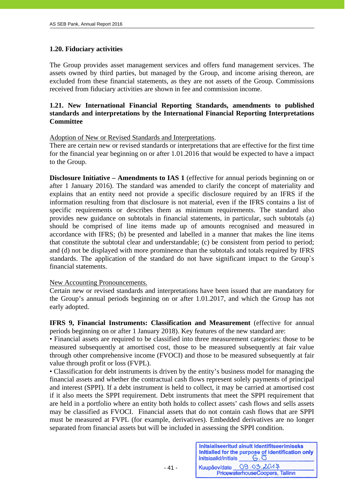# **1.20. Fiduciary activities**

The Group provides asset management services and offers fund management services. The assets owned by third parties, but managed by the Group, and income arising thereon, are excluded from these financial statements, as they are not assets of the Group. Commissions received from fiduciary activities are shown in fee and commission income.

# **1.21. New International Financial Reporting Standards, amendments to published standards and interpretations by the International Financial Reporting Interpretations Committee**

Adoption of New or Revised Standards and Interpretations.

There are certain new or revised standards or interpretations that are effective for the first time for the financial year beginning on or after 1.01.2016 that would be expected to have a impact to the Group.

**Disclosure Initiative – Amendments to IAS 1** (effective for annual periods beginning on or after 1 January 2016). The standard was amended to clarify the concept of materiality and explains that an entity need not provide a specific disclosure required by an IFRS if the information resulting from that disclosure is not material, even if the IFRS contains a list of specific requirements or describes them as minimum requirements. The standard also provides new guidance on subtotals in financial statements, in particular, such subtotals (a) should be comprised of line items made up of amounts recognised and measured in accordance with IFRS; (b) be presented and labelled in a manner that makes the line items that constitute the subtotal clear and understandable; (c) be consistent from period to period; and (d) not be displayed with more prominence than the subtotals and totals required by IFRS standards. The application of the standard do not have significant impact to the Group`s financial statements.

#### New Accounting Pronouncements.

- 41 -

Certain new or revised standards and interpretations have been issued that are mandatory for the Group's annual periods beginning on or after 1.01.2017, and which the Group has not early adopted.

**IFRS 9, Financial Instruments: Classification and Measurement** (effective for annual periods beginning on or after 1 January 2018). Key features of the new standard are:

• Financial assets are required to be classified into three measurement categories: those to be measured subsequently at amortised cost, those to be measured subsequently at fair value through other comprehensive income (FVOCI) and those to be measured subsequently at fair value through profit or loss (FVPL).

• Classification for debt instruments is driven by the entity's business model for managing the financial assets and whether the contractual cash flows represent solely payments of principal and interest (SPPI). If a debt instrument is held to collect, it may be carried at amortised cost if it also meets the SPPI requirement. Debt instruments that meet the SPPI requirement that are held in a portfolio where an entity both holds to collect assets' cash flows and sells assets may be classified as FVOCI. Financial assets that do not contain cash flows that are SPPI must be measured at FVPL (for example, derivatives). Embedded derivatives are no longer separated from financial assets but will be included in assessing the SPPI condition.

| Initsiaalid/initials | Initsialiseeritud ainult identifitseerimiseks<br>Initialled for the purpose of identification only<br>$G.\overline{O}$ |
|----------------------|------------------------------------------------------------------------------------------------------------------------|
| Kuupäev/date         | 09.03.2017                                                                                                             |
|                      | PricewaterhouseCoopers, Tallinn                                                                                        |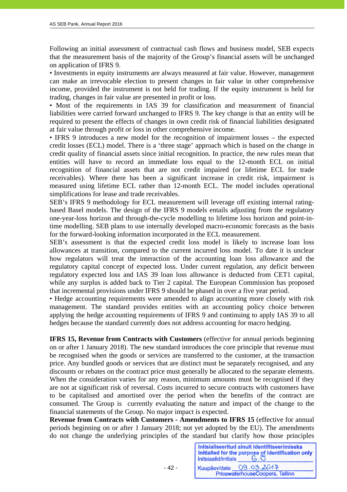Following an initial assessment of contractual cash flows and business model, SEB expects that the measurement basis of the majority of the Group's financial assets will be unchanged on application of IFRS 9.

• Investments in equity instruments are always measured at fair value. However, management can make an irrevocable election to present changes in fair value in other comprehensive income, provided the instrument is not held for trading. If the equity instrument is held for trading, changes in fair value are presented in profit or loss.

• Most of the requirements in IAS 39 for classification and measurement of financial liabilities were carried forward unchanged to IFRS 9. The key change is that an entity will be required to present the effects of changes in own credit risk of financial liabilities designated at fair value through profit or loss in other comprehensive income.

• IFRS 9 introduces a new model for the recognition of impairment losses – the expected credit losses (ECL) model. There is a 'three stage' approach which is based on the change in credit quality of financial assets since initial recognition. In practice, the new rules mean that entities will have to record an immediate loss equal to the 12-month ECL on initial recognition of financial assets that are not credit impaired (or lifetime ECL for trade receivables). Where there has been a significant increase in credit risk, impairment is measured using lifetime ECL rather than 12-month ECL. The model includes operational simplifications for lease and trade receivables.

SEB's IFRS 9 methodology for ECL measurement will leverage off existing internal ratingbased Basel models. The design of the IFRS 9 models entails adjusting from the regulatory one-year-loss horizon and through-the-cycle modelling to lifetime loss horizon and point-intime modelling. SEB plans to use internally developed macro-economic forecasts as the basis for the forward-looking information incorporated in the ECL measurement.

SEB's assessment is that the expected credit loss model is likely to increase loan loss allowances at transition, compared to the current incurred loss model. To date it is unclear how regulators will treat the interaction of the accounting loan loss allowance and the regulatory capital concept of expected loss. Under current regulation, any deficit between regulatory expected loss and IAS 39 loan loss allowance is deducted from CET1 capital, while any surplus is added back to Tier 2 capital. The European Commission has proposed that incremental provisions under IFRS 9 should be phased in over a five year period.

• Hedge accounting requirements were amended to align accounting more closely with risk management. The standard provides entities with an accounting policy choice between applying the hedge accounting requirements of IFRS 9 and continuing to apply IAS 39 to all hedges because the standard currently does not address accounting for macro hedging.

**IFRS 15, Revenue from Contracts with Customers** (effective for annual periods beginning on or after 1 January 2018). The new standard introduces the core principle that revenue must be recognised when the goods or services are transferred to the customer, at the transaction price. Any bundled goods or services that are distinct must be separately recognised, and any discounts or rebates on the contract price must generally be allocated to the separate elements. When the consideration varies for any reason, minimum amounts must be recognised if they are not at significant risk of reversal. Costs incurred to secure contracts with customers have to be capitalised and amortised over the period when the benefits of the contract are consumed. The Group is currently evaluating the nature and impact of the change to the financial statements of the Group. No major impact is expected.

**Revenue from Contracts with Customers - Amendments to IFRS 15** (effective for annual periods beginning on or after 1 January 2018; not yet adopted by the EU). The amendments do not change the underlying principles of the standard but clarify how those principles

Initsialiseeritud ainult identifitseerimiseks Initialled for the purpose of identification only  $G.\overline{O}$ Initsiaalid/initials 09.03.2017 Kuupäev/date PricewaterhouseCoopers, Tallinn

- 42 -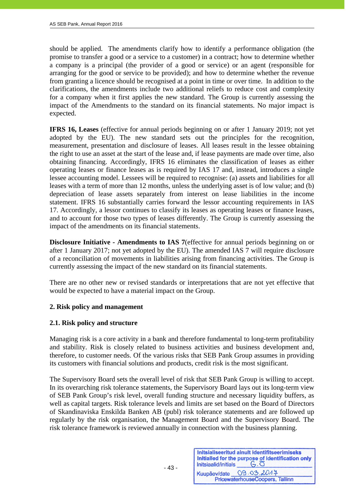should be applied. The amendments clarify how to identify a performance obligation (the promise to transfer a good or a service to a customer) in a contract; how to determine whether a company is a principal (the provider of a good or service) or an agent (responsible for arranging for the good or service to be provided); and how to determine whether the revenue from granting a licence should be recognised at a point in time or over time. In addition to the clarifications, the amendments include two additional reliefs to reduce cost and complexity for a company when it first applies the new standard. The Group is currently assessing the impact of the Amendments to the standard on its financial statements. No major impact is expected.

**IFRS 16, Leases** (effective for annual periods beginning on or after 1 January 2019; not yet adopted by the EU). The new standard sets out the principles for the recognition, measurement, presentation and disclosure of leases. All leases result in the lessee obtaining the right to use an asset at the start of the lease and, if lease payments are made over time, also obtaining financing. Accordingly, IFRS 16 eliminates the classification of leases as either operating leases or finance leases as is required by IAS 17 and, instead, introduces a single lessee accounting model. Lessees will be required to recognise: (a) assets and liabilities for all leases with a term of more than 12 months, unless the underlying asset is of low value; and (b) depreciation of lease assets separately from interest on lease liabilities in the income statement. IFRS 16 substantially carries forward the lessor accounting requirements in IAS 17. Accordingly, a lessor continues to classify its leases as operating leases or finance leases, and to account for those two types of leases differently. The Group is currently assessing the impact of the amendments on its financial statements.

**Disclosure Initiative - Amendments to IAS 7** (effective for annual periods beginning on or after 1 January 2017; not yet adopted by the EU). The amended IAS 7 will require disclosure of a reconciliation of movements in liabilities arising from financing activities. The Group is currently assessing the impact of the new standard on its financial statements.

There are no other new or revised standards or interpretations that are not yet effective that would be expected to have a material impact on the Group.

# **2. Risk policy and management**

#### **2.1. Risk policy and structure**

- 43 -

Managing risk is a core activity in a bank and therefore fundamental to long-term profitability and stability. Risk is closely related to business activities and business development and, therefore, to customer needs. Of the various risks that SEB Pank Group assumes in providing its customers with financial solutions and products, credit risk is the most significant.

The Supervisory Board sets the overall level of risk that SEB Pank Group is willing to accept. In its overarching risk tolerance statements, the Supervisory Board lays out its long-term view of SEB Pank Group's risk level, overall funding structure and necessary liquidity buffers, as well as capital targets. Risk tolerance levels and limits are set based on the Board of Directors of Skandinaviska Enskilda Banken AB (publ) risk tolerance statements and are followed up regularly by the risk organisation, the Management Board and the Supervisory Board. The risk tolerance framework is reviewed annually in connection with the business planning.

| Initsiaalid/initials | Initsialiseeritud ainult identifitseerimiseks<br>Initialled for the purpose of identification only |
|----------------------|----------------------------------------------------------------------------------------------------|
|                      | Kuupäev/date 09.03.2014                                                                            |
|                      | PricewaterhouseCoopers, Tallinn                                                                    |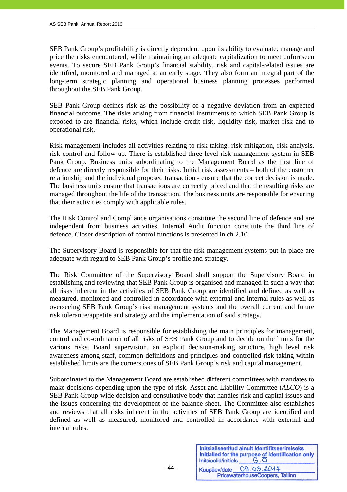SEB Pank Group's profitability is directly dependent upon its ability to evaluate, manage and price the risks encountered, while maintaining an adequate capitalization to meet unforeseen events. To secure SEB Pank Group's financial stability, risk and capital-related issues are identified, monitored and managed at an early stage. They also form an integral part of the long-term strategic planning and operational business planning processes performed throughout the SEB Pank Group.

SEB Pank Group defines risk as the possibility of a negative deviation from an expected financial outcome. The risks arising from financial instruments to which SEB Pank Group is exposed to are financial risks, which include credit risk, liquidity risk, market risk and to operational risk.

Risk management includes all activities relating to risk-taking, risk mitigation, risk analysis, risk control and follow-up. There is established three-level risk management system in SEB Pank Group. Business units subordinating to the Management Board as the first line of defence are directly responsible for their risks. Initial risk assessments – both of the customer relationship and the individual proposed transaction - ensure that the correct decision is made. The business units ensure that transactions are correctly priced and that the resulting risks are managed throughout the life of the transaction. The business units are responsible for ensuring that their activities comply with applicable rules.

The Risk Control and Compliance organisations constitute the second line of defence and are independent from business activities. Internal Audit function constitute the third line of defence. Closer description of control functions is presented in ch 2.10.

The Supervisory Board is responsible for that the risk management systems put in place are adequate with regard to SEB Pank Group's profile and strategy.

The Risk Committee of the Supervisory Board shall support the Supervisory Board in establishing and reviewing that SEB Pank Group is organised and managed in such a way that all risks inherent in the activities of SEB Pank Group are identified and defined as well as measured, monitored and controlled in accordance with external and internal rules as well as overseeing SEB Pank Group's risk management systems and the overall current and future risk tolerance/appetite and strategy and the implementation of said strategy.

The Management Board is responsible for establishing the main principles for management, control and co-ordination of all risks of SEB Pank Group and to decide on the limits for the various risks. Board supervision, an explicit decision-making structure, high level risk awareness among staff, common definitions and principles and controlled risk-taking within established limits are the cornerstones of SEB Pank Group's risk and capital management.

Subordinated to the Management Board are established different committees with mandates to make decisions depending upon the type of risk. Asset and Liability Committee (*ALCO*) is a SEB Pank Group-wide decision and consultative body that handles risk and capital issues and the issues concerning the development of the balance sheet. The Committee also establishes and reviews that all risks inherent in the activities of SEB Pank Group are identified and defined as well as measured, monitored and controlled in accordance with external and internal rules.

| Initsiaalid/initials | Initsialiseeritud ainult identifitseerimiseks<br>Initialled for the purpose of identification only<br>$G.\overline{O}$ |
|----------------------|------------------------------------------------------------------------------------------------------------------------|
| Kuupäev/date         | 09.03.2017<br>PricewaterhouseCoopers, Tallinn                                                                          |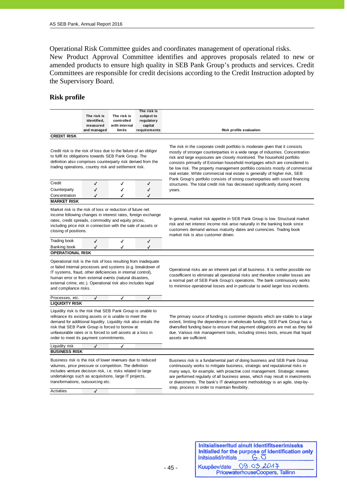Operational Risk Committee guides and coordinates management of operational risks. New Product Approval Committee identifies and approves proposals related to new or amended products to ensure high quality in SEB Pank Group's products and services. Credit Committees are responsible for credit decisions according to the Credit Instruction adopted by the Supervisory Board.

#### **Risk profile**

j

|                    |             |               | The risk is  |
|--------------------|-------------|---------------|--------------|
|                    | The risk is | The risk is   | subject to   |
|                    | identified. | controlled    | regulatory   |
|                    | measured    | with internal | capital      |
|                    | and managed | limits        | requirements |
| <b>CREDIT RISK</b> |             |               |              |

Credit risk is the risk of loss due to the failure of an obligor to fulfil its obligations towards SEB Pank Group. The definition also comprises counterparty risk derived from the trading operations, country risk and settlement risk.

| Concentration<br><b>MARKET RISK</b> |  |  |
|-------------------------------------|--|--|
| Counterparty                        |  |  |
| Credit                              |  |  |

Market risk is the risk of loss or reduction of future net income following changes in interest rates, foreign exchange rates, credit spreads, commodity and equity prices, including price risk in connection with the sale of assets or closing of positions.

Trading book  $\checkmark$   $\checkmark$ Banking book

**OPERATIONAL RISK** 

Operational risk is the risk of loss resulting from inadequate or failed internal processes and systems (e.g. breakdown of IT systems, fraud, other deficiencies in internal control), human error or from external events (natural disasters, external crime, etc.). Operational risk also includes legal and compliance risks.

Processes, etc. **LIQUIDITY RISK**

Liquidity risk is the risk that SEB Pank Group is unable to refinance its existing assets or is unable to meet the demand for additional liquidity. Liquidity risk also entails the risk that SEB Pank Group is forced to borrow at unfavourable rates or is forced to sell assets at a loss in order to meet its payment commitments.

Liquidity risk  $\sqrt{ }$ 

Business risk is the risk of lower revenues due to reduced volumes, price pressure or competition. The definition includes venture decision risk, i.e. risks related to large undertakings such as acquisitions, large IT projects, transformations, outsourcing etc.

**Activities** 

**BUSINESS RISK**

The risk in the corporate credit portfolio is moderate given that it consists mostly of stronger counterparties in a wide range of industries. Concentration risk and large exposures are closely monitored. The household portfolio consists primarily of Estonian household mortgages which are considered to be low risk. The property management portfolio consists mostly of commercial real estate. While commercial real estate is generally of higher risk, SEB Pank Group's portfolio consists of strong counterparties with sound financing structures. The total credit risk has decreased significantly during recent years.

In general, market risk appetite in SEB Pank Group is low. Structural market risk and net interest income risk arise naturally in the banking book since customers demand various maturity dates and currencies. Trading book market risk is also customer driven.

Operational risks are an inherent part of all business. It is neither possible nor costefficient to eliminate all operational risks and therefore smaller losses are a normal part of SEB Pank Group's operations. The bank continuously works to minimise operational losses and in particular to avoid larger loss incidents.

The primary source of funding is customer deposits which are stable to a large extent, limiting the dependence on wholesale funding. SEB Pank Group has a diversified funding base to ensure that payment obligations are met as they fall due. Various risk management tools, including stress tests, ensure that liquid assets are sufficient.

Business risk is a fundamental part of doing business and SEB Pank Group continuously works to mitigate business, strategic and reputational risks in many ways, for example, with proactive cost management. Strategic reviews are performed regularly of all business areas, which may result in investments or divestments. The bank's IT development methodology is an agile, step-bystep, process in order to maintain flexibility.

| Initsiaalid/initials | Initsialiseeritud ainult identifitseerimiseks<br>Initialled for the purpose of identification only<br>$G.\overline{O}$ |
|----------------------|------------------------------------------------------------------------------------------------------------------------|
|                      | Kuupäev/date 09.03.2014                                                                                                |
|                      | PricewaterhouseCoopers, Tallinn                                                                                        |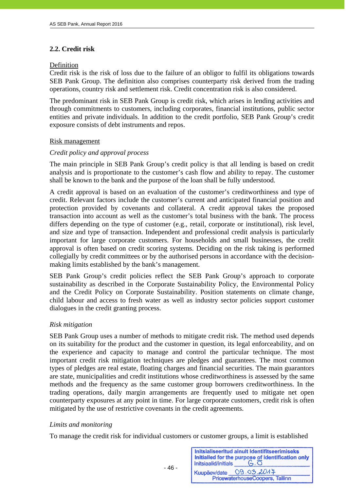# **2.2. Credit risk**

#### Definition

j

Credit risk is the risk of loss due to the failure of an obligor to fulfil its obligations towards SEB Pank Group. The definition also comprises counterparty risk derived from the trading operations, country risk and settlement risk. Credit concentration risk is also considered.

The predominant risk in SEB Pank Group is credit risk, which arises in lending activities and through commitments to customers, including corporates, financial institutions, public sector entities and private individuals. In addition to the credit portfolio, SEB Pank Group's credit exposure consists of debt instruments and repos.

#### Risk management

#### *Credit policy and approval process*

The main principle in SEB Pank Group's credit policy is that all lending is based on credit analysis and is proportionate to the customer's cash flow and ability to repay. The customer shall be known to the bank and the purpose of the loan shall be fully understood.

A credit approval is based on an evaluation of the customer's creditworthiness and type of credit. Relevant factors include the customer's current and anticipated financial position and protection provided by covenants and collateral. A credit approval takes the proposed transaction into account as well as the customer's total business with the bank. The process differs depending on the type of customer (e.g., retail, corporate or institutional), risk level, and size and type of transaction. Independent and professional credit analysis is particularly important for large corporate customers. For households and small businesses, the credit approval is often based on credit scoring systems. Deciding on the risk taking is performed collegially by credit committees or by the authorised persons in accordance with the decisionmaking limits established by the bank's management.

SEB Pank Group's credit policies reflect the SEB Pank Group's approach to corporate sustainability as described in the Corporate Sustainability Policy, the Environmental Policy and the Credit Policy on Corporate Sustainability. Position statements on climate change, child labour and access to fresh water as well as industry sector policies support customer dialogues in the credit granting process.

#### *Risk mitigation*

SEB Pank Group uses a number of methods to mitigate credit risk. The method used depends on its suitability for the product and the customer in question, its legal enforceability, and on the experience and capacity to manage and control the particular technique. The most important credit risk mitigation techniques are pledges and guarantees. The most common types of pledges are real estate, floating charges and financial securities. The main guarantors are state, municipalities and credit institutions whose creditworthiness is assessed by the same methods and the frequency as the same customer group borrowers creditworthiness. In the trading operations, daily margin arrangements are frequently used to mitigate net open counterparty exposures at any point in time. For large corporate customers, credit risk is often mitigated by the use of restrictive covenants in the credit agreements.

#### *Limits and monitoring*

To manage the credit risk for individual customers or customer groups, a limit is established

Initsialiseeritud ainult identifitseerimiseks Initialled for the purpose of identification only  $G.\overline{O}$ Initsiaalid/initials 09.03.2017 Kuupäev/date PricewaterhouseCoopers, Tallinn

- 46 -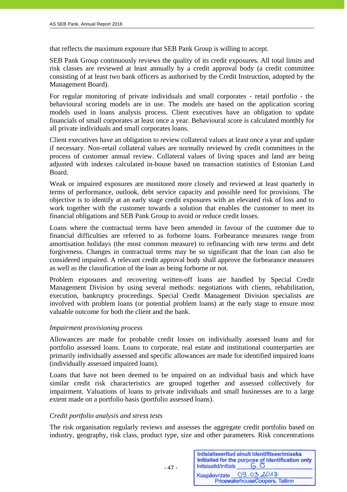that reflects the maximum exposure that SEB Pank Group is willing to accept.

SEB Pank Group continuously reviews the quality of its credit exposures. All total limits and risk classes are reviewed at least annually by a credit approval body (a credit committee consisting of at least two bank officers as authorised by the Credit Instruction, adopted by the Management Board).

For regular monitoring of private individuals and small corporates - retail portfolio - the behavioural scoring models are in use. The models are based on the application scoring models used in loans analysis process. Client executives have an obligation to update financials of small corporates at least once a year. Behavioural score is calculated monthly for all private individuals and small corporates loans.

Client executives have an obligation to review collateral values at least once a year and update if necessary. Non-retail collateral values are normally reviewed by credit committees in the process of customer annual review. Collateral values of living spaces and land are being adjusted with indexes calculated in-house based on transaction statistics of Estonian Land Board.

Weak or impaired exposures are monitored more closely and reviewed at least quarterly in terms of performance, outlook, debt service capacity and possible need for provisions. The objective is to identify at an early stage credit exposures with an elevated risk of loss and to work together with the customer towards a solution that enables the customer to meet its financial obligations and SEB Pank Group to avoid or reduce credit losses.

Loans where the contractual terms have been amended in favour of the customer due to financial difficulties are referred to as forborne loans. Forbearance measures range from amortisation holidays (the most common measure) to refinancing with new terms and debt forgiveness. Changes in contractual terms may be so significant that the loan can also be considered impaired. A relevant credit approval body shall approve the forbearance measures as well as the classification of the loan as being forborne or not.

Problem exposures and recovering written-off loans are handled by Special Credit Management Division by using several methods: negotiations with clients, rehabilitation, execution, bankruptcy proceedings. Special Credit Management Division specialists are involved with problem loans (or potential problem loans) at the early stage to ensure most valuable outcome for both the client and the bank.

#### *Impairment provisioning process*

Allowances are made for probable credit losses on individually assessed loans and for portfolio assessed loans. Loans to corporate, real estate and institutional counterparties are primarily individually assessed and specific allowances are made for identified impaired loans (individually assessed impaired loans).

Loans that have not been deemed to be impaired on an individual basis and which have similar credit risk characteristics are grouped together and assessed collectively for impairment. Valuations of loans to private individuals and small businesses are to a large extent made on a portfolio basis (portfolio assessed loans).

#### *Credit portfolio analysis and stress tests*

- 47 -

The risk organisation regularly reviews and assesses the aggregate credit portfolio based on industry, geography, risk class, product type, size and other parameters. Risk concentrations

| Initsiaalid/initials | Initsialiseeritud ainult identifitseerimiseks<br>Initialled for the purpose of identification only<br>$G.\overline{O}$ |
|----------------------|------------------------------------------------------------------------------------------------------------------------|
|                      | Kuupäev/date 09.03.2014                                                                                                |
|                      | PricewaterhouseCoopers, Tallinn                                                                                        |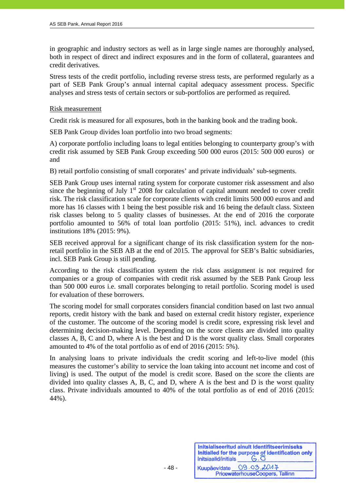in geographic and industry sectors as well as in large single names are thoroughly analysed, both in respect of direct and indirect exposures and in the form of collateral, guarantees and credit derivatives.

Stress tests of the credit portfolio, including reverse stress tests, are performed regularly as a part of SEB Pank Group's annual internal capital adequacy assessment process. Specific analyses and stress tests of certain sectors or sub-portfolios are performed as required.

#### Risk measurement

Credit risk is measured for all exposures, both in the banking book and the trading book.

SEB Pank Group divides loan portfolio into two broad segments:

A) corporate portfolio including loans to legal entities belonging to counterparty group's with credit risk assumed by SEB Pank Group exceeding 500 000 euros (2015: 500 000 euros) or and

B) retail portfolio consisting of small corporates' and private individuals' sub-segments.

SEB Pank Group uses internal rating system for corporate customer risk assessment and also since the beginning of July  $1<sup>st</sup>$  2008 for calculation of capital amount needed to cover credit risk. The risk classification scale for corporate clients with credit limits 500 000 euros and and more has 16 classes with 1 being the best possible risk and 16 being the default class. Sixteen risk classes belong to 5 quality classes of businesses. At the end of 2016 the corporate portfolio amounted to 56% of total loan portfolio (2015: 51%), incl. advances to credit institutions 18% (2015: 9%).

SEB received approval for a significant change of its risk classification system for the nonretail portfolio in the SEB AB at the end of 2015. The approval for SEB's Baltic subsidiaries, incl. SEB Pank Group is still pending.

According to the risk classification system the risk class assignment is not required for companies or a group of companies with credit risk assumed by the SEB Pank Group less than 500 000 euros i.e. small corporates belonging to retail portfolio. Scoring model is used for evaluation of these borrowers.

The scoring model for small corporates considers financial condition based on last two annual reports, credit history with the bank and based on external credit history register, experience of the customer. The outcome of the scoring model is credit score, expressing risk level and determining decision-making level. Depending on the score clients are divided into quality classes A, B, C and D, where A is the best and D is the worst quality class. Small corporates amounted to 4% of the total portfolio as of end of 2016 (2015: 5%).

In analysing loans to private individuals the credit scoring and left-to-live model (this measures the customer's ability to service the loan taking into account net income and cost of living) is used. The output of the model is credit score. Based on the score the clients are divided into quality classes A, B, C, and D, where A is the best and D is the worst quality class. Private individuals amounted to 40% of the total portfolio as of end of 2016 (2015: 44%).

| Initsiaalid/initials | Initsialiseeritud ainult identifitseerimiseks<br>Initialled for the purpose of identification only<br>$G.\overline{O}$ |
|----------------------|------------------------------------------------------------------------------------------------------------------------|
|                      | Kuupäev/date 09.03.2014                                                                                                |
|                      | PricewaterhouseCoopers, Tallinn                                                                                        |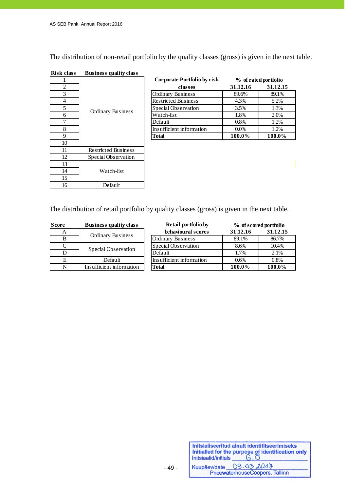The distribution of non-retail portfolio by the quality classes (gross) is given in the next table.

| risk ciass | <b>Business quality class</b> |  |
|------------|-------------------------------|--|
|            |                               |  |
| 2          |                               |  |
| 3          |                               |  |
| 4          |                               |  |
| 5          |                               |  |
| 6          | <b>Ordinary Business</b>      |  |
|            |                               |  |
| 8          |                               |  |
| 9          |                               |  |
| 10         |                               |  |
| 11         | <b>Restricted Business</b>    |  |
| 12         | Special Observation           |  |
| 13         |                               |  |
| 14         | Watch-list                    |  |
| 15         |                               |  |
| 16         | Default                       |  |

| <b>Risk class</b> | <b>Business quality class</b> |
|-------------------|-------------------------------|
|                   |                               |

|                |                          | <b>Corporate Portfolio by risk</b> | % of rated portfolio |          |  |
|----------------|--------------------------|------------------------------------|----------------------|----------|--|
| $\overline{c}$ |                          | classes                            | 31.12.16             | 31.12.15 |  |
| 3              |                          | <b>Ordinary Business</b>           | 89.6%                | 89.1%    |  |
| 4              |                          | <b>Restricted Business</b>         | 4.3%                 | 5.2%     |  |
| 5              |                          | Special Observation                | 3.5%                 | 1.3%     |  |
| 6              | <b>Ordinary Business</b> | Watch-list                         | 1.8%                 | 2.0%     |  |
|                |                          | Default                            | 0.8%                 | 1.2%     |  |
| 8              |                          | Insufficient information           | $0.0\%$              | 1.2%     |  |
| Q.             |                          | <b>Total</b>                       | 100.0%               | 100.0%   |  |
| 10             |                          |                                    |                      |          |  |

The distribution of retail portfolio by quality classes (gross) is given in the next table.

| <b>Score</b> | <b>Business quality class</b> | <b>Retail portfolio by</b> | % of scored portfolio |          |  |
|--------------|-------------------------------|----------------------------|-----------------------|----------|--|
| A            |                               | behavioural scores         | 31.12.16              | 31.12.15 |  |
|              | <b>Ordinary Business</b>      | <b>Ordinary Business</b>   | 89.1%                 | 86.7%    |  |
|              |                               | Special Observation        | 8.6%                  | 10.4%    |  |
|              | Special Observation           | Default                    | 1.7%                  | 2.1%     |  |
|              | Default                       | Insufficient information   | 0.6%                  | 0.8%     |  |
|              | Insufficient information      | <b>Total</b>               | 100.0%                | 100.0%   |  |

| Retail portfolio by      | % of scored portfolio |          |  |  |  |
|--------------------------|-----------------------|----------|--|--|--|
| behavioural scores       | 31.12.16              | 31.12.15 |  |  |  |
| <b>Ordinary Business</b> | 89.1%                 | 86.7%    |  |  |  |
| Special Observation      | 8.6%                  | 10.4%    |  |  |  |
| Default                  | 1.7%                  | 2.1%     |  |  |  |
| Insufficient information | 0.6%                  | 0.8%     |  |  |  |
| <b>Total</b>             | 100.0%                | 100.0%   |  |  |  |

| Initsiaalid/initials | Initsialiseeritud ainult identifitseerimiseks<br>Initialled for the purpose of identification only<br>$G.\overline{O}$ |
|----------------------|------------------------------------------------------------------------------------------------------------------------|
|                      | Kuupäev/date 09.03.2017                                                                                                |
|                      | PricewaterhouseCoopers, Tallinn                                                                                        |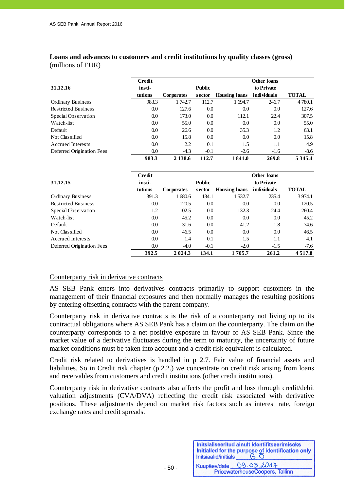**Loans and advances to customers and credit institutions by quality classes (gross)**  (millions of EUR)

|                            | <b>Credit</b> |                   |         |                      | <b>Other loans</b> |              |  |  |
|----------------------------|---------------|-------------------|---------|----------------------|--------------------|--------------|--|--|
| 31.12.16                   | insti-        | <b>Public</b>     |         |                      | to Private         |              |  |  |
|                            | tutions       | <b>Corporates</b> | sector  | <b>Housing loans</b> | individuals        | <b>TOTAL</b> |  |  |
| <b>Ordinary Business</b>   | 983.3         | 1742.7            | 112.7   | 1694.7               | 246.7              | 4780.1       |  |  |
| <b>Restricted Business</b> | 0.0           | 127.6             | 0.0     | 0.0                  | 0.0                | 127.6        |  |  |
| Special Observation        | 0.0           | 173.0             | 0.0     | 112.1                | 22.4               | 307.5        |  |  |
| Watch-list                 | $0.0\,$       | 55.0              | 0.0     | 0.0                  | 0.0                | 55.0         |  |  |
| Default                    | $0.0\,$       | 26.6              | $0.0\,$ | 35.3                 | 1.2                | 63.1         |  |  |
| Not Classified             | $0.0\,$       | 15.8              | $0.0\,$ | 0.0                  | 0.0                | 15.8         |  |  |
| <b>Accrued Interests</b>   | 0.0           | 2.2               | 0.1     | 1.5                  | 1.1                | 4.9          |  |  |
| Deferred Origination Fees  | 0.0           | $-4.3$            | $-0.1$  | $-2.6$               | $-1.6$             | $-8.6$       |  |  |
|                            | 983.3         | 2 1 3 8 . 6       | 112.7   | 1841.0               | 269.8              | 5 3 4 5 .4   |  |  |

|                            | <b>Credit</b> |                   |        |                      | <b>Other loans</b> |              |  |  |
|----------------------------|---------------|-------------------|--------|----------------------|--------------------|--------------|--|--|
| 31.12.15                   | insti-        | <b>Public</b>     |        |                      | to Private         |              |  |  |
|                            | tutions       | <b>Corporates</b> | sector | <b>Housing loans</b> | individuals        | <b>TOTAL</b> |  |  |
| <b>Ordinary Business</b>   | 391.3         | 1680.6            | 134.1  | 1532.7               | 235.4              | 3 9 7 4.1    |  |  |
| <b>Restricted Business</b> | 0.0           | 120.5             | 0.0    | 0.0                  | 0.0                | 120.5        |  |  |
| Special Observation        | 1.2           | 102.5             | 0.0    | 132.3                | 24.4               | 260.4        |  |  |
| Watch-list                 | 0.0           | 45.2              | 0.0    | 0.0                  | 0.0                | 45.2         |  |  |
| Default                    | 0.0           | 31.6              | 0.0    | 41.2                 | 1.8                | 74.6         |  |  |
| Not Classified             | 0.0           | 46.5              | 0.0    | $0.0\,$              | 0.0                | 46.5         |  |  |
| <b>Accrued Interests</b>   | 0.0           | 1.4               | 0.1    | 1.5                  | 1.1                | 4.1          |  |  |
| Deferred Origination Fees  | 0.0           | $-4.0$            | $-0.1$ | $-2.0$               | $-1.5$             | $-7.6$       |  |  |
|                            | 392.5         | 2 0 2 4 .3        | 134.1  | 1705.7               | 261.2              | 4 5 1 7 .8   |  |  |

#### Counterparty risk in derivative contracts

AS SEB Pank enters into derivatives contracts primarily to support customers in the management of their financial exposures and then normally manages the resulting positions by entering offsetting contracts with the parent company.

Counterparty risk in derivative contracts is the risk of a counterparty not living up to its contractual obligations where AS SEB Pank has a claim on the counterparty. The claim on the counterparty corresponds to a net positive exposure in favour of AS SEB Pank. Since the market value of a derivative fluctuates during the term to maturity, the uncertainty of future market conditions must be taken into account and a credit risk equivalent is calculated.

Credit risk related to derivatives is handled in p 2.7. Fair value of financial assets and liabilities. So in Credit risk chapter (p.2.2.) we concentrate on credit risk arising from loans and receivables from customers and credit institutions (other credit institutions).

Counterparty risk in derivative contracts also affects the profit and loss through credit/debit valuation adjustments (CVA/DVA) reflecting the credit risk associated with derivative positions. These adjustments depend on market risk factors such as interest rate, foreign exchange rates and credit spreads.

| Initsialiseeritud ainult identifitseerimiseks<br>Initialled for the purpose of identification only<br>- 1<br>Initsiaalid/initials |
|-----------------------------------------------------------------------------------------------------------------------------------|
| 09.03.2017<br>PricewaterhouseCoopers, Tallinn                                                                                     |
|                                                                                                                                   |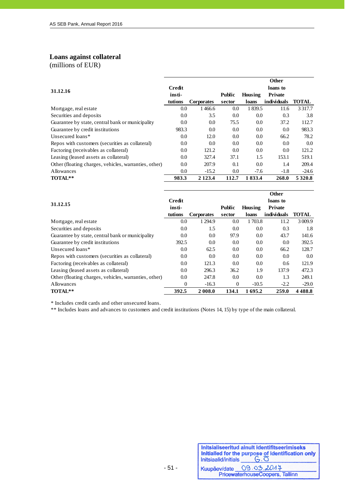# **Loans against collateral**

(millions of EUR)

j

|                                                       |               |                   |               |           | Other       |              |
|-------------------------------------------------------|---------------|-------------------|---------------|-----------|-------------|--------------|
| 31.12.16                                              | <b>Credit</b> |                   |               |           | loans to    |              |
|                                                       | insti-        |                   | <b>Public</b> | Housing   | Private     |              |
|                                                       | tutions       | <b>Corporates</b> | sector        | loans     | individuals | <b>TOTAL</b> |
| Mortgage, real estate                                 | 0.0           | 1466.6            | 0.0           | 1 8 3 9.5 | 11.6        | 3 3 1 7 . 7  |
| Securities and deposits                               | 0.0           | 3.5               | 0.0           | 0.0       | 0.3         | 3.8          |
| Guarantee by state, central bank or municipality      | 0.0           | $0.0\,$           | 75.5          | 0.0       | 37.2        | 112.7        |
| Guarantee by credit institutions                      | 983.3         | 0.0               | 0.0           | 0.0       | 0.0         | 983.3        |
| Unsecured loans*                                      | 0.0           | 12.0              | 0.0           | 0.0       | 66.2        | 78.2         |
| Repos with customers (securities as collateral)       | 0.0           | 0.0               | 0.0           | 0.0       | 0.0         | 0.0          |
| Factoring (receivables as collateral)                 | 0.0           | 121.2             | 0.0           | 0.0       | 0.0         | 121.2        |
| Leasing (leased assets as collateral)                 | 0.0           | 327.4             | 37.1          | 1.5       | 153.1       | 519.1        |
| Other (floating charges, vehicles, warranties, other) | 0.0           | 207.9             | 0.1           | 0.0       | 1.4         | 209.4        |
| <b>Allowances</b>                                     | 0.0           | $-15.2$           | 0.0           | $-7.6$    | $-1.8$      | $-24.6$      |
| TOTAL**                                               | 983.3         | 2 1 2 3 .4        | 112.7         | 1833.4    | 268.0       | 5 3 2 0.8    |

|                                                       |         |                   |               |         | Other       |              |
|-------------------------------------------------------|---------|-------------------|---------------|---------|-------------|--------------|
|                                                       | Credit  |                   |               |         | loans to    |              |
| 31.12.15                                              | insti-  |                   | <b>Public</b> | Housing | Private     |              |
|                                                       | tutions | <b>Corporates</b> | sector        | loans   | individuals | <b>TOTAL</b> |
| Mortgage, real estate                                 | 0.0     | 1 2 9 4.9         | 0.0           | 1 703.8 | 11.2        | 3 0 0 9.9    |
| Securities and deposits                               | 0.0     | 1.5               | 0.0           | 0.0     | 0.3         | 1.8          |
| Guarantee by state, central bank or municipality      | 0.0     | 0.0               | 97.9          | 0.0     | 43.7        | 141.6        |
| Guarantee by credit institutions                      | 392.5   | 0.0               | 0.0           | 0.0     | 0.0         | 392.5        |
| Unsecured loans*                                      | 0.0     | 62.5              | 0.0           | 0.0     | 66.2        | 128.7        |
| Repos with customers (securities as collateral)       | 0.0     | 0.0               | 0.0           | 0.0     | 0.0         | 0.0          |
| Factoring (receivables as collateral)                 | 0.0     | 121.3             | 0.0           | 0.0     | 0.6         | 121.9        |
| Leasing (leased assets as collateral)                 | 0.0     | 296.3             | 36.2          | 1.9     | 137.9       | 472.3        |
| Other (floating charges, vehicles, warranties, other) | 0.0     | 247.8             | 0.0           | 0.0     | 1.3         | 249.1        |
| Allowances                                            | 0       | $-16.3$           | $\Omega$      | $-10.5$ | $-2.2$      | $-29.0$      |
| TOTAL**                                               | 392.5   | 2 008.0           | 134.1         | 1695.2  | 259.0       | 4488.8       |

\* Includes credit cards and other unsecured loans.

\*\* Includes loans and advances to customers and credit institutions (Notes 14, 15) by type of the main collateral.

| Initsiaalid/initials | Initsialiseeritud ainult identifitseerimiseks<br>Initialled for the purpose of identification only<br>$G.\overline{O}$ |
|----------------------|------------------------------------------------------------------------------------------------------------------------|
|                      | Kuupäev/date 09.03.2014                                                                                                |
|                      | PricewaterhouseCoopers, Tallinn                                                                                        |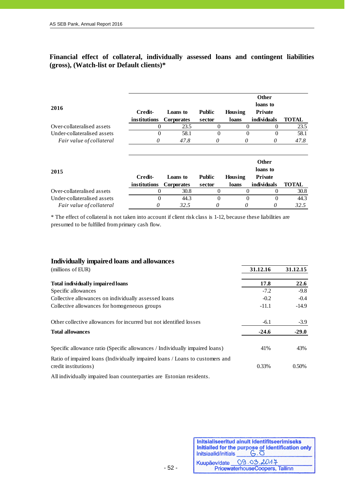**Financial effect of collateral, individually assessed loans and contingent liabilities (gross), (Watch-list or Default clients)\*** 

| 2016                        |              |                   |               |          | Other<br>loans to |              |
|-----------------------------|--------------|-------------------|---------------|----------|-------------------|--------------|
|                             | Credit-      | Loans to          | <b>Public</b> | Housing  | <b>Private</b>    |              |
|                             | institutions | <b>Corporates</b> | sector        | loans    | individuals       | <b>TOTAL</b> |
| Over-collateralised assets  | $\Omega$     | 23.5              | $\Omega$      | $\Omega$ | 0                 | 23.5         |
| Under-collateralised assets | $\Omega$     | 58.1              | $\theta$      | $\Omega$ | 0                 | 58.1         |
| Fair value of collateral    | 0            | 47.8              | 0             | 0        | 0                 | 47.8         |
|                             |              |                   |               |          | Other             |              |
| 2015                        |              |                   |               |          | loans to          |              |
|                             | Credit-      | Loans to          | <b>Public</b> | Housing  | <b>Private</b>    |              |
|                             | institutions | <b>Corporates</b> | sector        | loans    | individuals       | <b>TOTAL</b> |
| Over-collateralised assets  | 0            | 30.8              | $\Omega$      | $\Omega$ | $\theta$          | 30.8         |
| Under-collateralised assets | $\Omega$     | 44.3              | $\theta$      | $\Omega$ | $\Omega$          | 44.3         |
| Fair value of collateral    | 0            | 32.5              | 0             | 0        | 0                 | 32.5         |

\* The effect of collateral is not taken into account if client risk class is 1-12, because these liabilities are presumed to be fulfilled from primary cash flow.

| Individually impaired loans and allowances                                                            |          |          |
|-------------------------------------------------------------------------------------------------------|----------|----------|
| (millions of EUR)                                                                                     | 31.12.16 | 31.12.15 |
| Total individually impaired loans                                                                     | 17.8     | 22.6     |
| Specific allowances                                                                                   | $-7.2$   | $-9.8$   |
| Collective allowances on individually assessed loans                                                  | $-0.2$   | $-0.4$   |
| Collective allowances for homogeneous groups                                                          | $-11.1$  | $-14.9$  |
| Other collective allowances for incurred but not identified losses                                    | $-6.1$   | $-3.9$   |
| <b>Total allowances</b>                                                                               | $-24.6$  | $-29.0$  |
| Specific allowance ratio (Specific allowances / Individually impaired loans)                          | 41%      | 43%      |
| Ratio of impaired loans (Individually impaired loans / Loans to customers and<br>credit institutions) | 0.33%    | 0.50%    |
| All individually impaired loan counterparties are Estonian residents.                                 |          |          |

Initsialiseeritud ainult identifitseerimiseks **Initialled for the purpose of identification only<br>Initialalid/initials**  $\begin{array}{c} \begin{array}{c} \begin{array}{c} \begin{array}{c} \end{array} \\ \begin{array} \end{array} \\ \begin{array} \end{array} \\ \begin{array} \end{array} \\ \end{array} \end{array}$ Kuupäev/date 09.03.2047<br>PricewaterhouseCoopers, Tallinn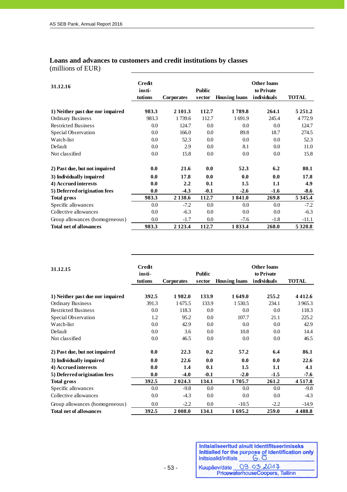# **Loans and advances to customers and credit institutions by classes**

(millions of EUR)

j

| 31.12.16                         | Credit<br>insti-<br>tutions | <b>Corporates</b> | <b>Public</b><br>sector | <b>Housing loans</b> | <b>Other loans</b><br>to Private<br>individuals | <b>TOTAL</b> |
|----------------------------------|-----------------------------|-------------------|-------------------------|----------------------|-------------------------------------------------|--------------|
| 1) Neither past due nor impaired | 983.3                       | 2 101.3           | 112.7                   | 1789.8               | 264.1                                           | 5 2 5 1 .2   |
| <b>Ordinary Business</b>         | 983.3                       | 1739.6            | 112.7                   | 1691.9               | 245.4                                           | 4772.9       |
| <b>Restricted Business</b>       | 0.0                         | 124.7             | 0.0                     | 0.0                  | 0.0                                             | 124.7        |
| Special Observation              | 0.0                         | 166.0             | 0.0                     | 89.8                 | 18.7                                            | 274.5        |
| Watch-list                       | 0.0                         | 52.3              | 0.0                     | 0.0                  | 0.0                                             | 52.3         |
| Default                          | 0.0                         | 2.9               | 0.0                     | 8.1                  | 0.0                                             | 11.0         |
| Not classified                   | 0.0                         | 15.8              | $0.0\,$                 | 0.0                  | 0.0                                             | 15.8         |
| 2) Past due, but not impaired    | 0.0                         | 21.6              | 0.0                     | 52.3                 | 6.2                                             | 80.1         |
| 3) Individually impaired         | 0.0                         | 17.8              | 0.0                     | 0.0                  | 0.0                                             | 17.8         |
| 4) Accrued interests             | 0.0                         | 2.2               | 0.1                     | 1.5                  | 1.1                                             | 4.9          |
| 5) Deferred origination fees     | 0.0                         | $-4.3$            | $-0.1$                  | $-2.6$               | $-1.6$                                          | $-8.6$       |
| <b>Total gross</b>               | 983.3                       | 2 1 3 8 . 6       | 112.7                   | 1841.0               | 269.8                                           | 5 3 4 5 .4   |
| Specific allowances              | 0.0                         | $-7.2$            | 0.0                     | 0.0                  | 0.0                                             | $-7.2$       |
| Collective allowances            | 0.0                         | $-6.3$            | 0.0                     | 0.0                  | 0.0                                             | $-6.3$       |
| Group allowances (homogeneous)   | 0.0                         | $-1.7$            | 0.0                     | $-7.6$               | $-1.8$                                          | $-11.1$      |
| <b>Total net of allowances</b>   | 983.3                       | 2 1 2 3 .4        | 112.7                   | 1833.4               | 268.0                                           | 5 3 2 0 .8   |

| 31.12.15                         | Credit<br>insti-<br>tutions | <b>Corporates</b> | <b>Public</b><br>sector | <b>Housing loans</b> | <b>Other loans</b><br>to Private<br>individuals | <b>TOTAL</b> |
|----------------------------------|-----------------------------|-------------------|-------------------------|----------------------|-------------------------------------------------|--------------|
|                                  |                             |                   |                         |                      |                                                 |              |
| 1) Neither past due nor impaired | 392.5                       | 1982.0            | 133.9                   | 1649.0               | 255.2                                           | 4 4 1 2 . 6  |
| <b>Ordinary Business</b>         | 391.3                       | 1675.5            | 133.9                   | 1530.5               | 234.1                                           | 3965.3       |
| <b>Restricted Business</b>       | 0.0                         | 118.3             | 0.0                     | 0.0                  | 0.0                                             | 118.3        |
| Special Observation              | 1.2                         | 95.2              | 0.0                     | 107.7                | 21.1                                            | 225.2        |
| Watch-list                       | 0.0                         | 42.9              | 0.0                     | 0.0                  | 0.0                                             | 42.9         |
| Default                          | 0.0                         | 3.6               | 0.0                     | 10.8                 | 0.0                                             | 14.4         |
| Not classified                   | 0.0                         | 46.5              | 0.0                     | 0.0                  | 0.0                                             | 46.5         |
| 2) Past due, but not impaired    | 0.0                         | 22.3              | 0.2                     | 57.2                 | 6.4                                             | 86.1         |
| 3) Individually impaired         | 0.0                         | 22.6              | 0.0                     | 0.0                  | 0.0                                             | 22.6         |
| 4) Accrued interests             | 0.0                         | 1.4               | 0.1                     | 1.5                  | 1.1                                             | 4.1          |
| 5) Deferred origination fees     | 0.0                         | $-4.0$            | $-0.1$                  | $-2.0$               | $-1.5$                                          | $-7.6$       |
| <b>Total gross</b>               | 392.5                       | 2 0 2 4 .3        | 134.1                   | 1705.7               | 261.2                                           | 4 5 1 7 .8   |
| Specific allowances              | 0.0                         | $-9.8$            | 0.0                     | 0.0                  | 0.0                                             | $-9.8$       |
| Collective allowances            | 0.0                         | $-4.3$            | 0.0                     | 0.0                  | $0.0\,$                                         | $-4.3$       |
| Group allowances (homogeneous)   | 0.0                         | $-2.2$            | 0.0                     | $-10.5$              | $-2.2$                                          | $-14.9$      |
| <b>Total net of allowances</b>   | 392.5                       | 2 008.0           | 134.1                   | 1695.2               | 259.0                                           | 4 4 8 8.8    |

| Initsiaalid/initials | Initsialiseeritud ainult identifitseerimiseks<br>Initialled for the purpose of identification only<br>$G.\overline{O}$ |
|----------------------|------------------------------------------------------------------------------------------------------------------------|
|                      | Kuupäev/date 09.03.2017                                                                                                |
|                      | PricewaterhouseCoopers, Tallinn                                                                                        |

T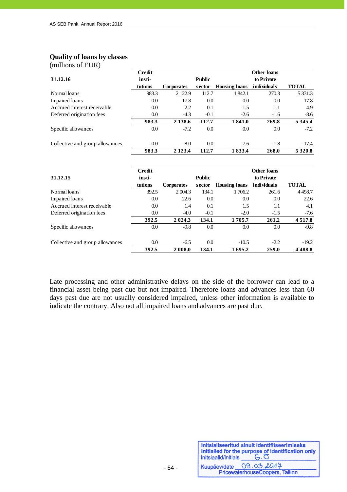#### **Quality of loans by classes**

(millions of EUR)

j

|                                 | <b>Credit</b> |                   |               |                      | <b>Other loans</b> |              |
|---------------------------------|---------------|-------------------|---------------|----------------------|--------------------|--------------|
| 31.12.16                        | insti-        |                   | <b>Public</b> |                      | to Private         |              |
|                                 | tutions       | <b>Corporates</b> | sector        | <b>Housing loans</b> | individuals        | <b>TOTAL</b> |
| Normal loans                    | 983.3         | 2 1 2 2 .9        | 112.7         | 1842.1               | 270.3              | 5 3 3 1 . 3  |
| Impaired loans                  | 0.0           | 17.8              | 0.0           | 0.0                  | 0.0                | 17.8         |
| Accrued interest receivable     | 0.0           | 2.2               | 0.1           | 1.5                  | 1.1                | 4.9          |
| Deferred origination fees       | 0.0           | $-4.3$            | $-0.1$        | $-2.6$               | $-1.6$             | $-8.6$       |
|                                 | 983.3         | 2 1 3 8 . 6       | 112.7         | 1841.0               | 269.8              | 5 3 4 5 .4   |
| Specific allowances             | 0.0           | $-7.2$            | 0.0           | 0.0                  | 0.0                | $-7.2$       |
| Collective and group allowances | 0.0           | $-8.0$            | 0.0           | $-7.6$               | $-1.8$             | $-17.4$      |
|                                 | 983.3         | 2 1 2 3 .4        | 112.7         | 1833.4               | 268.0              | 5 3 2 0 .8   |

|                                 | Credit  |                   |               |                      | <b>Other loans</b> |              |
|---------------------------------|---------|-------------------|---------------|----------------------|--------------------|--------------|
| 31.12.15                        | insti-  |                   | <b>Public</b> |                      | to Private         |              |
|                                 | tutions | <b>Corporates</b> | sector        | <b>Housing loans</b> | individuals        | <b>TOTAL</b> |
| Normal loans                    | 392.5   | 2 0 0 4 .3        | 134.1         | 1706.2               | 261.6              | 4498.7       |
| Impaired loans                  | 0.0     | 22.6              | 0.0           | 0.0                  | 0.0                | 22.6         |
| Accrued interest receivable     | 0.0     | 1.4               | 0.1           | 1.5                  | 1.1                | 4.1          |
| Deferred origination fees       | 0.0     | $-4.0$            | $-0.1$        | $-2.0$               | $-1.5$             | $-7.6$       |
|                                 | 392.5   | 2 0 2 4 .3        | 134.1         | 1705.7               | 261.2              | 4 5 1 7 .8   |
| Specific allowances             | 0.0     | $-9.8$            | 0.0           | 0.0                  | 0.0                | $-9.8$       |
| Collective and group allowances | 0.0     | $-6.5$            | 0.0           | $-10.5$              | $-2.2$             | $-19.2$      |
|                                 | 392.5   | 2 008.0           | 134.1         | 1695.2               | 259.0              | 4 4 8 8.8    |

Late processing and other administrative delays on the side of the borrower can lead to a financial asset being past due but not impaired. Therefore loans and advances less than 60 days past due are not usually considered impaired, unless other information is available to indicate the contrary. Also not all impaired loans and advances are past due.

| Initsiaalid/initials | Initsialiseeritud ainult identifitseerimiseks<br>Initialied for the purpose of identification only<br>$G.\overline{O}$ |
|----------------------|------------------------------------------------------------------------------------------------------------------------|
|                      | Kuupäev/date 09.03.2014                                                                                                |
|                      | PricewaterhouseCoopers, Tallinn                                                                                        |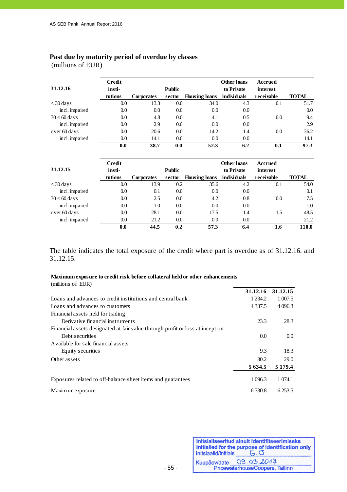# **Past due by maturity period of overdue by classes**

(millions of EUR)

j

| 31.12.16       | Credit<br>insti-<br>tutions | <b>Corporates</b> | <b>Public</b><br>sector | <b>Housing loans</b> | Other loans<br>to Private<br>individuals | <b>Accrued</b><br>interest<br>receivable | <b>TOTAL</b> |
|----------------|-----------------------------|-------------------|-------------------------|----------------------|------------------------------------------|------------------------------------------|--------------|
| $<$ 30 days    | 0.0                         | 13.3              | 0.0                     | 34.0                 | 4.3                                      | 0.1                                      | 51.7         |
| incl. impaired | 0.0                         | 0.0               | 0.0                     | 0.0                  | 0.0                                      |                                          | 0.0          |
| $30 < 60$ days | 0.0                         | 4.8               | 0.0                     | 4.1                  | 0.5                                      | 0.0                                      | 9.4          |
| incl. impaired | 0.0                         | 2.9               | 0.0                     | 0.0                  | 0.0                                      |                                          | 2.9          |
| over 60 days   | 0.0                         | 20.6              | 0.0                     | 14.2                 | 1.4                                      | 0.0                                      | 36.2         |
| incl. impaired | 0.0                         | 14.1              | 0.0                     | 0.0                  | 0.0                                      |                                          | 14.1         |
|                | 0.0                         | 38.7              | 0.0                     | 52.3                 | 6.2                                      | 0.1                                      | 97.3         |
|                |                             |                   |                         |                      |                                          |                                          |              |

| 31.12.15       | Credit<br>insti- |                   | <b>Public</b> |                      | Other loans<br>to Private | Accrued<br>interest |              |
|----------------|------------------|-------------------|---------------|----------------------|---------------------------|---------------------|--------------|
|                | tutions          | <b>Corporates</b> | sector        | <b>Housing loans</b> | individuals               | receivable          | <b>TOTAL</b> |
| $<$ 30 days    | 0.0              | 13.9              | 0.2           | 35.6                 | 4.2                       | 0.1                 | 54.0         |
| incl. impaired | 0.0              | 0.1               | 0.0           | 0.0                  | 0.0                       |                     | 0.1          |
| $30 < 60$ days | 0.0              | 2.5               | 0.0           | 4.2                  | 0.8                       | 0.0                 | 7.5          |
| incl. impaired | 0.0              | 1.0               | 0.0           | 0.0                  | 0.0                       |                     | 1.0          |
| over 60 days   | 0.0              | 28.1              | 0.0           | 17.5                 | 1.4                       | 1.5                 | 48.5         |
| incl. impaired | 0.0              | 21.2              | 0.0           | 0.0                  | 0.0                       |                     | 21.2         |
|                | 0.0              | 44.5              | 0.2           | 57.3                 | 6.4                       | 1.6                 | 110.0        |

The table indicates the total exposure of the credit where part is overdue as of 31.12.16. and 31.12.15.

#### (millions of EUR) **Maximum exposure to credit risk before collateral held or other enhancements**

|                                                                               | 31.12.16   | 31.12.15         |
|-------------------------------------------------------------------------------|------------|------------------|
| Loans and advances to credit institutions and central bank                    | 1 2 3 4 .2 | 1 007.5          |
| Loans and advances to customers                                               | 4 3 3 7 .5 | 4 0 9 6.3        |
| Financial assets held for trading                                             |            |                  |
| Derivative financial instruments                                              | 23.3       | 28.3             |
| Financial assets designated at fair value through profit or loss at inception |            |                  |
| Debt securities                                                               | 0.0        | 0.0 <sub>1</sub> |
| Available for sale financial assets                                           |            |                  |
| Equity securities                                                             | 9.3        | 18.3             |
| Other assets                                                                  | 30.2       | 29.0             |
|                                                                               | 5 6 3 4 .5 | 5 1 7 9 .4       |
| Exposures related to off-balance sheet items and guarantees                   | 1 096.3    | 1 0 74.1         |
| Maximum exposure                                                              | 6 730.8    | 6 2 5 3 .5       |

Initsialiseeritud ainult identifitseerimiseks Initialled for the purpose of identification only<br>Initialation of the purpose of identification only Kuupäev/date 09.03.2017 PricewaterhouseCoopers, Tallinn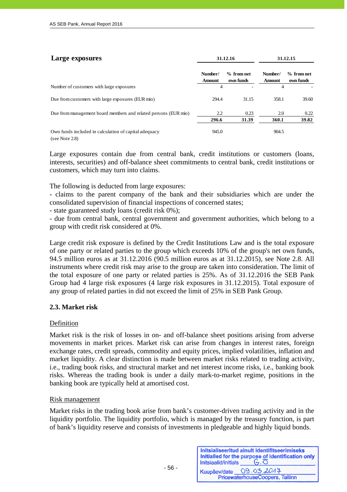| Large exposures                                                         |                          | 31.12.16                | 31.12.15                 |                           |  |
|-------------------------------------------------------------------------|--------------------------|-------------------------|--------------------------|---------------------------|--|
|                                                                         | Number/<br><b>Amount</b> | % from net<br>own funds | Number/<br><b>Amount</b> | $%$ from net<br>own funds |  |
| Number of customers with large exposures                                | 4                        |                         | 4                        |                           |  |
| Due from customers with large exposures (EUR mio)                       | 294.4                    | 31.15                   | 358.1                    | 39.60                     |  |
| Due from management board members and related persons (EUR mio)         | 2.2                      | 0.23                    | 2.0                      | 0.22                      |  |
|                                                                         | 296.6                    | 31.39                   | 360.1                    | 39.82                     |  |
| Own funds included in calculation of capital adequacy<br>(see Note 2.8) | 945.0                    |                         | 904.5                    |                           |  |

Large exposures contain due from central bank, credit institutions or customers (loans, interests, securities) and off-balance sheet commitments to central bank, credit institutions or customers, which may turn into claims.

The following is deducted from large exposures:

- claims to the parent company of the bank and their subsidiaries which are under the consolidated supervision of financial inspections of concerned states;

- state guaranteed study loans (credit risk 0%);

- due from central bank, central government and government authorities, which belong to a group with credit risk considered at 0%.

Large credit risk exposure is defined by the Credit Institutions Law and is the total exposure of one party or related parties to the group which exceeds 10% of the group's net own funds, 94.5 million euros as at 31.12.2016 (90.5 million euros as at 31.12.2015), see Note 2.8. All instruments where credit risk may arise to the group are taken into consideration. The limit of the total exposure of one party or related parties is 25%. As of 31.12.2016 the SEB Pank Group had 4 large risk exposures (4 large risk exposures in 31.12.2015). Total exposure of any group of related parties in did not exceed the limit of 25% in SEB Pank Group.

#### **2.3. Market risk**

#### Definition

Market risk is the risk of losses in on- and off-balance sheet positions arising from adverse movements in market prices. Market risk can arise from changes in interest rates, foreign exchange rates, credit spreads, commodity and equity prices, implied volatilities, inflation and market liquidity. A clear distinction is made between market risks related to trading activity, i.e., trading book risks, and structural market and net interest income risks, i.e., banking book risks. Whereas the trading book is under a daily mark-to-market regime, positions in the banking book are typically held at amortised cost.

#### Risk management

Market risks in the trading book arise from bank's customer-driven trading activity and in the liquidity portfolio. The liquidity portfolio, which is managed by the treasury function, is part of bank's liquidity reserve and consists of investments in pledgeable and highly liquid bonds.

| $G.\overline{O}$                              |
|-----------------------------------------------|
| 09.03.2017<br>PricewaterhouseCoopers, Tallinn |
|                                               |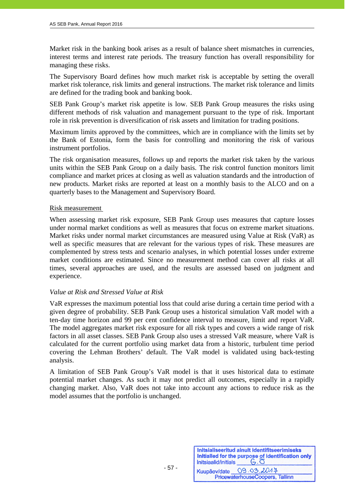Market risk in the banking book arises as a result of balance sheet mismatches in currencies, interest terms and interest rate periods. The treasury function has overall responsibility for managing these risks.

The Supervisory Board defines how much market risk is acceptable by setting the overall market risk tolerance, risk limits and general instructions. The market risk tolerance and limits are defined for the trading book and banking book.

SEB Pank Group's market risk appetite is low. SEB Pank Group measures the risks using different methods of risk valuation and management pursuant to the type of risk. Important role in risk prevention is diversification of risk assets and limitation for trading positions.

Maximum limits approved by the committees, which are in compliance with the limits set by the Bank of Estonia, form the basis for controlling and monitoring the risk of various instrument portfolios.

The risk organisation measures, follows up and reports the market risk taken by the various units within the SEB Pank Group on a daily basis. The risk control function monitors limit compliance and market prices at closing as well as valuation standards and the introduction of new products. Market risks are reported at least on a monthly basis to the ALCO and on a quarterly bases to the Management and Supervisory Board.

#### Risk measurement

When assessing market risk exposure, SEB Pank Group uses measures that capture losses under normal market conditions as well as measures that focus on extreme market situations. Market risks under normal market circumstances are measured using Value at Risk (VaR) as well as specific measures that are relevant for the various types of risk. These measures are complemented by stress tests and scenario analyses, in which potential losses under extreme market conditions are estimated. Since no measurement method can cover all risks at all times, several approaches are used, and the results are assessed based on judgment and experience.

#### *Value at Risk and Stressed Value at Risk*

VaR expresses the maximum potential loss that could arise during a certain time period with a given degree of probability. SEB Pank Group uses a historical simulation VaR model with a ten-day time horizon and 99 per cent confidence interval to measure, limit and report VaR. The model aggregates market risk exposure for all risk types and covers a wide range of risk factors in all asset classes. SEB Pank Group also uses a stressed VaR measure, where VaR is calculated for the current portfolio using market data from a historic, turbulent time period covering the Lehman Brothers' default. The VaR model is validated using back-testing analysis.

A limitation of SEB Pank Group's VaR model is that it uses historical data to estimate potential market changes. As such it may not predict all outcomes, especially in a rapidly changing market. Also, VaR does not take into account any actions to reduce risk as the model assumes that the portfolio is unchanged.

| Initsiaalid/initials | Initsialiseeritud ainult identifitseerimiseks<br>Initialled for the purpose of identification only<br>$G.\overline{O}$ |
|----------------------|------------------------------------------------------------------------------------------------------------------------|
|                      | Kuupäev/date 09.03.2014                                                                                                |
|                      | PricewaterhouseCoopers, Tallinn                                                                                        |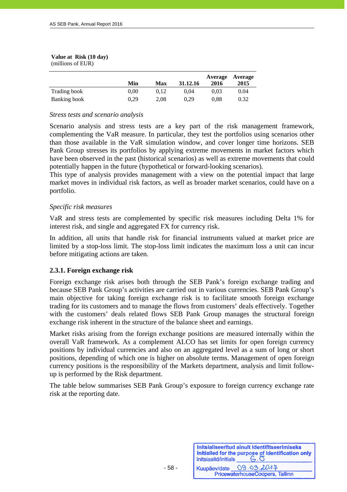#### **Value at Risk (10 day)**  (millions of EUR)

j

|              | Min  | Max  | 31.12.16 | 2016 | Average Average<br>2015 |
|--------------|------|------|----------|------|-------------------------|
| Trading book | 0.00 | 0.12 | 0.04     | 0.03 | 0.04                    |
| Banking book | 0.29 | 2.08 | 0.29     | 0.88 | 0.32                    |

## *Stress tests and scenario analysis*

Scenario analysis and stress tests are a key part of the risk management framework, complementing the VaR measure. In particular, they test the portfolios using scenarios other than those available in the VaR simulation window, and cover longer time horizons. SEB Pank Group stresses its portfolios by applying extreme movements in market factors which have been observed in the past (historical scenarios) as well as extreme movements that could potentially happen in the future (hypothetical or forward-looking scenarios).

This type of analysis provides management with a view on the potential impact that large market moves in individual risk factors, as well as broader market scenarios, could have on a portfolio.

#### *Specific risk measures*

VaR and stress tests are complemented by specific risk measures including Delta 1% for interest risk, and single and aggregated FX for currency risk.

In addition, all units that handle risk for financial instruments valued at market price are limited by a stop-loss limit. The stop-loss limit indicates the maximum loss a unit can incur before mitigating actions are taken.

#### **2.3.1. Foreign exchange risk**

Foreign exchange risk arises both through the SEB Pank's foreign exchange trading and because SEB Pank Group's activities are carried out in various currencies. SEB Pank Group's main objective for taking foreign exchange risk is to facilitate smooth foreign exchange trading for its customers and to manage the flows from customers' deals effectively. Together with the customers' deals related flows SEB Pank Group manages the structural foreign exchange risk inherent in the structure of the balance sheet and earnings.

Market risks arising from the foreign exchange positions are measured internally within the overall VaR framework. As a complement ALCO has set limits for open foreign currency positions by individual currencies and also on an aggregated level as a sum of long or short positions, depending of which one is higher on absolute terms. Management of open foreign currency positions is the responsibility of the Markets department, analysis and limit followup is performed by the Risk department.

The table below summarises SEB Pank Group's exposure to foreign currency exchange rate risk at the reporting date.

| Initsiaalid/initials | Initsialiseeritud ainult identifitseerimiseks<br>Initialled for the purpose of identification only<br>$G.\overline{O}$ |
|----------------------|------------------------------------------------------------------------------------------------------------------------|
| Kuupäev/date         | 09.03.2017                                                                                                             |
|                      | PricewaterhouseCoopers, Tallinn                                                                                        |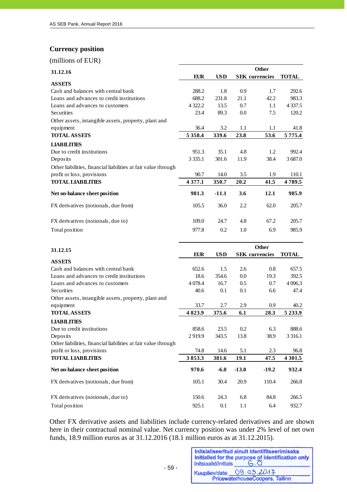# **Currency position**

j

(millions of EUR)

| 31.12.16                                                       | <b>Other</b> |            |      |                       |              |  |  |  |
|----------------------------------------------------------------|--------------|------------|------|-----------------------|--------------|--|--|--|
|                                                                | <b>EUR</b>   | <b>USD</b> |      | <b>SEK</b> currencies | <b>TOTAL</b> |  |  |  |
| <b>ASSETS</b>                                                  |              |            |      |                       |              |  |  |  |
| Cash and balances with central bank                            | 288.2        | 1.8        | 0.9  | 1.7                   | 292.6        |  |  |  |
| Loans and advances to credit institutions                      | 688.2        | 231.8      | 21.1 | 42.2                  | 983.3        |  |  |  |
| Loans and advances to customers                                | 4 3 2 2.2    | 13.5       | 0.7  | 1.1                   | 4 3 3 7 .5   |  |  |  |
| Securities                                                     | 23.4         | 89.3       | 0.0  | 7.5                   | 120.2        |  |  |  |
| Other assets, intangible assets, property, plant and           |              |            |      |                       |              |  |  |  |
| equipment                                                      | 36.4         | 3.2        | 1.1  | 1.1                   | 41.8         |  |  |  |
| <b>TOTAL ASSETS</b>                                            | 5 3 5 8 .4   | 339.6      | 23.8 | 53.6                  | 5 7 7 5 .4   |  |  |  |
| <b>LIABILITIES</b>                                             |              |            |      |                       |              |  |  |  |
| Due to credit institutions                                     | 951.3        | 35.1       | 4.8  | 1.2                   | 992.4        |  |  |  |
| Deposits                                                       | 3 3 3 5 .1   | 301.6      | 11.9 | 38.4                  | 3687.0       |  |  |  |
| Other liabilities, financial liabilities at fair value through |              |            |      |                       |              |  |  |  |
| profit or loss, provisions                                     | 90.7         | 14.0       | 3.5  | 1.9                   | 110.1        |  |  |  |
| <b>TOTAL LIABILITIES</b>                                       | 4 3 7 7 .1   | 350.7      | 20.2 | 41.5                  | 4789.5       |  |  |  |
| Net on-balance sheet position                                  | 981.3        | $-11.1$    | 3.6  | 12.1                  | 985.9        |  |  |  |
| FX derivatives (notionals, due from)                           | 105.5        | 36.0       | 2.2  | 62.0                  | 205.7        |  |  |  |
| FX derivatives (notionals, due to)                             | 109.0        | 24.7       | 4.8  | 67.2                  | 205.7        |  |  |  |
| Total position                                                 | 977.8        | 0.2        | 1.0  | 6.9                   | 985.9        |  |  |  |

| 31.12.15                                                       |            |            |                       |         |              |  |
|----------------------------------------------------------------|------------|------------|-----------------------|---------|--------------|--|
|                                                                | <b>EUR</b> | <b>USD</b> | <b>SEK</b> currencies |         | <b>TOTAL</b> |  |
| <b>ASSETS</b>                                                  |            |            |                       |         |              |  |
| Cash and balances with central bank                            | 652.6      | 1.5        | 2.6                   | 0.8     | 657.5        |  |
| Loans and advances to credit institutions                      | 18.6       | 354.6      | 0.0                   | 19.3    | 392.5        |  |
| Loans and advances to customers                                | 4 0 78.4   | 16.7       | 0.5                   | 0.7     | 4 0 9 6.3    |  |
| Securities                                                     | 40.6       | 0.1        | 0.1                   | 6.6     | 47.4         |  |
| Other assets, intangible assets, property, plant and           |            |            |                       |         |              |  |
| equipment                                                      | 33.7       | 2.7        | 2.9                   | 0.9     | 40.2         |  |
| <b>TOTAL ASSETS</b>                                            | 4823.9     | 375.6      | 6.1                   | 28.3    | 5 2 3 3 .9   |  |
| <b>LIABILITIES</b>                                             |            |            |                       |         |              |  |
| Due to credit institutions                                     | 858.6      | 23.5       | 0.2                   | 6.3     | 888.6        |  |
| Deposits                                                       | 2919.9     | 343.5      | 13.8                  | 38.9    | 3 3 1 6 .1   |  |
| Other liabilities, financial liabilities at fair value through |            |            |                       |         |              |  |
| profit or loss, provisions                                     | 74.8       | 14.6       | 5.1                   | 2.3     | 96.8         |  |
| <b>TOTAL LIABILITIES</b>                                       | 3853.3     | 381.6      | 19.1                  | 47.5    | 4 3 0 1.5    |  |
| Net on-balance sheet position                                  | 970.6      | $-6.0$     | $-13.0$               | $-19.2$ | 932.4        |  |
| FX derivatives (notionals, due from)                           | 105.1      | 30.4       | 20.9                  | 110.4   | 266.8        |  |
| FX derivatives (notionals, due to)                             | 150.6      | 24.3       | 6.8                   | 84.8    | 266.5        |  |
| Total position                                                 | 925.1      | 0.1        | 1.1                   | 6.4     | 932.7        |  |

Other FX derivative assets and liabilities include currency-related derivatives and are shown here in their contractual nominal value. Net currency position was under 2% level of net own funds, 18.9 million euros as at 31.12.2016 (18.1 million euros as at 31.12.2015).

| Initsiaalid/initials | Initsialiseeritud ainult identifitseerimiseks<br>Initialled for the purpose of identification only<br>$G.\overline{O}$ |
|----------------------|------------------------------------------------------------------------------------------------------------------------|
| Kuupäev/date         | 09.03.2017                                                                                                             |
|                      | PricewaterhouseCoopers, Tallinn                                                                                        |

- 59 -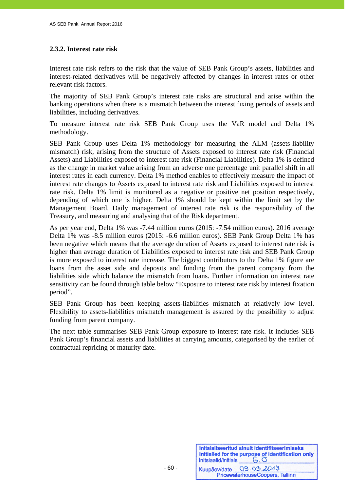# **2.3.2. Interest rate risk**

Interest rate risk refers to the risk that the value of SEB Pank Group's assets, liabilities and interest-related derivatives will be negatively affected by changes in interest rates or other relevant risk factors.

The majority of SEB Pank Group's interest rate risks are structural and arise within the banking operations when there is a mismatch between the interest fixing periods of assets and liabilities, including derivatives.

To measure interest rate risk SEB Pank Group uses the VaR model and Delta 1% methodology.

SEB Pank Group uses Delta 1% methodology for measuring the ALM (assets-liability mismatch) risk, arising from the structure of Assets exposed to interest rate risk (Financial Assets) and Liabilities exposed to interest rate risk (Financial Liabilities). Delta 1% is defined as the change in market value arising from an adverse one percentage unit parallel shift in all interest rates in each currency. Delta 1% method enables to effectively measure the impact of interest rate changes to Assets exposed to interest rate risk and Liabilities exposed to interest rate risk. Delta 1% limit is monitored as a negative or positive net position respectively, depending of which one is higher. Delta 1% should be kept within the limit set by the Management Board. Daily management of interest rate risk is the responsibility of the Treasury, and measuring and analysing that of the Risk department.

As per year end, Delta 1% was -7.44 million euros (2015: -7.54 million euros). 2016 average Delta 1% was -8.5 million euros (2015: -6.6 million euros). SEB Pank Group Delta 1% has been negative which means that the average duration of Assets exposed to interest rate risk is higher than average duration of Liabilities exposed to interest rate risk and SEB Pank Group is more exposed to interest rate increase. The biggest contributors to the Delta 1% figure are loans from the asset side and deposits and funding from the parent company from the liabilities side which balance the mismatch from loans. Further information on interest rate sensitivity can be found through table below "Exposure to interest rate risk by interest fixation period".

SEB Pank Group has been keeping assets-liabilities mismatch at relatively low level. Flexibility to assets-liabilities mismatch management is assured by the possibility to adjust funding from parent company.

The next table summarises SEB Pank Group exposure to interest rate risk. It includes SEB Pank Group's financial assets and liabilities at carrying amounts, categorised by the earlier of contractual repricing or maturity date.

| Initsiaalid/initials | Initsialiseeritud ainult identifitseerimiseks<br>Initialled for the purpose of identification only<br>$G.\overline{O}$ |
|----------------------|------------------------------------------------------------------------------------------------------------------------|
| Kuupäev/date         | 09.03.2017<br>PricewaterhouseCoopers, Tallinn                                                                          |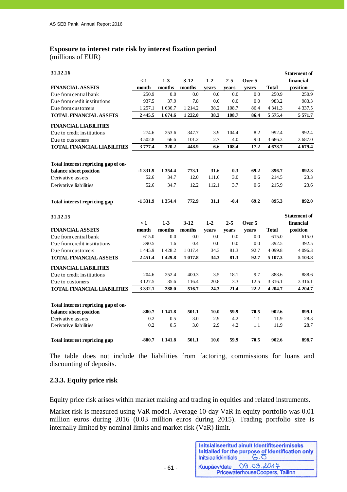# **Exposure to interest rate risk by interest fixation period**

(millions of EUR)

j

| 31.12.16                            | $\leq 1$    | $1-3$      | $3-12$        | $1-2$ | $2 - 5$ | Over 5 |              | <b>Statement of</b><br>financial |
|-------------------------------------|-------------|------------|---------------|-------|---------|--------|--------------|----------------------------------|
| <b>FINANCIAL ASSETS</b>             | month       | months     | months        | years | years   | years  | <b>Total</b> | position                         |
| Due from central bank               | 250.9       | 0.0        | 0.0           | 0.0   | 0.0     | 0.0    | 250.9        | 250.9                            |
| Due from credit institutions        | 937.5       | 37.9       | 7.8           | 0.0   | 0.0     | 0.0    | 983.2        | 983.3                            |
| Due from customers                  | 1 257.1     | 1 636.7    | 1 2 1 4 .2    | 38.2  | 108.7   | 86.4   | 4 3 4 1 . 3  | 4 3 3 7 . 5                      |
| <b>TOTAL FINANCIAL ASSETS</b>       | 2445.5      | 1674.6     | 1 2 2 2.0     | 38.2  | 108.7   | 86.4   | 5 5 7 5 .4   | 5 5 7 1 .7                       |
| <b>FINANCIAL LIABILITIES</b>        |             |            |               |       |         |        |              |                                  |
| Due to credit institutions          | 274.6       | 253.6      | 347.7         | 3.9   | 104.4   | 8.2    | 992.4        | 992.4                            |
| Due to customers                    | 3 502.8     | 66.6       | 101.2         | 2.7   | 4.0     | 9.0    | 3 686.3      | 3 687.0                          |
| <b>TOTAL FINANCIAL LIABILITIES</b>  | 3777.4      | 320.2      | 448.9         | 6.6   | 108.4   | 17.2   | 4678.7       | 4 679.4                          |
| Total interest repricing gap of on- |             |            |               |       |         |        |              |                                  |
| balance sheet position              | $-1331.9$   | 1 3 5 4 .4 | 773.1         | 31.6  | 0.3     | 69.2   | 896.7        | 892.3                            |
| Derivative assets                   | 52.6        | 34.7       | 12.0          | 111.6 | 3.0     | 0.6    | 214.5        | 23.3                             |
| Derivative liabilities              | 52.6        | 34.7       | 12.2          | 112.1 | 3.7     | 0.6    | 215.9        | 23.6                             |
| Total interest repricing gap        | $-1331.9$   | 1 3 5 4 .4 | 772.9         | 31.1  | $-0.4$  | 69.2   | 895.3        | 892.0                            |
| 31.12.15                            |             |            |               |       |         |        |              | <b>Statement of</b>              |
|                                     | $\leq 1$    | $1-3$      | $3-12$        | $1-2$ | $2 - 5$ | Over 5 |              | financial                        |
| <b>FINANCIAL ASSETS</b>             | month       | months     | $\bf{months}$ | years | years   | years  | <b>Total</b> | position                         |
| Due from central bank               | 615.0       | 0.0        | 0.0           | 0.0   | 0.0     | 0.0    | 615.0        | 615.0                            |
| Due from credit institutions        | 390.5       | 1.6        | 0.4           | 0.0   | 0.0     | 0.0    | 392.5        | 392.5                            |
| Due from customers                  | 1445.9      | 1428.2     | 1 0 1 7.4     | 34.3  | 81.3    | 92.7   | 4 0 9 9.8    | 4 0 9 6.3                        |
| <b>TOTAL FINANCIAL ASSETS</b>       | 2451.4      | 1429.8     | 1 0 1 7.8     | 34.3  | 81.3    | 92.7   | 5 107.3      | 5 103.8                          |
| <b>FINANCIAL LIABILITIES</b>        |             |            |               |       |         |        |              |                                  |
| Due to credit institutions          | 204.6       | 252.4      | 400.3         | 3.5   | 18.1    | 9.7    | 888.6        | 888.6                            |
| Due to customers                    | 3 1 2 7 . 5 | 35.6       | 116.4         | 20.8  | 3.3     | 12.5   | 3 3 1 6 .1   | 3 3 1 6 .1                       |
| <b>TOTAL FINANCIAL LIABILITIES</b>  | 3 3 3 2.1   | 288.0      | 516.7         | 24.3  | 21.4    | 22.2   | 4 204.7      | 4 204.7                          |
| Total interest repricing gap of on- |             |            |               |       |         |        |              |                                  |
| balance sheet position              | $-880.7$    | 1 141.8    | 501.1         | 10.0  | 59.9    | 70.5   | 902.6        | 899.1                            |
| Derivative assets                   | 0.2         | 0.5        | 3.0           | 2.9   | 4.2     | 1.1    | 11.9         | 28.3                             |
| Derivative liabilities              | 0.2         | 0.5        | 3.0           | 2.9   | 4.2     | 1.1    | 11.9         | 28.7                             |
| Total interest repricing gap        | $-880.7$    | 1 1 4 1.8  | 501.1         | 10.0  | 59.9    | 70.5   | 902.6        | 898.7                            |

The table does not include the liabilities from factoring, commissions for loans and discounting of deposits.

## **2.3.3. Equity price risk**

Equity price risk arises within market making and trading in equities and related instruments.

Market risk is measured using VaR model. Average 10-day VaR in equity portfolio was 0.01 million euros during 2016 (0.03 million euros during 2015). Trading portfolio size is internally limited by nominal limits and market risk (VaR) limit.

- 61 -

| Initsiaalid/initials | Initsialiseeritud ainult identifitseerimiseks<br>Initialled for the purpose of identification only |
|----------------------|----------------------------------------------------------------------------------------------------|
| Kuupäev/date         | 09.03.2017                                                                                         |
|                      | PricewaterhouseCoopers, Tallinn                                                                    |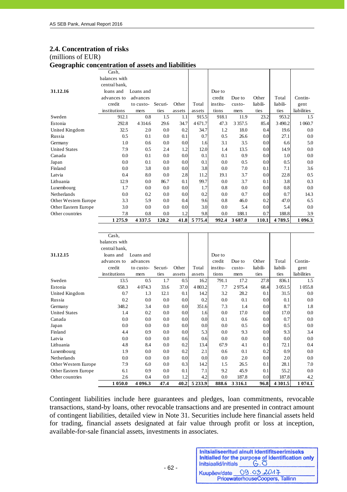#### **2.4. Concentration of risks**

#### (millions of EUR)

j

**Geographic concentration of assets and liabilities**

| o<br>л.              |                     |            |         |        |         |          |             |          |           |             |
|----------------------|---------------------|------------|---------|--------|---------|----------|-------------|----------|-----------|-------------|
|                      | Cash,               |            |         |        |         |          |             |          |           |             |
|                      | balances with       |            |         |        |         |          |             |          |           |             |
|                      | central bank,       |            |         |        |         |          |             |          |           |             |
| 31.12.16             | loans and           | Loans and  |         |        |         | Due to   |             |          |           |             |
|                      | advances to         | advances   |         |        |         | credit   | Due to      | Other    | Total     | Contin-     |
|                      | credit              | to custo-  | Securi- | Other  | Total   | institu- | custo-      | liabili- | liabili-  | gent        |
|                      | institutions        | mers       | ties    | assets | assets  | tions    | mers        | ties     | ties      | liabilities |
| Sweden               | 912.1               | 0.8        | 1.5     | 1.1    | 915.5   | 918.1    | 11.9        | 23.2     | 953.2     | 1.5         |
| Estonia              | 292.8               | 4 3 1 4 .6 | 29.6    | 34.7   | 4 671.7 | 47.3     | 3 3 5 7 . 5 | 85.4     | 3 4 9 0.2 | 1 0 6 0.7   |
| United Kingdom       | 32.5                | 2.0        | 0.0     | 0.2    | 34.7    | 1.2      | 18.0        | 0.4      | 19.6      | 0.0         |
| Russia               | 0.5                 | 0.1        | 0.0     | 0.1    | 0.7     | 0.5      | 26.6        | 0.0      | 27.1      | 0.0         |
| Germany              | 1.0                 | 0.6        | 0.0     | 0.0    | 1.6     | 3.1      | 3.5         | 0.0      | 6.6       | 5.0         |
| <b>United States</b> | 7.9                 | 0.5        | 2.4     | 1.2    | 12.0    | 1.4      | 13.5        | 0.0      | 14.9      | 0.0         |
| Canada               | 0.0                 | 0.1        | 0.0     | 0.0    | 0.1     | 0.1      | 0.9         | 0.0      | 1.0       | 0.0         |
| Japan                | 0.0                 | 0.1        | 0.0     | 0.0    | 0.1     | 0.0      | 0.5         | 0.0      | 0.5       | 0.0         |
| Finland              | 0.0                 | 3.8        | 0.0     | 0.0    | 3.8     | 0.0      | 7.0         | 0.1      | 7.1       | 3.6         |
| Latvia               | 0.4                 | 8.0        | 0.0     | 2.8    | 11.2    | 19.1     | 3.7         | 0.0      | 22.8      | 0.5         |
| Lithuania            | 12.9                | 0.0        | 86.7    | 0.1    | 99.7    | 0.0      | 3.7         | 0.1      | 3.8       | 0.3         |
| Luxembourg           | 1.7                 | 0.0        | 0.0     | 0.0    | 1.7     | 0.8      | 0.0         | 0.0      | 0.8       | 0.0         |
| Netherlands          | 0.0                 | 0.2        | 0.0     | 0.0    | 0.2     | 0.0      | 0.7         | 0.0      | 0.7       | 14.3        |
| Other Western Europe | 3.3                 | 5.9        | 0.0     | 0.4    | 9.6     | 0.8      | 46.0        | 0.2      | 47.0      | 6.5         |
| Other Eastern Europe | 3.0                 | 0.0        | 0.0     | 0.0    | 3.0     | 0.0      | 5.4         | 0.0      | 5.4       | 0.0         |
| Other countries      | 7.8                 | 0.8        | 0.0     | 1.2    | 9.8     | 0.0      | 188.1       | 0.7      | 188.8     | 3.9         |
|                      | 1 275.9             | 4337.5     | 120.2   | 41.8   | 5775.4  | 992.4    | 3687.0      | 110.1    | 4789.5    | 1 0 9 6.3   |
|                      |                     |            |         |        |         |          |             |          |           |             |
|                      | Cash,               |            |         |        |         |          |             |          |           |             |
|                      | balances with       |            |         |        |         |          |             |          |           |             |
|                      | central bank,       |            |         |        |         |          |             |          |           |             |
| 31 12 15             | loans and Loans and |            |         |        |         | Due to   |             |          |           |             |

|                      | 1 050.0               | 4 096.3               | 47.4    | 40.2   | 5 2 3 3.9 | 888.6            | 3 3 1 6 .1           | 96.8              | 4 3 0 1.5         | 1074.1              |
|----------------------|-----------------------|-----------------------|---------|--------|-----------|------------------|----------------------|-------------------|-------------------|---------------------|
| Other countries      | 2.6                   | 0.4                   | 0.0     | 1.2    | 4.2       | 0.0              | 187.8                | 0.0               | 187.8             | 4.2                 |
| Other Eastern Europe | 6.1                   | 0.9                   | 0.0     | 0.1    | 7.1       | 9.2              | 45.9                 | 0.1               | 55.2              | 0.0                 |
| Other Western Europe | 7.9                   | 6.0                   | 0.0     | 0.3    | 14.2      | 1.5              | 26.5                 | 0.1               | 28.1              | 7.0                 |
| Netherlands          | 0.0                   | 0.0                   | 0.0     | 0.0    | 0.0       | 0.0              | 2.0                  | 0.0               | 2.0               | $0.0\,$             |
| Luxembourg           | 1.9                   | 0.0                   | 0.0     | 0.2    | 2.1       | 0.6              | 0.1                  | 0.2               | 0.9               | $0.0\,$             |
| Lithuania            | 4.8                   | 8.4                   | 0.0     | 0.2    | 13.4      | 67.9             | 4.1                  | 0.1               | 72.1              | 0.4                 |
| Latvia               | 0.0                   | 0.0                   | 0.0     | 0.6    | 0.6       | 0.0              | 0.0                  | 0.0               | 0.0               | $0.0\,$             |
| Finland              | 4.4                   | 0.9                   | 0.0     | 0.0    | 5.3       | 0.0              | 9.3                  | 0.0               | 9.3               | 3.4                 |
| Japan                | 0.0                   | 0.0                   | 0.0     | 0.0    | 0.0       | 0.0              | 0.5                  | 0.0               | 0.5               | $0.0\,$             |
| Canada               | 0.0                   | 0.0                   | 0.0     | 0.0    | 0.0       | 0.1              | 0.6                  | 0.0               | 0.7               | 0.0                 |
| <b>United States</b> | 1.4                   | 0.2                   | 0.0     | 0.0    | 1.6       | 0.0              | 17.0                 | 0.0               | 17.0              | $0.0\,$             |
| Germany              | 348.2                 | 3.4                   | 0.0     | 0.0    | 351.6     | 7.3              | 1.4                  | 0.0               | 8.7               | 1.8                 |
| Russia               | 0.2                   | 0.0                   | 0.0     | 0.0    | 0.2       | 0.0              | 0.1                  | 0.0               | 0.1               | $0.0\,$             |
| United Kingdom       | 0.7                   | 1.3                   | 12.1    | 0.1    | 14.2      | 3.2              | 28.2                 | 0.1               | 31.5              | 0.0                 |
| Estonia              | 658.3                 | 4 0 74.3              | 33.6    | 37.0   | 4 803.2   | 7.7              | 2975.4               | 68.4              | 3 0 5 1 .5        | 1 0 5 5.8           |
| Sweden               | 13.5                  | 0.5                   | 1.7     | 0.5    | 16.2      | 791.1            | 17.2                 | 27.8              | 836.1             | 1.5                 |
|                      | institutions          | mers                  | ties    | assets | assets    | tions            | mers                 | ties              | ties              | gent<br>liabilities |
|                      | advances to<br>credit | to custo-             | Securi- | Other  | Total     | institu-         | Due to<br>$\cos$ to- | Other<br>liabili- | Total<br>liabili- | Contin-             |
| 31.12.15             | loans and             | Loans and<br>advances |         |        |           | Due to<br>credit |                      |                   |                   |                     |
|                      | CUILLAI D'AILN.       |                       |         |        |           |                  |                      |                   |                   |                     |

Contingent liabilities include here guarantees and pledges, loan commitments, revocable transactions, stand-by loans, other revocable transactions and are presented in contract amount of contingent liabilities, detailed view in Note 31. Securities include here financial assets held for trading, financial assets designated at fair value through profit or loss at inception, available-for-sale financial assets, investments in associates.

| Initsiaalid/initials | Initsialiseeritud ainult identifitseerimiseks<br>Initialled for the purpose of identification only<br>$G.\overline{O}$ |
|----------------------|------------------------------------------------------------------------------------------------------------------------|
|                      | Kuupäev/date 09.03.2014                                                                                                |
|                      | PricewaterhouseCoopers, Tallinn                                                                                        |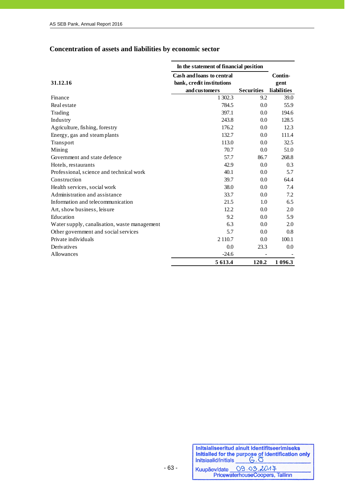# **Concentration of assets and liabilities by economic sector**

|                                               | In the statement of financial position                                         |                   |                                |
|-----------------------------------------------|--------------------------------------------------------------------------------|-------------------|--------------------------------|
| 31.12.16                                      | <b>Cash and loans to central</b><br>bank, credit institutions<br>and customers | <b>Securities</b> | Contin-<br>gent<br>liabilities |
| Finance                                       | 1 302.3                                                                        | 9.2               | 39.0                           |
| Real estate                                   | 784.5                                                                          | 0.0               | 55.9                           |
| Trading                                       | 397.1                                                                          | 0.0               | 194.6                          |
| Industry                                      | 243.8                                                                          | 0.0               | 128.5                          |
| Agriculture, fishing, forestry                | 176.2                                                                          | 0.0               | 12.3                           |
| Energy, gas and steam plants                  | 132.7                                                                          | 0.0               | 111.4                          |
| Transport                                     | 113.0                                                                          | 0.0               | 32.5                           |
| Mining                                        | 70.7                                                                           | 0.0               | 51.0                           |
| Government and state defence                  | 57.7                                                                           | 86.7              | 268.8                          |
| Hotels, restaurants                           | 42.9                                                                           | 0.0               | 0.3                            |
| Professional, science and technical work      | 40.1                                                                           | 0.0               | 5.7                            |
| Construction                                  | 39.7                                                                           | 0.0               | 64.4                           |
| Health services, social work                  | 38.0                                                                           | 0.0               | 7.4                            |
| Administration and assistance                 | 33.7                                                                           | 0.0               | 7.2                            |
| Information and telecommunication             | 21.5                                                                           | 1.0               | 6.5                            |
| Art, show business, leisure                   | 12.2                                                                           | 0.0               | 2.0                            |
| Education                                     | 9.2                                                                            | 0.0               | 5.9                            |
| Water supply, canalisation, was te management | 6.3                                                                            | 0.0               | 2.0                            |
| Other government and social services          | 5.7                                                                            | 0.0               | 0.8                            |
| Private individuals                           | 2 1 1 0.7                                                                      | 0.0               | 100.1                          |
| Derivatives                                   | 0.0                                                                            | 23.3              | 0.0                            |
| <b>Allowances</b>                             | $-24.6$                                                                        |                   |                                |
|                                               | 5 613.4                                                                        | 120.2             | 1 0 9 6.3                      |

| Initsiaalid/initials | Initsialiseeritud ainult identifitseerimiseks<br>Initialled for the purpose of identification only<br>$G.\overline{O}$ |
|----------------------|------------------------------------------------------------------------------------------------------------------------|
| Kuupäev/date         | 09.03.2017                                                                                                             |
|                      | PricewaterhouseCoopers, Tallinn                                                                                        |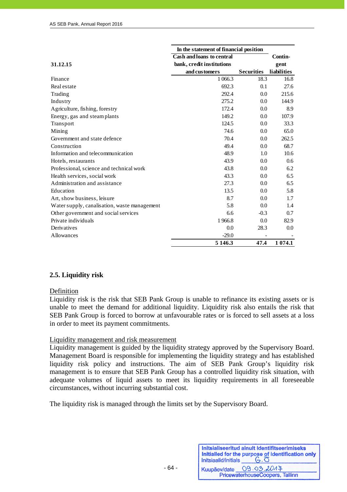|                                              | In the statement of financial position |                   |                    |
|----------------------------------------------|----------------------------------------|-------------------|--------------------|
|                                              | Cash and loans to central              |                   | Contin-            |
| 31.12.15                                     | bank, credit institutions              |                   | gent               |
|                                              | and customers                          | <b>Securities</b> | <b>liabilities</b> |
| Finance                                      | 1 0 6 6.3                              | 18.3              | 16.8               |
| Real estate                                  | 692.3                                  | 0.1               | 27.6               |
| Trading                                      | 292.4                                  | 0.0               | 215.6              |
| Industry                                     | 275.2                                  | 0.0               | 144.9              |
| Agriculture, fishing, forestry               | 172.4                                  | 0.0               | 8.9                |
| Energy, gas and steam plants                 | 149.2                                  | 0.0               | 107.9              |
| Transport                                    | 124.5                                  | 0.0               | 33.3               |
| Mining                                       | 74.6                                   | 0.0               | 65.0               |
| Government and state defence                 | 70.4                                   | 0.0               | 262.5              |
| Construction                                 | 49.4                                   | 0.0               | 68.7               |
| Information and telecommunication            | 48.9                                   | 1.0               | 10.6               |
| Hotels, restaurants                          | 43.9                                   | 0.0               | 0.6                |
| Professional, science and technical work     | 43.8                                   | 0.0               | 6.2                |
| Health services, social work                 | 43.3                                   | 0.0               | 6.5                |
| Administration and assistance                | 27.3                                   | 0.0               | 6.5                |
| Education                                    | 13.5                                   | 0.0               | 5.8                |
| Art, show business, leisure                  | 8.7                                    | 0.0               | 1.7                |
| Water supply, canalisation, waste management | 5.8                                    | 0.0               | 1.4                |
| Other government and social services         | 6.6                                    | $-0.3$            | 0.7                |
| Private individuals                          | 1966.8                                 | 0.0               | 82.9               |
| Derivatives                                  | 0.0                                    | 28.3              | 0.0                |
| Allowances                                   | $-29.0$                                |                   |                    |
|                                              | 5 146.3                                | 47.4              | 1 0 7 4 .1         |

# **2.5. Liquidity risk**

#### Definition

Liquidity risk is the risk that SEB Pank Group is unable to refinance its existing assets or is unable to meet the demand for additional liquidity. Liquidity risk also entails the risk that SEB Pank Group is forced to borrow at unfavourable rates or is forced to sell assets at a loss in order to meet its payment commitments.

#### Liquidity management and risk measurement

Liquidity management is guided by the liquidity strategy approved by the Supervisory Board. Management Board is responsible for implementing the liquidity strategy and has established liquidity risk policy and instructions. The aim of SEB Pank Group's liquidity risk management is to ensure that SEB Pank Group has a controlled liquidity risk situation, with adequate volumes of liquid assets to meet its liquidity requirements in all foreseeable circumstances, without incurring substantial cost.

The liquidity risk is managed through the limits set by the Supervisory Board.

| Initsiaalid/initials | Initsialiseeritud ainult identifitseerimiseks<br>Initialled for the purpose of identification only |
|----------------------|----------------------------------------------------------------------------------------------------|
| Kuupäev/date         | 09.03.2017                                                                                         |
|                      | PricewaterhouseCoopers, Tallinn                                                                    |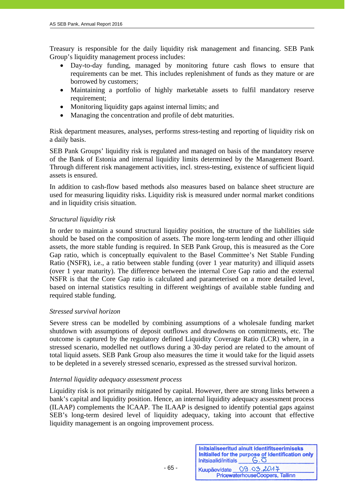Treasury is responsible for the daily liquidity risk management and financing. SEB Pank Group's liquidity management process includes:

- Day-to-day funding, managed by monitoring future cash flows to ensure that requirements can be met. This includes replenishment of funds as they mature or are borrowed by customers;
- Maintaining a portfolio of highly marketable assets to fulfil mandatory reserve requirement;
- Monitoring liquidity gaps against internal limits; and
- Managing the concentration and profile of debt maturities.

Risk department measures, analyses, performs stress-testing and reporting of liquidity risk on a daily basis.

SEB Pank Groups' liquidity risk is regulated and managed on basis of the mandatory reserve of the Bank of Estonia and internal liquidity limits determined by the Management Board. Through different risk management activities, incl. stress-testing, existence of sufficient liquid assets is ensured.

In addition to cash-flow based methods also measures based on balance sheet structure are used for measuring liquidity risks. Liquidity risk is measured under normal market conditions and in liquidity crisis situation.

# *Structural liquidity risk*

In order to maintain a sound structural liquidity position, the structure of the liabilities side should be based on the composition of assets. The more long-term lending and other illiquid assets, the more stable funding is required. In SEB Pank Group, this is measured as the Core Gap ratio, which is conceptually equivalent to the Basel Committee's Net Stable Funding Ratio (NSFR), i.e., a ratio between stable funding (over 1 year maturity) and illiquid assets (over 1 year maturity). The difference between the internal Core Gap ratio and the external NSFR is that the Core Gap ratio is calculated and parameterised on a more detailed level, based on internal statistics resulting in different weightings of available stable funding and required stable funding.

#### *Stressed survival horizon*

Severe stress can be modelled by combining assumptions of a wholesale funding market shutdown with assumptions of deposit outflows and drawdowns on commitments, etc. The outcome is captured by the regulatory defined Liquidity Coverage Ratio (LCR) where, in a stressed scenario, modelled net outflows during a 30-day period are related to the amount of total liquid assets. SEB Pank Group also measures the time it would take for the liquid assets to be depleted in a severely stressed scenario, expressed as the stressed survival horizon.

#### *Internal liquidity adequacy assessment process*

Liquidity risk is not primarily mitigated by capital. However, there are strong links between a bank's capital and liquidity position. Hence, an internal liquidity adequacy assessment process (ILAAP) complements the ICAAP. The ILAAP is designed to identify potential gaps against SEB's long-term desired level of liquidity adequacy, taking into account that effective liquidity management is an ongoing improvement process.

| Initsiaalid/initials | Initsialiseeritud ainult identifitseerimiseks<br>Initialled for the purpose of identification only<br>$G.\overline{O}$ |
|----------------------|------------------------------------------------------------------------------------------------------------------------|
| Kuupäev/date         | 09.03.2017                                                                                                             |
|                      | PricewaterhouseCoopers, Tallinn                                                                                        |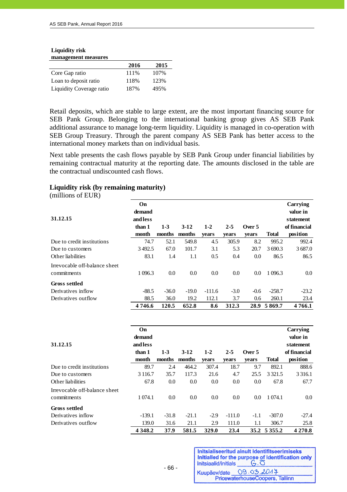| <b>Liquidity risk</b> |
|-----------------------|
| management measures   |

| management measures      |      |      |  |  |  |  |
|--------------------------|------|------|--|--|--|--|
|                          | 2016 | 2015 |  |  |  |  |
| Core Gap ratio           | 111% | 107% |  |  |  |  |
| Loan to deposit ratio    | 118% | 123% |  |  |  |  |
| Liquidity Coverage ratio | 187% | 495% |  |  |  |  |

Retail deposits, which are stable to large extent, are the most important financing source for SEB Pank Group. Belonging to the international banking group gives AS SEB Pank additional assurance to manage long-term liquidity. Liquidity is managed in co-operation with SEB Group Treasury. Through the parent company AS SEB Pank has better access to the international money markets than on individual basis.

Next table presents the cash flows payable by SEB Pank Group under financial liabilities by remaining contractual maturity at the reporting date. The amounts disclosed in the table are the contractual undiscounted cash flows.

#### **Liquidity risk (by remaining maturity)**

(millions of EUR)

| 31.12.15                                     | On<br>demand<br>and less<br>than 1 | $1-3$   | $3-12$  | $1 - 2$  | $2 - 5$ | Over 5 |              | Carrying<br>value in<br>statement<br>of financial |
|----------------------------------------------|------------------------------------|---------|---------|----------|---------|--------|--------------|---------------------------------------------------|
|                                              | month                              | months  | months  | vears    | vears   | vears  | <b>Total</b> | position                                          |
| Due to credit institutions                   | 74.7                               | 52.1    | 549.8   | 4.5      | 305.9   | 8.2    | 995.2        | 992.4                                             |
| Due to customers                             | 3492.5                             | 67.0    | 101.7   | 3.1      | 5.3     | 20.7   | 3 690.3      | 3687.0                                            |
| Other liabilities                            | 83.1                               | 1.4     | 1.1     | 0.5      | 0.4     | 0.0    | 86.5         | 86.5                                              |
| Irrevocable off-balance sheet<br>commitments | 1 0 9 6.3                          | 0.0     | 0.0     | 0.0      | 0.0     | 0.0    | 1 096.3      | 0.0                                               |
| <b>Gross settled</b>                         |                                    |         |         |          |         |        |              |                                                   |
| Derivatives inflow                           | $-88.5$                            | $-36.0$ | $-19.0$ | $-111.6$ | $-3.0$  | $-0.6$ | $-258.7$     | $-23.2$                                           |
| Derivatives outflow                          | 88.5                               | 36.0    | 19.2    | 112.1    | 3.7     | 0.6    | 260.1        | 23.4                                              |
|                                              | 4746.6                             | 120.5   | 652.8   | 8.6      | 312.3   | 28.9   | 5869.7       | 4766.1                                            |

| 31.12.15                      | On<br>demand<br>and less<br>than 1<br>month | $1-3$<br>months | $3-12$<br>months | $1 - 2$ | $2 - 5$  | Over 5 | <b>Total</b> | Carrying<br>value in<br>statement<br>of financial<br>position |
|-------------------------------|---------------------------------------------|-----------------|------------------|---------|----------|--------|--------------|---------------------------------------------------------------|
|                               |                                             |                 |                  | years   | years    | years  |              |                                                               |
| Due to credit institutions    | 89.7                                        | 2.4             | 464.2            | 307.4   | 18.7     | 9.7    | 892.1        | 888.6                                                         |
| Due to customers              | 3 1 1 6 .7                                  | 35.7            | 117.3            | 21.6    | 4.7      | 25.5   | 3 3 2 1.5    | 3 3 1 6 .1                                                    |
| Other liabilities             | 67.8                                        | 0.0             | 0.0              | 0.0     | 0.0      | 0.0    | 67.8         | 67.7                                                          |
| Irrevocable off-balance sheet |                                             |                 |                  |         |          |        |              |                                                               |
| commitments                   | 1 0 74.1                                    | 0.0             | 0.0              | 0.0     | 0.0      | 0.0    | 1 0 74.1     | $0.0\,$                                                       |
| <b>Gross settled</b>          |                                             |                 |                  |         |          |        |              |                                                               |
| Derivatives inflow            | $-139.1$                                    | $-31.8$         | $-21.1$          | $-2.9$  | $-111.0$ | $-1.1$ | $-307.0$     | $-27.4$                                                       |
| Derivatives outflow           | 139.0                                       | 31.6            | 21.1             | 2.9     | 111.0    | 1.1    | 306.7        | 25.8                                                          |
|                               | 4 3 4 8 .2                                  | 37.9            | 581.5            | 329.0   | 23.4     |        | 35.2 5 355.2 | 4 270.8                                                       |

Initsialiseeritud ainult identifitseerimiseks Initialled for the purpose of identification only Initsiaalid/initials  $G.\overline{O}$ Kuupäev/date 09.03.2017 PricewaterhouseCoopers, Tallinn

 $- 66 -$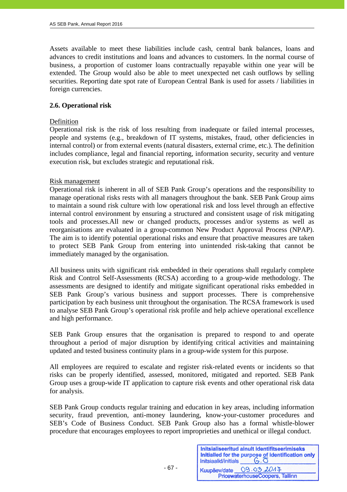Assets available to meet these liabilities include cash, central bank balances, loans and advances to credit institutions and loans and advances to customers. In the normal course of business, a proportion of customer loans contractually repayable within one year will be extended. The Group would also be able to meet unexpected net cash outflows by selling securities. Reporting date spot rate of European Central Bank is used for assets / liabilities in foreign currencies.

#### **2.6. Operational risk**

#### **Definition**

j

Operational risk is the risk of loss resulting from inadequate or failed internal processes, people and systems (e.g., breakdown of IT systems, mistakes, fraud, other deficiencies in internal control) or from external events (natural disasters, external crime, etc.). The definition includes compliance, legal and financial reporting, information security, security and venture execution risk, but excludes strategic and reputational risk.

#### Risk management

Operational risk is inherent in all of SEB Pank Group's operations and the responsibility to manage operational risks rests with all managers throughout the bank. SEB Pank Group aims to maintain a sound risk culture with low operational risk and loss level through an effective internal control environment by ensuring a structured and consistent usage of risk mitigating tools and processes.All new or changed products, processes and/or systems as well as reorganisations are evaluated in a group-common New Product Approval Process (NPAP). The aim is to identify potential operational risks and ensure that proactive measures are taken to protect SEB Pank Group from entering into unintended risk-taking that cannot be immediately managed by the organisation.

All business units with significant risk embedded in their operations shall regularly complete Risk and Control Self-Assessments (RCSA) according to a group-wide methodology. The assessments are designed to identify and mitigate significant operational risks embedded in SEB Pank Group's various business and support processes. There is comprehensive participation by each business unit throughout the organisation. The RCSA framework is used to analyse SEB Pank Group's operational risk profile and help achieve operational excellence and high performance.

SEB Pank Group ensures that the organisation is prepared to respond to and operate throughout a period of major disruption by identifying critical activities and maintaining updated and tested business continuity plans in a group-wide system for this purpose.

All employees are required to escalate and register risk-related events or incidents so that risks can be properly identified, assessed, monitored, mitigated and reported. SEB Pank Group uses a group-wide IT application to capture risk events and other operational risk data for analysis.

SEB Pank Group conducts regular training and education in key areas, including information security, fraud prevention, anti-money laundering, know-your-customer procedures and SEB's Code of Business Conduct. SEB Pank Group also has a formal whistle-blower procedure that encourages employees to report improprieties and unethical or illegal conduct.

— 67 - Северниц в селото на 167 - Септември от 167 - Септември от 167 - Септември от 167 - Септември от 167 -

| Initsiaalid/initials | Initsialiseeritud ainult identifitseerimiseks<br>Initialled for the purpose of identification only |
|----------------------|----------------------------------------------------------------------------------------------------|
| Kuupäev/date         | 09.03.2017                                                                                         |
|                      | PricewaterhouseCoopers, Tallinn                                                                    |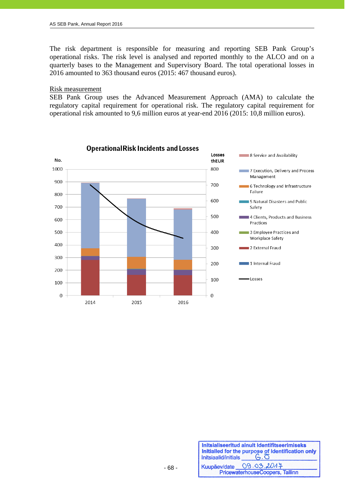The risk department is responsible for measuring and reporting SEB Pank Group's operational risks. The risk level is analysed and reported monthly to the ALCO and on a quarterly bases to the Management and Supervisory Board. The total operational losses in 2016 amounted to 363 thousand euros (2015: 467 thousand euros).

#### Risk measurement

j

SEB Pank Group uses the Advanced Measurement Approach (AMA) to calculate the regulatory capital requirement for operational risk. The regulatory capital requirement for operational risk amounted to 9,6 million euros at year-end 2016 (2015: 10,8 million euros).



| Initsiaalid/initials | Initsialiseeritud ainult identifitseerimiseks<br>Initialled for the purpose of identification only |
|----------------------|----------------------------------------------------------------------------------------------------|
|                      | Kuupäev/date 09.03.2014                                                                            |
|                      | PricewaterhouseCoopers, Tallinn                                                                    |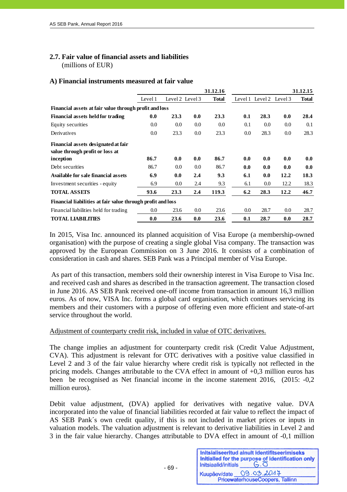#### **2.7. Fair value of financial assets and liabilities**

(millions of EUR)

#### **A) Financial instruments measured at fair value**

|                                                             |         |         |                 | 31.12.16     |     |                         |         | 31.12.15     |
|-------------------------------------------------------------|---------|---------|-----------------|--------------|-----|-------------------------|---------|--------------|
|                                                             | Level 1 |         | Level 2 Level 3 | <b>Total</b> |     | Level 1 Level 2 Level 3 |         | <b>Total</b> |
| Financial assets at fair value through profit and loss      |         |         |                 |              |     |                         |         |              |
| Financial assets held for trading                           | 0.0     | 23.3    | 0.0             | 23.3         | 0.1 | 28.3                    | 0.0     | 28.4         |
| Equity securities                                           | 0.0     | 0.0     | 0.0             | 0.0          | 0.1 | 0.0                     | 0.0     | 0.1          |
| Derivatives                                                 | 0.0     | 23.3    | 0.0             | 23.3         | 0.0 | 28.3                    | $0.0\,$ | 28.3         |
| Financial assets designated at fair                         |         |         |                 |              |     |                         |         |              |
| value through profit or loss at                             |         |         |                 |              |     |                         |         |              |
| inception                                                   | 86.7    | 0.0     | 0.0             | 86.7         | 0.0 | 0.0                     | 0.0     | 0.0          |
| Debt securities                                             | 86.7    | $0.0\,$ | 0.0             | 86.7         | 0.0 | 0.0                     | 0.0     | 0.0          |
| Available for sale financial assets                         | 6.9     | 0.0     | 2.4             | 9.3          | 6.1 | 0.0                     | 12.2    | 18.3         |
| Investment securities - equity                              | 6.9     | 0.0     | 2.4             | 9.3          | 6.1 | 0.0                     | 12.2    | 18.3         |
| <b>TOTAL ASSETS</b>                                         | 93.6    | 23.3    | 2.4             | 119.3        | 6.2 | 28.3                    | 12.2    | 46.7         |
| Financial liabilities at fair value through profit and loss |         |         |                 |              |     |                         |         |              |
| Financial liabilities held for trading                      | 0.0     | 23.6    | 0.0             | 23.6         | 0.0 | 28.7                    | $0.0\,$ | 28.7         |
| <b>TOTAL LIABILITIES</b>                                    | 0.0     | 23.6    | 0.0             | 23.6         | 0.1 | 28.7                    | 0.0     | 28.7         |

In 2015, Visa Inc. announced its planned acquisition of Visa Europe (a membership-owned organisation) with the purpose of creating a single global Visa company. The transaction was approved by the European Commission on 3 June 2016. It consists of a combination of consideration in cash and shares. SEB Pank was a Principal member of Visa Europe.

 As part of this transaction, members sold their ownership interest in Visa Europe to Visa Inc. and received cash and shares as described in the transaction agreement. The transaction closed in June 2016. AS SEB Pank received one-off income from transaction in amount 16,3 million euros. As of now, VISA Inc. forms a global card organisation, which continues servicing its members and their customers with a purpose of offering even more efficient and state-of-art service throughout the world.

#### Adjustment of counterparty credit risk, included in value of OTC derivatives.

The change implies an adjustment for counterparty credit risk (Credit Value Adjustment, CVA). This adjustment is relevant for OTC derivatives with a positive value classified in Level 2 and 3 of the fair value hierarchy where credit risk is typically not reflected in the pricing models. Changes attributable to the CVA effect in amount of +0,3 million euros has been be recognised as Net financial income in the income statement 2016, (2015: -0,2 million euros).

Debit value adjustment, (DVA) applied for derivatives with negative value. DVA incorporated into the value of financial liabilities recorded at fair value to reflect the impact of AS SEB Pank´s own credit quality, if this is not included in market prices or inputs in valuation models. The valuation adjustment is relevant to derivative liabilities in Level 2 and 3 in the fair value hierarchy. Changes attributable to DVA effect in amount of -0,1 million

| Initsiaalid/initials | Initsialiseeritud ainult identifitseerimiseks<br>Initialled for the purpose of identification only<br>$G, \overline{O}$ |
|----------------------|-------------------------------------------------------------------------------------------------------------------------|
| Kuupäev/date         | 09.03.2017                                                                                                              |
|                      | PricewaterhouseCoopers, Tallinn                                                                                         |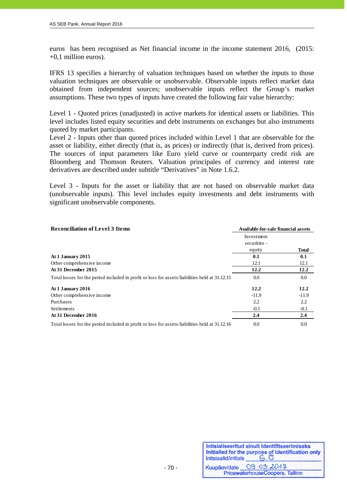euros has been recognised as Net financial income in the income statement 2016, (2015: +0,1 million euros).

IFRS 13 specifies a hierarchy of valuation techniques based on whether the inputs to those valuation techniques are observable or unobservable. Observable inputs reflect market data obtained from independent sources; unobservable inputs reflect the Group's market assumptions. These two types of inputs have created the following fair value hierarchy:

Level 1 - Quoted prices (unadjusted) in active markets for identical assets or liabilities. This level includes listed equity securities and debt instruments on exchanges but also instruments quoted by market participants.

Level 2 - Inputs other than quoted prices included within Level 1 that are observable for the asset or liability, either directly (that is, as prices) or indirectly (that is, derived from prices). The sources of input parameters like Euro yield curve or counterparty credit risk are Bloomberg and Thomson Reuters. Valuation principales of currency and interest rate derivatives are described under subtitle "Derivatives" in Note 1.6.2.

Level 3 - Inputs for the asset or liability that are not based on observable market data (unobservable inputs). This level includes equity investments and debt instruments with significant unobservable components.

| <b>Reconciliation of Level 3 Items</b>                                                         | Available-for-sale financial assets |         |  |
|------------------------------------------------------------------------------------------------|-------------------------------------|---------|--|
|                                                                                                | Investment                          |         |  |
|                                                                                                | securities -                        |         |  |
|                                                                                                | equity                              | Total   |  |
| At 1 January 2015                                                                              | 0.1                                 | 0.1     |  |
| Other comprehensive income                                                                     | 12.1                                | 12.1    |  |
| At 31 December 2015                                                                            | 12.2                                | 12.2    |  |
| Total losses for the period included in profit or loss for assets/liabilities held at 31.12.15 | 0.0                                 | 0.0     |  |
| At 1 January 2016                                                                              | 12.2                                | 12.2    |  |
| Other comprehensive income                                                                     | $-11.9$                             | $-11.9$ |  |
| Purchases                                                                                      | 2.2                                 | 2.2     |  |
| Settlements                                                                                    | $-0.1$                              | $-0.1$  |  |
| At 31 December 2016                                                                            | 2.4                                 | 2.4     |  |
| Total losses for the period included in profit or loss for assets/liabilities held at 31.12.16 | 0.0                                 | 0.0     |  |

| Initsiaalid/initials | Initsialiseeritud ainult identifitseerimiseks<br>Initialled for the purpose of identification only<br>$G.\overline{O}$ |
|----------------------|------------------------------------------------------------------------------------------------------------------------|
|                      | Kuupäev/date 09.03.2017<br>PricewaterhouseCoopers, Tallinn                                                             |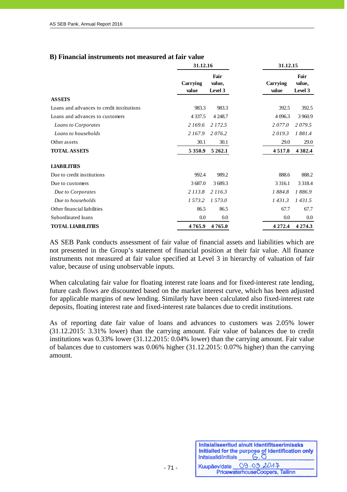|  |  |  | B) Financial instruments not measured at fair value |  |  |  |
|--|--|--|-----------------------------------------------------|--|--|--|
|--|--|--|-----------------------------------------------------|--|--|--|

|                                           | 31.12.16          |                           | 31.12.15          |                           |
|-------------------------------------------|-------------------|---------------------------|-------------------|---------------------------|
|                                           | Carrying<br>value | Fair<br>value,<br>Level 3 | Carrying<br>value | Fair<br>value,<br>Level 3 |
| <b>ASSETS</b>                             |                   |                           |                   |                           |
| Loans and advances to credit institutions | 983.3             | 983.3                     | 392.5             | 392.5                     |
| Loans and advances to customers           | 4 3 3 7 .5        | 4 2 4 8 .7                | 4 0 9 6.3         | 3 9 6 0.9                 |
| Loans to Corporates                       | 2 169.6           | 2 172.5                   | 2077.0            | 2079.5                    |
| Loans to households                       | 2 167.9           | 2076.2                    | 2019.3            | 1881.4                    |
| Other assets                              | 30.1              | 30.1                      | 29.0              | 29.0                      |
| <b>TOTAL ASSETS</b>                       | 5 3 5 0.9         | 5 262.1                   | 4517.8            | 4 3 8 2.4                 |
| <b>LIABILITIES</b>                        |                   |                           |                   |                           |
| Due to credit institutions                | 992.4             | 989.2                     | 888.6             | 888.2                     |
| Due to customers                          | 3687.0            | 3 689.3                   | 3 3 1 6 1         | 3 3 1 8 .4                |
| Due to Corporates                         | 2 1 1 3 .8        | 2 116.3                   | 1884.8            | 1886.9                    |
| Due to households                         | 1 573.2           | 1 573.0                   | 1431.3            | 1431.5                    |
| Other financial liabilities               | 86.5              | 86.5                      | 67.7              | 67.7                      |
| Subordinated loans                        | 0.0               | 0.0                       | 0.0               | 0.0                       |
| <b>TOTAL LIABILITIES</b>                  | 4765.9            | 4765.0                    | 4 2 7 2 .4        | 4 2 7 4 .3                |

AS SEB Pank conducts assessment of fair value of financial assets and liabilities which are not presented in the Group's statement of financial position at their fair value. All finance instruments not measured at fair value specified at Level 3 in hierarchy of valuation of fair value, because of using unobservable inputs.

When calculating fair value for floating interest rate loans and for fixed-interest rate lending, future cash flows are discounted based on the market interest curve, which has been adjusted for applicable margins of new lending. Similarly have been calculated also fixed-interest rate deposits, floating interest rate and fixed-interest rate balances due to credit institutions.

As of reporting date fair value of loans and advances to customers was 2.05% lower (31.12.2015: 3.31% lower) than the carrying amount. Fair value of balances due to credit institutions was 0.33% lower (31.12.2015: 0.04% lower) than the carrying amount. Fair value of balances due to customers was 0.06% higher (31.12.2015: 0.07% higher) than the carrying amount.

- 71 -

| Initsiaalid/initials | Initsialiseeritud ainult identifitseerimiseks<br>Initialled for the purpose of identification only<br>$G.\overline{O}$ |
|----------------------|------------------------------------------------------------------------------------------------------------------------|
|                      | Kuupäev/date 09.03.2014                                                                                                |
|                      | PricewaterhouseCoopers, Tallinn                                                                                        |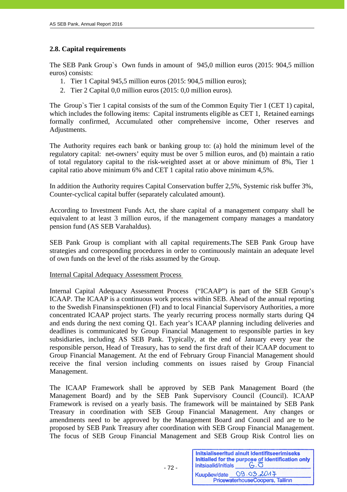## **2.8. Capital requirements**

The SEB Pank Group`s Own funds in amount of 945,0 million euros (2015: 904,5 million euros) consists:

- 1. Tier 1 Capital 945,5 million euros (2015: 904,5 million euros);
- 2. Tier 2 Capital 0,0 million euros (2015: 0,0 million euros).

The Group`s Tier 1 capital consists of the sum of the Common Equity Tier 1 (CET 1) capital, which includes the following items: Capital instruments eligible as CET 1, Retained earnings formally confirmed, Accumulated other comprehensive income, Other reserves and Adjustments.

The Authority requires each bank or banking group to: (a) hold the minimum level of the regulatory capital: net-owners' equity must be over 5 million euros, and (b) maintain a ratio of total regulatory capital to the risk-weighted asset at or above minimum of 8%, Tier 1 capital ratio above minimum 6% and CET 1 capital ratio above minimum 4,5%.

In addition the Authority requires Capital Conservation buffer 2,5%, Systemic risk buffer 3%, Counter-cyclical capital buffer (separately calculated amount).

According to Investment Funds Act, the share capital of a management company shall be equivalent to at least 3 million euros, if the management company manages a mandatory pension fund (AS SEB Varahaldus).

SEB Pank Group is compliant with all capital requirements.The SEB Pank Group have strategies and corresponding procedures in order to continuously maintain an adequate level of own funds on the level of the risks assumed by the Group.

### Internal Capital Adequacy Assessment Process

Internal Capital Adequacy Assessment Process ("ICAAP") is part of the SEB Group's ICAAP. The ICAAP is a continuous work process within SEB. Ahead of the annual reporting to the Swedish Finansinspektionen (FI) and to local Financial Supervisory Authorities, a more concentrated ICAAP project starts. The yearly recurring process normally starts during Q4 and ends during the next coming Q1. Each year's ICAAP planning including deliveries and deadlines is communicated by Group Financial Management to responsible parties in key subsidiaries, including AS SEB Pank. Typically, at the end of January every year the responsible person, Head of Treasury, has to send the first draft of their ICAAP document to Group Financial Management. At the end of February Group Financial Management should receive the final version including comments on issues raised by Group Financial Management.

The ICAAP Framework shall be approved by SEB Pank Management Board (the Management Board) and by the SEB Pank Supervisory Council (Council). ICAAP Framework is revised on a yearly basis. The framework will be maintained by SEB Pank Treasury in coordination with SEB Group Financial Management. Any changes or amendments need to be approved by the Management Board and Council and are to be proposed by SEB Pank Treasury after coordination with SEB Group Financial Management. The focus of SEB Group Financial Management and SEB Group Risk Control lies on

Initsialiseeritud ainult identifitseerimiseks Initialled for the purpose of identification only  $G.\overline{O}$ Initsiaalid/initials 09.03.2017 Kuupäev/date PricewaterhouseCoopers, Tallinn

 $- 72 -$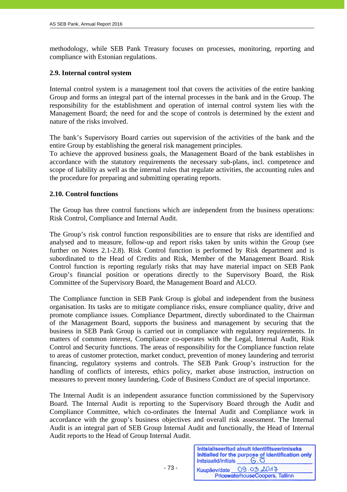methodology, while SEB Pank Treasury focuses on processes, monitoring, reporting and compliance with Estonian regulations.

## **2.9. Internal control system**

Internal control system is a management tool that covers the activities of the entire banking Group and forms an integral part of the internal processes in the bank and in the Group. The responsibility for the establishment and operation of internal control system lies with the Management Board; the need for and the scope of controls is determined by the extent and nature of the risks involved.

The bank's Supervisory Board carries out supervision of the activities of the bank and the entire Group by establishing the general risk management principles.

To achieve the approved business goals, the Management Board of the bank establishes in accordance with the statutory requirements the necessary sub-plans, incl. competence and scope of liability as well as the internal rules that regulate activities, the accounting rules and the procedure for preparing and submitting operating reports.

### **2.10. Control functions**

The Group has three control functions which are independent from the business operations: Risk Control, Compliance and Internal Audit.

The Group's risk control function responsibilities are to ensure that risks are identified and analysed and to measure, follow-up and report risks taken by units within the Group (see further on Notes 2.1-2.8). Risk Control function is performed by Risk department and is subordinated to the Head of Credits and Risk, Member of the Management Board. Risk Control function is reporting regularly risks that may have material impact on SEB Pank Group's financial position or operations directly to the Supervisory Board, the Risk Committee of the Supervisory Board, the Management Board and ALCO.

The Compliance function in SEB Pank Group is global and independent from the business organisation. Its tasks are to mitigate compliance risks, ensure compliance quality, drive and promote compliance issues. Compliance Department, directly subordinated to the Chairman of the Management Board, supports the business and management by securing that the business in SEB Pank Group is carried out in compliance with regulatory requirements. In matters of common interest, Compliance co-operates with the Legal, Internal Audit, Risk Control and Security functions. The areas of responsibility for the Compliance function relate to areas of customer protection, market conduct, prevention of money laundering and terrorist financing, regulatory systems and controls. The SEB Pank Group's instruction for the handling of conflicts of interests, ethics policy, market abuse instruction, instruction on measures to prevent money laundering, Code of Business Conduct are of special importance.

The Internal Audit is an independent assurance function commissioned by the Supervisory Board. The Internal Audit is reporting to the Supervisory Board through the Audit and Compliance Committee, which co-ordinates the Internal Audit and Compliance work in accordance with the group's business objectives and overall risk assessment. The Internal Audit is an integral part of SEB Group Internal Audit and functionally, the Head of Internal Audit reports to the Head of Group Internal Audit.

 $- 73 -$ 

Initsialiseeritud ainult identifitseerimiseks Initialled for the purpose of identification only Initsiaalid/initials  $G.\overline{O}$ Kuupäev/date 09.03.2017 PricewaterhouseCoopers, Tallinn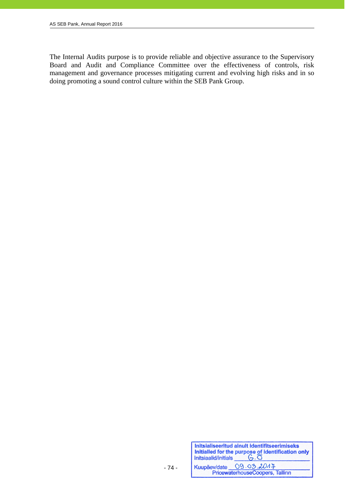The Internal Audits purpose is to provide reliable and objective assurance to the Supervisory Board and Audit and Compliance Committee over the effectiveness of controls, risk management and governance processes mitigating current and evolving high risks and in so doing promoting a sound control culture within the SEB Pank Group.

| Initsiaalid/initials | Initsialiseeritud ainult identifitseerimiseks<br>Initialied for the purpose of identification only<br>$G.\overline{O}$ |
|----------------------|------------------------------------------------------------------------------------------------------------------------|
|                      | Kuupäev/date 09.03.2017                                                                                                |
|                      | PricewaterhouseCoopers, Tallinn                                                                                        |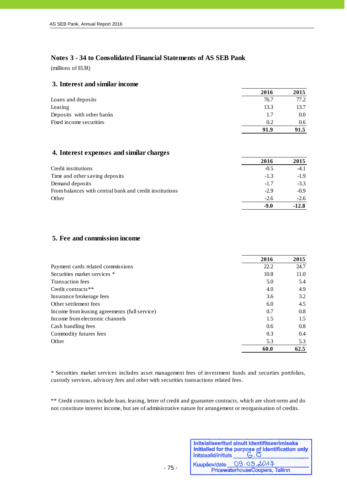## **Notes 3 - 34 to Consolidated Financial Statements of AS SEB Pank**

(millions of EUR)

j

### **3. Interest and similar income**

|                           | 2016 | 2015    |
|---------------------------|------|---------|
| Loans and deposits        | 76.7 | 77.2    |
| Leasing                   | 13.3 | 13.7    |
| Deposits with other banks | 1.7  | $0.0\,$ |
| Fixed income securities   | 0.2  | 0.6     |
|                           | 91.9 | 91.5    |

#### **4. Interest expenses and similar charges**

|                                                         | 2016   | 2015    |
|---------------------------------------------------------|--------|---------|
| Credit institutions                                     | $-0.5$ | $-4.1$  |
| Time and other saving deposits                          | $-1.3$ | $-1.9$  |
| Demand deposits                                         | $-1.7$ | $-3.3$  |
| From balances with central bank and credit institutions | $-2.9$ | $-0.9$  |
| Other                                                   | $-2.6$ | $-2.6$  |
|                                                         | -9.0   | $-12.8$ |

### **5. Fee and commission income**

|                                               | 2016 | 2015 |
|-----------------------------------------------|------|------|
| Payment cards related commissions             | 22.2 | 24.7 |
| Securities market services *                  | 10.8 | 11.0 |
| Transaction fees                              | 5.0  | 5.4  |
| Credit contracts**                            | 4.0  | 4.9  |
| Insurance brokerage fees                      | 3.6  | 3.2  |
| Other settlement fees                         | 6.0  | 4.5  |
| Income from leasing agreements (full service) | 0.7  | 0.8  |
| Income from electronic channels               | 1.5  | 1.5  |
| Cash handling fees                            | 0.6  | 0.8  |
| Commodity futures fees                        | 0.3  | 0.4  |
| Other                                         | 5.3  | 5.3  |
|                                               | 60.0 | 62.5 |

\* Securities market services includes asset management fees of investment funds and securties portfolios, custody services, advisory fees and other with securities transactions related fees.

\*\* Credit contracts include loan, leasing, letter of credit and guarantee contracts, which are short-term and do not constitute interest income, but are of administrative nature for arrangement or reorganisation of credits.

| Initsiaalid/initials | Initsialiseeritud ainult identifitseerimiseks<br>Initialled for the purpose of identification only |
|----------------------|----------------------------------------------------------------------------------------------------|
|                      | Kuupäev/date 09.03.2014                                                                            |
|                      | PricewaterhouseCoopers, Tallinn                                                                    |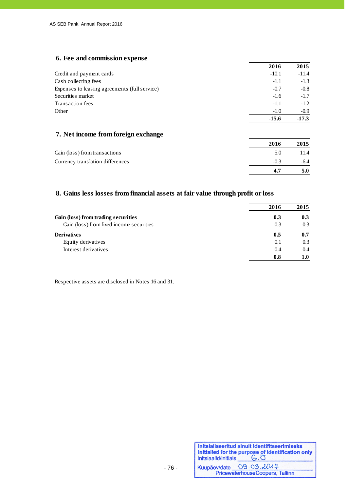# **6. Fee and commission expense**

|                                               | 2016    | 2015    |
|-----------------------------------------------|---------|---------|
| Credit and payment cards                      | $-10.1$ | $-11.4$ |
| Cash collecting fees                          | $-1.1$  | $-1.3$  |
| Expenses to leasing agreements (full service) | $-0.7$  | $-0.8$  |
| Securities market                             | $-1.6$  | $-1.7$  |
| Transaction fees                              | $-1.1$  | $-1.2$  |
| Other                                         | $-1.0$  | $-0.9$  |
|                                               | $-15.6$ | $-17.3$ |

# **7. Net income from foreign exchange**

|                                  | 2016   | 2015 |
|----------------------------------|--------|------|
| Gain (loss) from transactions    | 5.0    | 11.4 |
| Currency translation differences | $-0.3$ | -6.4 |
|                                  | 47     | 5.0  |

# **8. Gains less losses from financial assets at fair value through profit or loss**

|                                          | 2016 | 2015 |
|------------------------------------------|------|------|
| Gain (loss) from trading securities      | 0.3  | 0.3  |
| Gain (loss) from fixed income securities | 0.3  | 0.3  |
| <b>Derivatives</b>                       | 0.5  | 0.7  |
| Equity derivatives                       | 0.1  | 0.3  |
| Interest derivatives                     | 0.4  | 0.4  |
|                                          | 0.8  | 1.0  |

Respective assets are disclosed in Notes 16 and 31.

| Initialiseeritud ainult identifitseerimiseks<br>Initialled for the purpose of identification only<br>Initialialid/initials $\begin{array}{c} \circ \\ \circ \end{array}$ |
|--------------------------------------------------------------------------------------------------------------------------------------------------------------------------|
| Kuupäev/date 09.03.2047<br>PricewaterhouseCoopers, Tallinn                                                                                                               |
|                                                                                                                                                                          |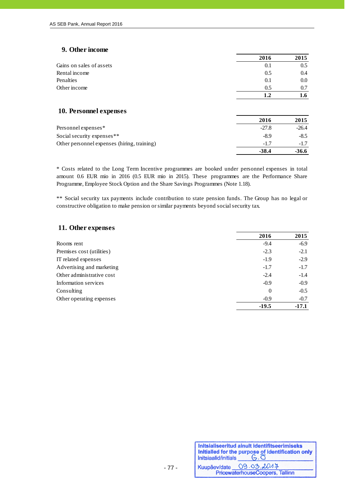## **9. Other income**

|                                             | 2016    | 2015    |
|---------------------------------------------|---------|---------|
| Gains on sales of assets                    | 0.1     | 0.5     |
| Rental income                               | 0.5     | 0.4     |
| Penalties                                   | 0.1     | 0.0     |
| Other income                                | 0.5     | 0.7     |
|                                             | 1.2     | 1.6     |
| 10. Personnel expenses                      |         |         |
|                                             | 2016    | 2015    |
| Personnel expenses*                         | $-27.8$ | $-26.4$ |
| Social security expenses**                  | $-8.9$  | $-8.5$  |
| Other personnel expenses (hiring, training) | $-1.7$  | $-1.7$  |
|                                             | $-38.4$ | $-36.6$ |

\* Costs related to the Long Term Incentive programmes are booked under personnel expenses in total amount 0.6 EUR mio in 2016 (0.5 EUR mio in 2015). These programmes are the Performance Share Programme, Employee Stock Option and the Share Savings Programmes (Note 1.18).

\*\* Social security tax payments include contribution to state pension funds. The Group has no legal or constructive obligation to make pension or similar payments beyond social security tax.

| 11. Other expenses        |          |         |
|---------------------------|----------|---------|
|                           | 2016     | 2015    |
| Rooms rent                | $-9.4$   | $-6.9$  |
| Premises cost (utilities) | $-2.3$   | $-2.1$  |
| IT related expenses       | $-1.9$   | $-2.9$  |
| Advertising and marketing | $-1.7$   | $-1.7$  |
| Other administrative cost | $-2.4$   | $-1.4$  |
| Information services      | $-0.9$   | $-0.9$  |
| Consulting                | $\theta$ | $-0.5$  |
| Other operating expenses  | $-0.9$   | $-0.7$  |
|                           | $-19.5$  | $-17.1$ |

| Initialiseeritud ainult identifitseerimiseks<br>Initialled for the purpose of identification only<br>Initialialid/initials $\begin{array}{c} \circ \\ \circ \end{array}$ |
|--------------------------------------------------------------------------------------------------------------------------------------------------------------------------|
| Kuupäev/date 09.03.2014                                                                                                                                                  |
| PricewaterhouseCoopers, Tallinn                                                                                                                                          |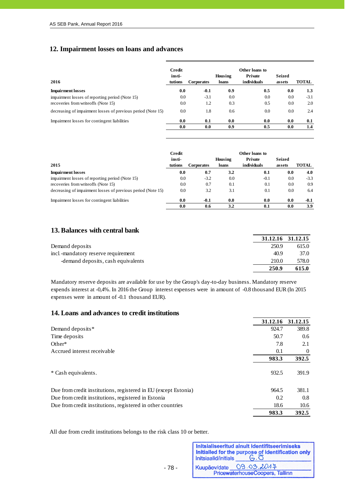# **12. Impairment losses on loans and advances**

|                                                              | Credit            |                   |                  | Other loans to         |                         |              |
|--------------------------------------------------------------|-------------------|-------------------|------------------|------------------------|-------------------------|--------------|
| 2016                                                         | insti-<br>tutions | <b>Corporates</b> | Housing<br>loans | Private<br>individuals | <b>Seized</b><br>assets | <b>TOTAL</b> |
| <b>Impairment losses</b>                                     | 0.0               | $-0.1$            | 0.9              | 0.5                    | 0.0                     | 1.3          |
| impairment losses of reporting period (Note 15)              | 0.0               | $-3.1$            | 0.0              | 0.0                    | 0.0                     | $-3.1$       |
| recoveries from writeoffs (Note 15)                          | 0.0               | 1.2               | 0.3              | 0.5                    | 0.0                     | 2.0          |
| decreasing of impairment losses of previous period (Note 15) | 0.0               | 1.8               | 0.6              | 0.0                    | 0.0                     | 2.4          |
| Impairment losses for contingent liabilities                 | 0.0               | 0.1               | 0.0              | 0.0                    | 0.0                     | 0.1          |
|                                                              | 0.0               | 0.0               | 0.9              | 0.5                    | 0.0                     | 1.4          |

|                                                              | Credit  |                   |         | Other loans to |               |              |
|--------------------------------------------------------------|---------|-------------------|---------|----------------|---------------|--------------|
|                                                              | insti-  |                   | Housing | Private        | <b>Seized</b> |              |
| 2015                                                         | tutions | <b>Corporates</b> | loans   | individuals    | assets        | <b>TOTAL</b> |
| <b>Impairment losses</b>                                     | 0.0     | 0.7               | 3.2     | 0.1            | 0.0           | 4.0          |
| impairment losses of reporting period (Note 15)              | 0.0     | $-3.2$            | 0.0     | $-0.1$         | 0.0           | $-3.3$       |
| recoveries from writeoffs (Note 15)                          | 0.0     | 0.7               | 0.1     | 0.1            | 0.0           | 0.9          |
| decreasing of impairment losses of previous period (Note 15) | 0.0     | 3.2               | 3.1     | 0.1            | 0.0           | 6.4          |
| Impairment losses for contingent liabilities                 | 0.0     | $-0.1$            | 0.0     | 0.0            | 0.0           | $-0.1$       |
|                                                              | 0.0     | 0.6               | 3.2     | 0.1            | 0.0           | 3.9          |

## **13. Balances with central bank**

|                                     |       | 31.12.16 31.12.15 |
|-------------------------------------|-------|-------------------|
| Demand deposits                     | 250.9 | 615.0             |
| incl -mandatory reserve requirement | 40.9  | 37.0              |
| -demand deposits, cash equivalents  | 210.0 | 578.0             |
|                                     | 250.9 | 615.0             |

Mandatory reserve deposits are available for use by the Group's day-to-day business. Mandatory reserve expends interest at -0,4%. In 2016 the Group interest expenses were in amount of -0.8 thousand EUR (In 2015 expenses were in amount of -0.1 thousand EUR).

### **14. Loans and advances to credit institutions**

|                                                                 | 31.12.16 | 31.12.15 |
|-----------------------------------------------------------------|----------|----------|
| Demand deposits*                                                | 924.7    | 389.8    |
| Time deposits                                                   | 50.7     | 0.6      |
| $Other*$                                                        | 7.8      | 2.1      |
| Accrued interest receivable                                     | 0.1      | 0        |
|                                                                 | 983.3    | 392.5    |
| * Cash equivalents.                                             | 932.5    | 391.9    |
| Due from credit institutions, registered in EU (except Estonia) | 964.5    | 381.1    |
| Due from credit institutions, registered in Estonia             | 0.2      | 0.8      |
| Due from credit institutions, registered in other countries     | 18.6     | 10.6     |
|                                                                 | 983.3    | 392.5    |

- 78 -

All due from credit institutions belongs to the risk class 10 or better.

| Initsiaalid/initials | Initsialiseeritud ainult identifitseerimiseks<br>Initialled for the purpose of identification only |
|----------------------|----------------------------------------------------------------------------------------------------|
|                      | Kuupäev/date 09.03.2014                                                                            |
|                      | PricewaterhouseCoopers, Tallinn                                                                    |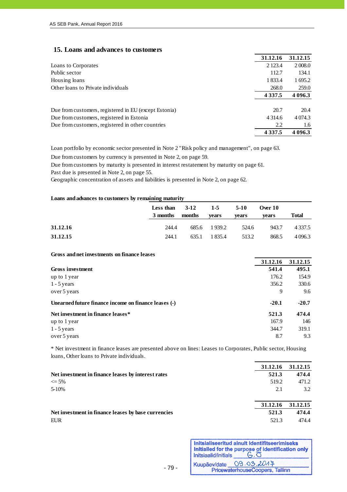#### **15. Loans and advances to customers**

|                                                       | 31.12.16   | 31.12.15   |
|-------------------------------------------------------|------------|------------|
| Loans to Corporates                                   | 2 1 2 3 .4 | 2 0 0 8 .0 |
| Public sector                                         | 112.7      | 134.1      |
| Housing loans                                         | 1833.4     | 1 695.2    |
| Other loans to Private individuals                    | 268.0      | 259.0      |
|                                                       | 4 3 3 7 .5 | 4 0 9 6.3  |
| Due from customers, registered in EU (except Estonia) | 20.7       | 20.4       |
| Due from customers, registered in Estonia             | 4 3 1 4 .6 | 4 0 74.3   |
| Due from customers, registered in other countries     | 2.2        | 1.6        |
|                                                       | 4 3 3 7 .5 | 4 096.3    |

Loan portfolio by economic sector presented in Note 2 "Risk policy and management", on page 63.

Due from customers by currency is presented in Note 2, on page 59.

Due from customers by maturity is presented in interest restatement by maturity on page 61.

Past due is presented in Note 2, on page 55.

Geographic concentration of assets and liabilities is presented in Note 2, on page 62.

#### **Loans and advances to customers by remaining maturity**

|          | Less than $3-12$ 1-5 5-10<br>3 months months | vears        | vears | Over $10$<br>vears | <b>Total</b> |
|----------|----------------------------------------------|--------------|-------|--------------------|--------------|
| 31.12.16 | 244.4                                        | 685.6 1939.2 | 524.6 | 943.7              | 4 3 3 7 .5   |
| 31.12.15 | 244.1                                        | 635.1 1835.4 | 513.2 | 868.5              | 4 0 9 6.3    |

#### **Gross and net investments on finance leases**

|                                                      | 31.12.16 | 31.12.15 |
|------------------------------------------------------|----------|----------|
| Gross investment                                     | 541.4    | 495.1    |
| up to 1 year                                         | 176.2    | 154.9    |
| $1 - 5$ years                                        | 356.2    | 330.6    |
| over 5 years                                         | 9        | 9.6      |
| Unearned future finance income on finance leases (-) | $-20.1$  | $-20.7$  |
| Net investment in finance leases*                    | 521.3    | 474.4    |
| up to 1 year                                         | 167.9    | 146      |
| $1 - 5$ years                                        | 344.7    | 319.1    |
| over 5 years                                         | 8.7      | 9.3      |

\* Net investment in finance leases are presented above on lines: Leases to Corporates, Public sector, Housing loans, Other loans to Private individuals.

|                                                     | 31.12.16 | 31.12.15 |
|-----------------------------------------------------|----------|----------|
| Net investment in finance leases by interest rates  | 521.3    | 474.4    |
| $\leq 5\%$                                          | 519.2    | 471.2    |
| $5-10%$                                             | 2.1      | 3.2      |
|                                                     | 31.12.16 | 31.12.15 |
|                                                     |          |          |
| Net investment in finance leases by base currencies | 521.3    | 474.4    |
| <b>EUR</b>                                          | 521.3    | 474.4    |

- 79 -

| Initsiaalid/initials | Initsialiseeritud ainult identifitseerimiseks<br>Initialled for the purpose of identification only<br>$G.\overline{O}$ |
|----------------------|------------------------------------------------------------------------------------------------------------------------|
|                      | Kuupäev/date 09.03.2017<br>PricewaterhouseCoopers, Tallinn                                                             |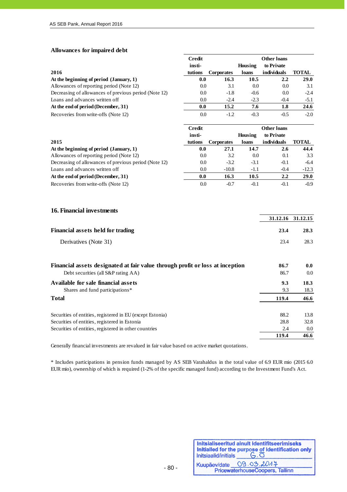**Allowances for impaired debt**

j

|                                                                               | <b>Credit</b> |            |         | <b>Other loans</b> |              |
|-------------------------------------------------------------------------------|---------------|------------|---------|--------------------|--------------|
|                                                                               | insti-        |            | Housing | to Private         |              |
| 2016                                                                          | tutions       | Corporates | loans   | individuals        | <b>TOTAL</b> |
| At the beginning of period (January, 1)                                       | 0.0           | 16.3       | 10.5    | 2.2                | 29.0         |
| Allowances of reporting period (Note 12)                                      | 0.0           | 3.1        | 0.0     | 0.0                | 3.1          |
| Decreasing of allowances of previous period (Note 12)                         | 0.0           | $-1.8$     | $-0.6$  | 0.0                | $-2.4$       |
| Loans and advances written off                                                | 0.0           | $-2.4$     | $-2.3$  | $-0.4$             | $-5.1$       |
| At the end of period (December, 31)                                           | 0.0           | 15.2       | 7.6     | 1.8                | 24.6         |
| Recoveries from write-offs (Note 12)                                          | 0.0           | $-1.2$     | $-0.3$  | $-0.5$             | $-2.0$       |
|                                                                               | <b>Credit</b> |            |         | <b>Other loans</b> |              |
|                                                                               | insti-        |            | Housing | to Private         |              |
| 2015                                                                          | tutions       | Corporates | loans   | individuals        | <b>TOTAL</b> |
| At the beginning of period (January, 1)                                       | 0.0           | 27.1       | 14.7    | 2.6                | 44.4         |
| Allowances of reporting period (Note 12)                                      | 0.0           | 3.2        | 0.0     | 0.1                | 3.3          |
| Decreasing of allowances of previous period (Note 12)                         | 0.0           | $-3.2$     | $-3.1$  | $-0.1$             | $-6.4$       |
| Loans and advances written off                                                | 0.0           | $-10.8$    | $-1.1$  | $-0.4$             | $-12.3$      |
| At the end of period (December, 31)                                           | 0.0           | 16.3       | 10.5    | 2.2                | 29.0         |
| Recoveries from write-offs (Note 12)                                          | 0.0           | $-0.7$     | $-0.1$  | $-0.1$             | $-0.9$       |
| <b>16. Financial investments</b>                                              |               |            |         | 31.12.16           | 31.12.15     |
|                                                                               |               |            |         |                    |              |
| <b>Financial assets held for trading</b>                                      |               |            |         | 23.4               | 28.3         |
| Derivatives (Note 31)                                                         |               |            |         | 23.4               | 28.3         |
|                                                                               |               |            |         |                    |              |
| Financial assets designated at fair value through profit or loss at inception |               |            |         | 86.7               | 0.0          |
| Debt securities (all S&P rating AA)                                           |               |            |         | 86.7               | 0.0          |
| Available for sale financial assets                                           |               |            |         | 9.3                | 18.3         |
| Shares and fund participations*                                               |               |            |         | 9.3                | 18.3         |
| <b>Total</b>                                                                  |               |            |         | 119.4              | 46.6         |
| Securities of entities, registered in EU (except Estonia)                     |               |            |         | 88.2               | 13.8         |

Generally financial investments are revalued in fair value based on active market quotations.

\* Includes participations in pension funds managed by AS SEB Varahaldus in the total value of 6.9 EUR mio (2015 6.0 EUR mio), ownership of which is required (1-2% of the specific managed fund) according to the Investment Fund's Act.

Securities of entities, registered in Estonia 28.8 32.8 Securities of entities, registered in other countries 2.4 0.0

| Initsiaalid/initials | Initsialiseeritud ainult identifitseerimiseks<br>Initialled for the purpose of identification only<br>$G.\overline{O}$ |
|----------------------|------------------------------------------------------------------------------------------------------------------------|
|                      | Kuupäev/date 09.03.2017                                                                                                |
|                      | PricewaterhouseCoopers, Tallinn                                                                                        |

**119.4 46.6**

- 80 -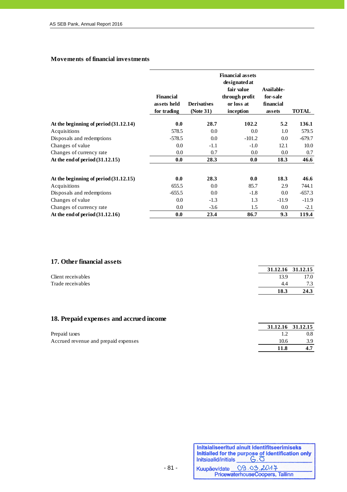#### **Movements of financial investments**

|                                         | <b>Financial</b><br>assets held<br>for trading | <b>Derivatives</b><br>(Note 31) | <b>Financial assets</b><br>designated at<br>fair value<br>through profit<br>or loss at<br>inception | Available-<br>for-sale<br>financial<br>assets | <b>TOTAL</b> |
|-----------------------------------------|------------------------------------------------|---------------------------------|-----------------------------------------------------------------------------------------------------|-----------------------------------------------|--------------|
| At the beginning of period (31.12.14)   | 0.0                                            | 28.7                            | 102.2                                                                                               | 5.2                                           | 136.1        |
| Acquisitions                            | 578.5                                          | 0.0                             | 0.0                                                                                                 | 1.0                                           | 579.5        |
| Disposals and redemptions               | $-578.5$                                       | 0.0                             | $-101.2$                                                                                            | 0.0                                           | $-679.7$     |
| Changes of value                        | 0.0                                            | $-1.1$                          | $-1.0$                                                                                              | 12.1                                          | 10.0         |
| Changes of currency rate                | 0.0                                            | 0.7                             | $0.0\,$                                                                                             | 0.0                                           | 0.7          |
| At the end of period $(31.12.15)$       | 0.0                                            | 28.3                            | 0.0                                                                                                 | 18.3                                          | 46.6         |
| At the beginning of period $(31.12.15)$ | 0.0                                            | 28.3                            | 0.0                                                                                                 | 18.3                                          | 46.6         |
| Acquisitions                            | 655.5                                          | 0.0                             | 85.7                                                                                                | 2.9                                           | 744.1        |
| Disposals and redemptions               | $-655.5$                                       | 0.0                             | $-1.8$                                                                                              | 0.0                                           | $-657.3$     |
| Changes of value                        | 0.0                                            | $-1.3$                          | 1.3                                                                                                 | $-11.9$                                       | $-11.9$      |
| Changes of currency rate                | 0.0                                            | $-3.6$                          | 1.5                                                                                                 | 0.0                                           | $-2.1$       |
| At the end of period $(31.12.16)$       | 0.0                                            | 23.4                            | 86.7                                                                                                | 9.3                                           | 119.4        |

## **17. Other financial assets**

|                    |      | 31.12.16 31.12.15 |
|--------------------|------|-------------------|
| Client receivables | 13.9 | 17.0              |
| Trade receivables  | 4.4  | 7.3               |
|                    | 18.3 | 24.3              |
|                    |      |                   |

# **18. Prepaid expenses and accrued income**

|                                      |      | 31.12.16 31.12.15 |
|--------------------------------------|------|-------------------|
| Prepaid taxes                        |      | 0.8               |
| Accrued revenue and prepaid expenses | 10.6 | 3.9               |
|                                      |      |                   |

- 81 -

| Initsiaalid/initials | Initsialiseeritud ainult identifitseerimiseks<br>Initialled for the purpose of identification only<br>$G.\overline{O}$ |
|----------------------|------------------------------------------------------------------------------------------------------------------------|
|                      | Kuupäev/date 09.03.2017                                                                                                |
|                      | PricewaterhouseCoopers, Tallinn                                                                                        |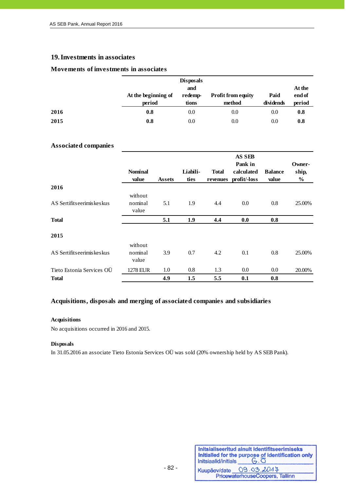### **19.Investments in associates**

#### **Movements of investments in associates**

|      |                               | <b>Disposals</b><br>and |                                     |                   | At the           |
|------|-------------------------------|-------------------------|-------------------------------------|-------------------|------------------|
|      | At the beginning of<br>period | redemp-<br>tions        | <b>Profit from equity</b><br>method | Paid<br>dividends | end of<br>period |
| 2016 | 0.8                           | 0.0                     | 0.0                                 | 0.0               | 0.8              |
| 2015 | 0.8                           | 0.0                     | 0.0                                 | 0.0               | 0.8              |

#### **Associated companies**

|                              | <b>Nominal</b><br>value     | <b>Assets</b> | Liabili-<br>ties | <b>Total</b><br>revenues | AS SEB<br>Pank in<br>calculated<br>profit/-loss | <b>Balance</b><br>value | Owner-<br>ship,<br>$\%$ |
|------------------------------|-----------------------------|---------------|------------------|--------------------------|-------------------------------------------------|-------------------------|-------------------------|
| 2016                         |                             |               |                  |                          |                                                 |                         |                         |
| AS Sertifits eerimis kes kus | without<br>nominal<br>value | 5.1           | 1.9              | 4.4                      | 0.0                                             | 0.8                     | 25.00%                  |
| <b>Total</b>                 |                             | 5.1           | 1.9              | 4.4                      | 0.0                                             | 0.8                     |                         |
| 2015                         |                             |               |                  |                          |                                                 |                         |                         |
| AS Sertifits eerimiskes kus  | without<br>nominal<br>value | 3.9           | 0.7              | 4.2                      | 0.1                                             | 0.8                     | 25.00%                  |
| Tieto Estonia Services OÜ    | 1278 EUR                    | 1.0           | 0.8              | 1.3                      | 0.0                                             | $0.0\,$                 | 20.00%                  |
| <b>Total</b>                 |                             | 4.9           | 1.5              | 5.5                      | 0.1                                             | 0.8                     |                         |

#### **Acquisitions, disposals and merging of associated companies and subsidiaries**

#### **Acquisitions**

No acquisitions occurred in 2016 and 2015.

#### **Disposals**

In 31.05.2016 an associate Tieto Estonia Services OÜ was sold (20% ownership held by AS SEB Pank).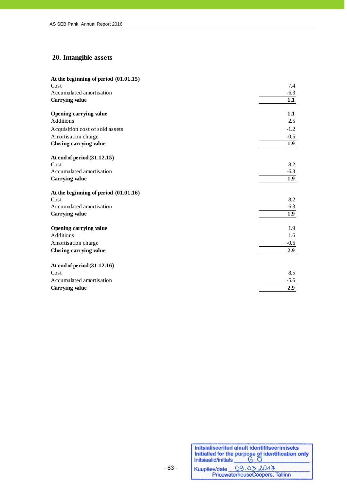# **20. Intangible assets**

| At the beginning of period $(01.01.15)$ |        |
|-----------------------------------------|--------|
| Cost                                    | 7.4    |
| Accumulated amortisation                | $-6.3$ |
| Carrying value                          | 1.1    |
| Opening carrying value                  | 1.1    |
| <b>Additions</b>                        | 2.5    |
| Acquisition cost of sold assets         | $-1.2$ |
| Amortisation charge                     | $-0.5$ |
| Closing carrying value                  | 1.9    |
| At end of period (31.12.15)             |        |
| Cost                                    | 8.2    |
| Accumulated amortisation                | $-6.3$ |
| <b>Carrying value</b>                   | 1.9    |
| At the beginning of period $(01.01.16)$ |        |
| Cost                                    | 8.2    |
| Accumulated amortisation                | $-6.3$ |
| <b>Carrying value</b>                   | 1.9    |
| Opening carrying value                  | 1.9    |
| <b>Additions</b>                        | 1.6    |
| Amortisation charge                     | $-0.6$ |
| Closing carrying value                  | 2.9    |
| At end of period (31.12.16)             |        |
| Cost                                    | 8.5    |
| Accumulated amortisation                | $-5.6$ |
| <b>Carrying value</b>                   | 2.9    |
|                                         |        |

| Initsiaalid/initials | Initsialiseeritud ainult identifitseerimiseks<br>Initialied for the purpose of identification only |
|----------------------|----------------------------------------------------------------------------------------------------|
|                      | Kuupäev/date 09.03.2014                                                                            |
|                      | PricewaterhouseCoopers, Tallinn                                                                    |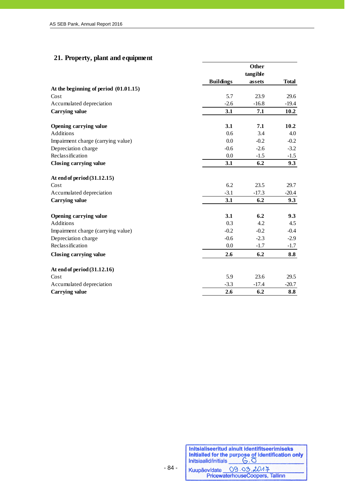# **21. Property, plant and equipment**

|                                         |                  | Other    |              |
|-----------------------------------------|------------------|----------|--------------|
|                                         |                  | tangible |              |
|                                         | <b>Buildings</b> | assets   | <b>Total</b> |
| At the beginning of period $(01.01.15)$ |                  |          |              |
| Cost                                    | 5.7              | 23.9     | 29.6         |
| Accumulated depreciation                | $-2.6$           | $-16.8$  | $-19.4$      |
| Carrying value                          | 3.1              | 7.1      | 10.2         |
| Opening carrying value                  | 3.1              | 7.1      | 10.2         |
| Additions                               | 0.6              | 3.4      | 4.0          |
| Impairment charge (carrying value)      | 0.0              | $-0.2$   | $-0.2$       |
| Depreciation charge                     | $-0.6$           | $-2.6$   | $-3.2$       |
| Reclassification                        | 0.0              | $-1.5$   | $-1.5$       |
| Closing carrying value                  | 3.1              | 6.2      | 9.3          |
| At end of period (31.12.15)             |                  |          |              |
| Cost                                    | 6.2              | 23.5     | 29.7         |
| Accumulated depreciation                | $-3.1$           | $-17.3$  | $-20.4$      |
| Carrying value                          | 3.1              | 6.2      | 9.3          |
| Opening carrying value                  | 3.1              | 6.2      | 9.3          |
| Additions                               | 0.3              | 4.2      | 4.5          |
| Impairment charge (carrying value)      | $-0.2$           | $-0.2$   | $-0.4$       |
| Depreciation charge                     | $-0.6$           | $-2.3$   | $-2.9$       |
| Reclassification                        | 0.0              | $-1.7$   | $-1.7$       |
| Closing carrying value                  | 2.6              | 6.2      | 8.8          |
| At end of period (31.12.16)             |                  |          |              |
| Cost                                    | 5.9              | 23.6     | 29.5         |
| Accumulated depreciation                | $-3.3$           | $-17.4$  | $-20.7$      |
| <b>Carrying value</b>                   | 2.6              | 6.2      | 8.8          |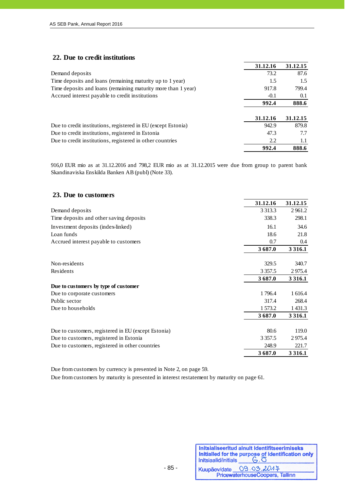### **22. Due to credit institutions**

|                                                               | 31.12.16 | 31.12.15 |
|---------------------------------------------------------------|----------|----------|
| Demand deposits                                               | 73.2     | 87.6     |
| Time deposits and loans (remaining maturity up to 1 year)     | 1.5      | 1.5      |
| Time deposits and loans (remaining maturity more than 1 year) | 917.8    | 799.4    |
| Accrued interest payable to credit institutions               | $-0.1$   | 0.1      |
|                                                               | 992.4    | 888.6    |
|                                                               |          |          |
|                                                               | 31.12.16 | 31.12.15 |
| Due to credit institutions, registered in EU (except Estonia) | 942.9    | 879.8    |
| Due to credit institutions, registered in Estonia             | 47.3     | 7.7      |
| Due to credit institutions, registered in other countries     | 2.2      | 1.1      |
|                                                               | 992.4    | 888.6    |

916,0 EUR mio as at 31.12.2016 and 798,2 EUR mio as at 31.12.2015 were due from group to parent bank Skandinaviska Enskilda Banken AB (publ) (Note 33).

| 23. Due to customers                                |             |             |
|-----------------------------------------------------|-------------|-------------|
|                                                     | 31.12.16    | 31.12.15    |
| Demand deposits                                     | 3 3 1 3 . 3 | 2961.2      |
| Time deposits and other saving deposits             | 338.3       | 298.1       |
| Investment deposits (index-linked)                  | 16.1        | 34.6        |
| Loan funds                                          | 18.6        | 21.8        |
| Accrued interest payable to customers               | 0.7         | 0.4         |
|                                                     | 3687.0      | 3 3 1 6 .1  |
| Non-residents                                       | 329.5       | 340.7       |
| Residents                                           | 3 3 5 7 . 5 | 2975.4      |
|                                                     | 3687.0      | 3 3 1 6 .1  |
| Due to customers by type of customer                |             |             |
| Due to corporate customers                          | 1796.4      | 1 616.4     |
| Public sector                                       | 317.4       | 268.4       |
| Due to households                                   | 1573.2      | 1 4 3 1 . 3 |
|                                                     | 3687.0      | 3 3 1 6 .1  |
| Due to customers, registered in EU (except Estonia) | 80.6        | 119.0       |
| Due to customers, registered in Estonia             | 3 3 5 7 . 5 | 2975.4      |
| Due to customers, registered in other countries     | 248.9       | 221.7       |
|                                                     | 3687.0      | 3 3 1 6 .1  |

Due from customers by currency is presented in Note 2, on page 59.

Due from customers by maturity is presented in interest restatement by maturity on page 61.

| Initsiaalid/initials | Initsialiseeritud ainult identifitseerimiseks<br>Initialled for the purpose of identification only<br>$G.\overline{O}$ |
|----------------------|------------------------------------------------------------------------------------------------------------------------|
| Kuupäev/date         | 09.03.2017<br>PricewaterhouseCoopers, Tallinn                                                                          |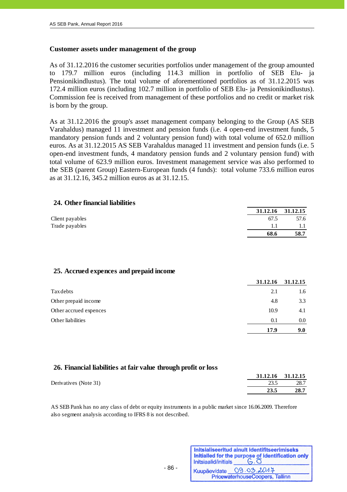#### **Customer assets under management of the group**

As of 31.12.2016 the customer securities portfolios under management of the group amounted to 179.7 million euros (including 114.3 million in portfolio of SEB Elu- ja Pensionikindlustus). The total volume of aforementioned portfolios as of 31.12.2015 was 172.4 million euros (including 102.7 million in portfolio of SEB Elu- ja Pensionikindlustus). Commission fee is received from management of these portfolios and no credit or market risk is born by the group.

As at 31.12.2016 the group's asset management company belonging to the Group (AS SEB Varahaldus) managed 11 investment and pension funds (i.e. 4 open-end investment funds, 5 mandatory pension funds and 2 voluntary pension fund) with total volume of 652.0 million euros. As at 31.12.2015 AS SEB Varahaldus managed 11 investment and pension funds (i.e. 5 open-end investment funds, 4 mandatory pension funds and 2 voluntary pension fund) with total volume of 623.9 million euros. Investment management service was also performed to the SEB (parent Group) Eastern-European funds (4 funds): total volume 733.6 million euros as at 31.12.16, 345.2 million euros as at 31.12.15.

| 24. Other financial liabilities |                   |      |
|---------------------------------|-------------------|------|
|                                 | 31.12.16 31.12.15 |      |
| Client payables                 | 67.5              | 57.6 |
| Trade payables                  | 11                |      |
|                                 | 68.6              | 58.7 |

### **25. Accrued expences and prepaid income**

|                        | 31.12.16 | 31.12.15 |
|------------------------|----------|----------|
| Tax debts              | 2.1      | 1.6      |
| Other prepaid income   | 4.8      | 3.3      |
| Other accrued expences | 10.9     | 4.1      |
| Other liabilities      | 0.1      | 0.0      |
|                        | 17.9     | 9.0      |

#### **26. Financial liabilities at fair value through profit or loss**

|                       | 31.12.16 31.12.15 |      |
|-----------------------|-------------------|------|
| Derivatives (Note 31) | 23.5              | 28.7 |
|                       | 23.5              | 28.7 |

AS SEB Pank has no any class of debt or equity instruments in a public market since 16.06.2009. Therefore also segment analysis according to IFRS 8 is not described.

| Initsiaalid/initials | Initsialiseeritud ainult identifitseerimiseks<br>Initialled for the purpose of identification only<br>$G.\overline{O}$ |
|----------------------|------------------------------------------------------------------------------------------------------------------------|
|                      | Kuupäev/date 09.03.2014                                                                                                |
|                      | PricewaterhouseCoopers, Tallinn                                                                                        |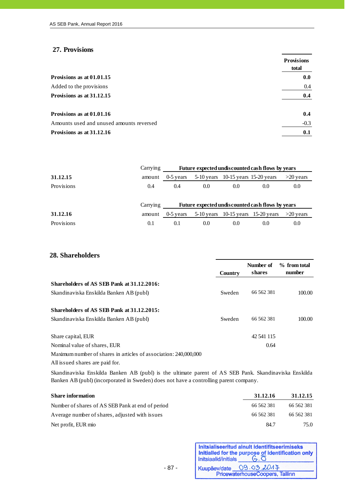## **27. Provisions**

j

|                                          | <b>Provisions</b><br>total |
|------------------------------------------|----------------------------|
| Provisions as at 01.01.15                | 0.0                        |
| Added to the provisions                  | 0.4                        |
| Provisions as at 31.12.15                | 0.4                        |
| Provisions as at 01.01.16                | 0.4                        |
| Amounts used and unused amounts reversed | $-0.3$                     |
| Provisions as at 31.12.16                | 0.1                        |

|            | Carrying |                                                  | Future expected undiscounted cash flows by years |                                      |     |             |
|------------|----------|--------------------------------------------------|--------------------------------------------------|--------------------------------------|-----|-------------|
| 31.12.15   | amount   | $0-5$ years                                      |                                                  | $5-10$ years 10-15 years 15-20 years |     | $>20$ years |
| Provisions | 0.4      | 0.4                                              | 0.0                                              | 0.0                                  | 0.0 | 0.0         |
|            | Carrying | Future expected undiscounted cash flows by years |                                                  |                                      |     |             |
| 31.12.16   | amount   | $0-5$ vears                                      |                                                  | $5-10$ years 10-15 years 15-20 years |     | $>20$ years |
| Provisions | 0.1      | 0.1                                              | 0.0                                              | 0.0                                  | 0.0 | 0.0         |

#### **28. Shareholders**

|                                                                  |         | Number of  | % from total |
|------------------------------------------------------------------|---------|------------|--------------|
|                                                                  | Country | shares     | number       |
| Shareholders of AS SEB Pank at 31.12.2016:                       |         |            |              |
| Skandinaviska Enskilda Banken AB (publ)                          | Sweden  | 66 562 381 | 100.00       |
| Shareholders of AS SEB Pank at 31.12.2015:                       |         |            |              |
| Skandinaviska Enskilda Banken AB (publ)                          | Sweden  | 66 562 381 | 100.00       |
| Share capital, EUR                                               |         | 42 541 115 |              |
| Nominal value of shares, EUR                                     |         | 0.64       |              |
| Maximum number of shares in articles of association: 240,000,000 |         |            |              |
| All issued shares are paid for.                                  |         |            |              |

Skandinaviska Enskilda Banken AB (publ) is the ultimate parent of AS SEB Pank. Skandinaviska Enskilda Banken AB (publ) (incorporated in Sweden) does not have a controlling parent company.

| <b>Share information</b>                         | 31.12.16   | 31.12.15   |
|--------------------------------------------------|------------|------------|
| Number of shares of AS SEB Pank at end of period | 66 562 381 | 66 562 381 |
| Average number of shares, adjusted with issues   | 66 562 381 | 66 562 381 |
| Net profit, EUR mio                              | 84.7       | 75.0       |

- 87 -

| Initsiaalid/initials | Initsialiseeritud ainult identifitseerimiseks<br>Initialled for the purpose of identification only |
|----------------------|----------------------------------------------------------------------------------------------------|
|                      | Kuupäev/date 09.03.2014                                                                            |
|                      | PricewaterhouseCoopers, Tallinn                                                                    |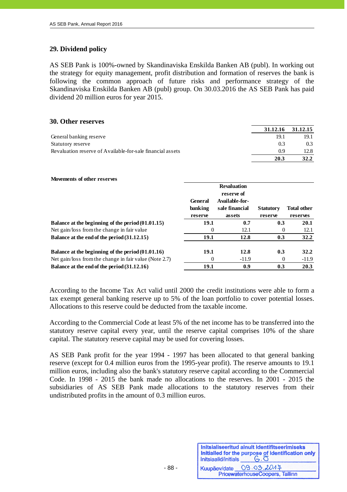## **29. Dividend policy**

j

AS SEB Pank is 100%-owned by Skandinaviska Enskilda Banken AB (publ). In working out the strategy for equity management, profit distribution and formation of reserves the bank is following the common approach of future risks and performance strategy of the Skandinaviska Enskilda Banken AB (publ) group. On 30.03.2016 the AS SEB Pank has paid dividend 20 million euros for year 2015.

#### **30. Other reserves**

|                                                            |      | 31.12.16 31.12.15 |
|------------------------------------------------------------|------|-------------------|
| General banking reserve                                    | 19.1 | 19.1              |
| Statutory reserve                                          | 0.3  | 0.3 <sup>2</sup>  |
| Revaluation reserve of Available-for-sale financial assets | 0.9  | 12.8              |
|                                                            | 20.3 | 32.2              |

#### **Movements of other reserves**

|                                                        | <b>General</b><br>banking<br>reserve | <b>Revaluation</b><br>reserve of<br>Available-for-<br>sale financial<br>assets | <b>Statutory</b><br>reserve | <b>Total other</b><br>reserves |
|--------------------------------------------------------|--------------------------------------|--------------------------------------------------------------------------------|-----------------------------|--------------------------------|
| Balance at the beginning of the period (01.01.15)      | 19.1                                 | 0.7                                                                            | 0.3                         | 20.1                           |
| Net gain/loss from the change in fair value            | $\theta$                             | 12.1                                                                           | $\Omega$                    | 12.1                           |
| Balance at the end of the period (31.12.15)            | 19.1                                 | 12.8                                                                           | 0.3                         | 32.2                           |
| Balance at the beginning of the period $(01.01.16)$    | 19.1                                 | 12.8                                                                           | 0.3                         | 32.2                           |
| Net gain/loss from the change in fair value (Note 2.7) | 0                                    | $-11.9$                                                                        | 0                           | $-11.9$                        |
| Balance at the end of the period (31.12.16)            | 19.1                                 | 0.9                                                                            | 0.3                         | 20.3                           |

According to the Income Tax Act valid until 2000 the credit institutions were able to form a tax exempt general banking reserve up to 5% of the loan portfolio to cover potential losses. Allocations to this reserve could be deducted from the taxable income.

According to the Commercial Code at least 5% of the net income has to be transferred into the statutory reserve capital every year, until the reserve capital comprises 10% of the share capital. The statutory reserve capital may be used for covering losses.

AS SEB Pank profit for the year 1994 - 1997 has been allocated to that general banking reserve (except for 0.4 million euros from the 1995-year profit). The reserve amounts to 19.1 million euros, including also the bank's statutory reserve capital according to the Commercial Code. In 1998 - 2015 the bank made no allocations to the reserves. In 2001 - 2015 the subsidiaries of AS SEB Pank made allocations to the statutory reserves from their undistributed profits in the amount of 0.3 million euros.

| Initsialiseeritud ainult identifitseerimiseks<br>Initialled for the purpose of identification only<br>Initsiaalid/initials<br>$G.\overline{O}$ |
|------------------------------------------------------------------------------------------------------------------------------------------------|
| 09.03.2017<br>PricewaterhouseCoopers, Tallinn                                                                                                  |
|                                                                                                                                                |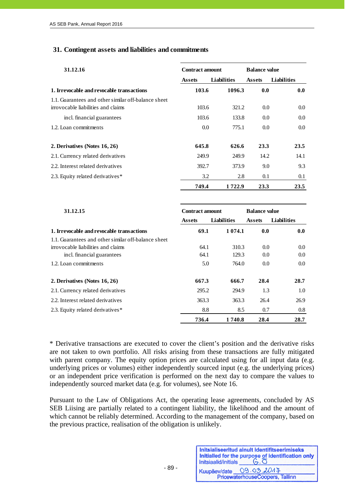### **31. Contingent assets and liabilities and commitments**

| 31.12.16                                                                                  | <b>Contract amount</b> |                    | <b>Balance value</b> |             |
|-------------------------------------------------------------------------------------------|------------------------|--------------------|----------------------|-------------|
|                                                                                           | <b>Assets</b>          | <b>Liabilities</b> | <b>Assets</b>        | Liabilities |
| 1. Irrevocable and revocable transactions                                                 | 103.6                  | 1096.3             | 0.0                  | 0.0         |
| 1.1. Guarantees and other similar off-balance sheet<br>irrovocable liabilities and claims | 103.6                  | 321.2              | 0.0                  | $0.0\,$     |
| incl. financial guarantees                                                                | 103.6                  | 133.8              | 0.0                  | 0.0         |
| 1.2. Loan commitments                                                                     | 0.0                    | 775.1              | 0.0                  | $0.0\,$     |
| 2. Derivatives (Notes 16, 26)                                                             | 645.8                  | 626.6              | 23.3                 | 23.5        |
| 2.1. Currency related derivatives                                                         | 249.9                  | 249.9              | 14.2                 | 14.1        |
| 2.2. Interest related derivatives                                                         | 392.7                  | 373.9              | 9.0                  | 9.3         |
| 2.3. Equity related derivatives*                                                          | 3.2                    | 2.8                | 0.1                  | 0.1         |
|                                                                                           | 749.4                  | 1722.9             | 23.3                 | 23.5        |

| 31.12.15                                            | <b>Contract amount</b> |                    | <b>Balance value</b> |                    |
|-----------------------------------------------------|------------------------|--------------------|----------------------|--------------------|
|                                                     | <b>Assets</b>          | <b>Liabilities</b> | <b>Assets</b>        | <b>Liabilities</b> |
| 1. Irrevocable and revocable transactions           | 69.1                   | 1 0 7 4 .1         | 0.0                  | 0.0                |
| 1.1. Guarantees and other similar off-balance sheet |                        |                    |                      |                    |
| irrovocable liabilities and claims                  | 64.1                   | 310.3              | 0.0                  | 0.0                |
| incl. financial guarantees                          | 64.1                   | 129.3              | 0.0                  | 0.0                |
| 1.2. Loan commitments                               | 5.0                    | 764.0              | 0.0                  | 0.0 <sub>1</sub>   |
| 2. Derivatives (Notes 16, 26)                       | 667.3                  | 666.7              | 28.4                 | 28.7               |
| 2.1. Currency related derivatives                   | 295.2                  | 294.9              | 1.3                  | 1.0                |
| 2.2. Interest related derivatives                   | 363.3                  | 363.3              | 26.4                 | 26.9               |
| 2.3. Equity related derivatives*                    | 8.8                    | 8.5                | 0.7                  | 0.8                |
|                                                     | 736.4                  | 1 740.8            | 28.4                 | 28.7               |

\* Derivative transactions are executed to cover the client's position and the derivative risks are not taken to own portfolio. All risks arising from these transactions are fully mitigated with parent company. The equity option prices are calculated using for all input data (e.g. underlying prices or volumes) either independently sourced input (e.g. the underlying prices) or an independent price verification is performed on the next day to compare the values to independently sourced market data (e.g. for volumes), see Note 16.

Pursuant to the Law of Obligations Act, the operating lease agreements, concluded by AS SEB Liising are partially related to a contingent liability, the likelihood and the amount of which cannot be reliably determined. According to the management of the company, based on the previous practice, realisation of the obligation is unlikely.

| Initsiaalid/initials | Initsialiseeritud ainult identifitseerimiseks<br>Initialled for the purpose of identification only<br>$G.\overline{O}$ |
|----------------------|------------------------------------------------------------------------------------------------------------------------|
| Kuupäev/date         | 09.03.2017                                                                                                             |
|                      | PricewaterhouseCoopers, Tallinn                                                                                        |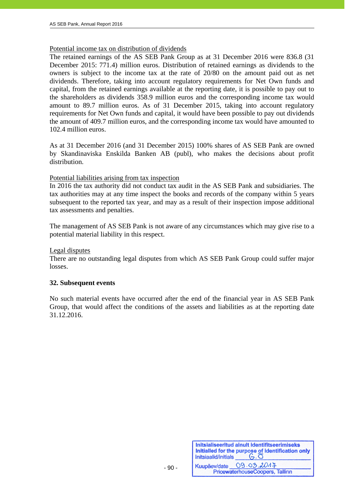### Potential income tax on distribution of dividends

The retained earnings of the AS SEB Pank Group as at 31 December 2016 were 836.8 (31 December 2015: 771.4) million euros. Distribution of retained earnings as dividends to the owners is subject to the income tax at the rate of 20/80 on the amount paid out as net dividends. Therefore, taking into account regulatory requirements for Net Own funds and capital, from the retained earnings available at the reporting date, it is possible to pay out to the shareholders as dividends 358.9 million euros and the corresponding income tax would amount to 89.7 million euros. As of 31 December 2015, taking into account regulatory requirements for Net Own funds and capital, it would have been possible to pay out dividends the amount of 409.7 million euros, and the corresponding income tax would have amounted to 102.4 million euros.

As at 31 December 2016 (and 31 December 2015) 100% shares of AS SEB Pank are owned by Skandinaviska Enskilda Banken AB (publ), who makes the decisions about profit distribution.

#### Potential liabilities arising from tax inspection

In 2016 the tax authority did not conduct tax audit in the AS SEB Pank and subsidiaries. The tax authorities may at any time inspect the books and records of the company within 5 years subsequent to the reported tax year, and may as a result of their inspection impose additional tax assessments and penalties.

The management of AS SEB Pank is not aware of any circumstances which may give rise to a potential material liability in this respect.

#### Legal disputes

There are no outstanding legal disputes from which AS SEB Pank Group could suffer major losses.

#### **32. Subsequent events**

No such material events have occurred after the end of the financial year in AS SEB Pank Group, that would affect the conditions of the assets and liabilities as at the reporting date 31.12.2016.

| Initsiaalid/initials | Initsialiseeritud ainult identifitseerimiseks<br>Initialled for the purpose of identification only<br>$G.\overline{O}$ |
|----------------------|------------------------------------------------------------------------------------------------------------------------|
| Kuupäev/date         | 09.03.2017                                                                                                             |
|                      | PricewaterhouseCoopers, Tallinn                                                                                        |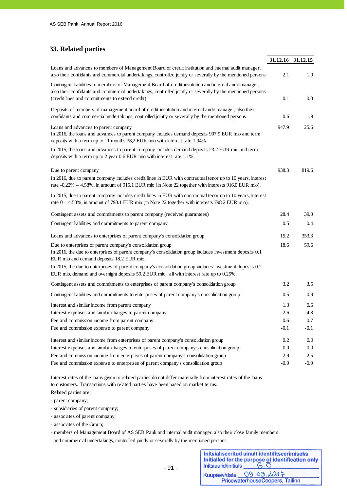# **33. Related parties**

j

|                                                                                                                                                                                                                                                                           | 31.12.16 31.12.15 |         |
|---------------------------------------------------------------------------------------------------------------------------------------------------------------------------------------------------------------------------------------------------------------------------|-------------------|---------|
| Loans and advances to members of Management Board of credit institution and internal audit manager,<br>also their confidants and commercial undertakings, controlled jointly or severally by the mentioned persons                                                        | 2.1               | 1.9     |
| Contingent liabilities to members of Management Board of credit institution and internal audit manager,<br>also their confidants and commercial undertakings, controlled jointly or severally by the mentioned persons<br>(credit lines and commitments to extend credit) | 0.1               | 0.0     |
| Deposits of members of management board of credit institution and internal audit manager, also their<br>confidants and commercial undertakings, controlled jointly or severally by the mentioned persons                                                                  | 0.6               | 1.9     |
| Loans and advances to parent company<br>In 2016, the loans and advances to parent company includes demand deposits 907.9 EUR mio and term<br>deposits with a term up to 11 months 38,2 EUR mio with interest rate 1.04%.                                                  | 947.9             | 25.6    |
| In 2015, the loans and advances to parent company includes demand deposits 23.2 EUR mio and term<br>deposits with a term up to 2 year 0.6 EUR mio with interest rate 1.1%.                                                                                                |                   |         |
| Due to parent company<br>In 2016, due to parent company includes credit lines in EUR with contractual tenor up to 10 years, interest<br>rate -0,22% - 4.58%, in amount of 915.1 EUR mio (in Note 22 together with interests 916,0 EUR mio).                               | 938.3             | 819.6   |
| In 2015, due to parent company includes credit lines in EUR with contractual tenor up to 10 years, interest<br>rate 0 - 4.58%, in amount of 798.1 EUR mio (in Note 22 together with interests 798.2 EUR mio).                                                             |                   |         |
| Contingent assets and commitments to parent company (received guarantees)                                                                                                                                                                                                 | 28.4              | 39.0    |
| Contingent liabilities and commitments to parent company                                                                                                                                                                                                                  | 0.5               | 0.4     |
| Loans and advances to enterprises of parent company's consolidation group                                                                                                                                                                                                 | 15.2              | 353.3   |
| Due to enterprises of parent company's consolidation group<br>In 2016, the due to enterprises of parent company's consolidation group includes investment deposits 0.1<br>EUR mio and demand deposits 18.2 EUR mio.                                                       | 18.6              | 59.6    |
| In 2015, the due to enterprises of parent company's consolidation group includes investment deposits 0.2<br>EUR mio, demand and overnight deposits 59.2 EUR mio, all with interest rate up to 0.25%.                                                                      |                   |         |
| Contingent assets and commitments to enterprises of parent company's consolidation group                                                                                                                                                                                  | 3.2               | 3.5     |
| Contingent liabilities and commitments to enterprises of parent company's consolidation group                                                                                                                                                                             | 0.5               | 0.9     |
| Interest and similar income from parent company                                                                                                                                                                                                                           | 1.3               | 0.6     |
| Interest expenses and similar charges to parent company                                                                                                                                                                                                                   | $-2.6$            | $-4.8$  |
| Fee and commission income from parent company                                                                                                                                                                                                                             | 0.6               | $0.7\,$ |
| Fee and commission expense to parent company                                                                                                                                                                                                                              | $-0.1$            | $-0.1$  |
| Interest and similar income from enterprises of parent company's consolidation group                                                                                                                                                                                      | 0.2               | 0.0     |
| Interest expenses and similar charges to enterprises of parent company's consolidation group                                                                                                                                                                              | $0.0\,$           | $0.0\,$ |
| Fee and commission income from enterprises of parent company's consolidation group                                                                                                                                                                                        | 2.9               | 2.5     |
| Fee and commission expense to enterprises of parent company's consolidation group                                                                                                                                                                                         | $-0.9$            | $-0.9$  |

Interest rates of the loans given to related parties do not differ materially from interest rates of the loans to customers. Transactions with related parties have been based on market terms.

Related parties are:

- parent company;
- subsidiaries of parent company;
- associates of parent company;

- associates of the Group;

- members of Management Board of AS SEB Pank and internal audit manager, also their close family members and commercial undertakings, controlled jointly or severally by the mentioned persons.

| Initsiaalid/initials | Initsialiseeritud ainult identifitseerimiseks<br>Initialled for the purpose of identification only<br>$G.\overline{O}$ |
|----------------------|------------------------------------------------------------------------------------------------------------------------|
| Kuupäev/date         | 09.03.2017                                                                                                             |
|                      | PricewaterhouseCoopers, Tallinn                                                                                        |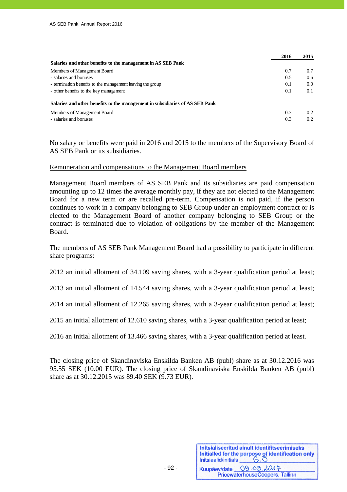|                                                                              | 2016 | 2015          |
|------------------------------------------------------------------------------|------|---------------|
| Salaries and other benefits to the management in AS SEB Pank                 |      |               |
| Members of Management Board                                                  | 0.7  | 0.7           |
| - salaries and bonuses                                                       | 0.5  | $0.6^{\circ}$ |
| - termination benefits to the management leaving the group                   | 0.1  | 0.0           |
| - other benefits to the key management                                       | 0.1  | 0.1           |
| Salaries and other benefits to the management in subsidiaries of AS SEB Pank |      |               |
| Members of Management Board                                                  | 0.3  | 0.2           |
| - salaries and bonuses                                                       | 0.3  | 0.2           |

No salary or benefits were paid in 2016 and 2015 to the members of the Supervisory Board of AS SEB Pank or its subsidiaries.

#### Remuneration and compensations to the Management Board members

Management Board members of AS SEB Pank and its subsidiaries are paid compensation amounting up to 12 times the average monthly pay, if they are not elected to the Management Board for a new term or are recalled pre-term. Compensation is not paid, if the person continues to work in a company belonging to SEB Group under an employment contract or is elected to the Management Board of another company belonging to SEB Group or the contract is terminated due to violation of obligations by the member of the Management Board.

The members of AS SEB Pank Management Board had a possibility to participate in different share programs:

2012 an initial allotment of 34.109 saving shares, with a 3-year qualification period at least;

2013 an initial allotment of 14.544 saving shares, with a 3-year qualification period at least;

2014 an initial allotment of 12.265 saving shares, with a 3-year qualification period at least;

2015 an initial allotment of 12.610 saving shares, with a 3-year qualification period at least;

2016 an initial allotment of 13.466 saving shares, with a 3-year qualification period at least.

The closing price of Skandinaviska Enskilda Banken AB (publ) share as at 30.12.2016 was 95.55 SEK (10.00 EUR). The closing price of Skandinaviska Enskilda Banken AB (publ) share as at 30.12.2015 was 89.40 SEK (9.73 EUR).

| Initsiaalid/initials | Initsialiseeritud ainult identifitseerimiseks<br>Initialled for the purpose of identification only<br>$G.\overline{O}$ |
|----------------------|------------------------------------------------------------------------------------------------------------------------|
|                      | Kuupäev/date 09.03.2014<br>PricewaterhouseCoopers, Tallinn                                                             |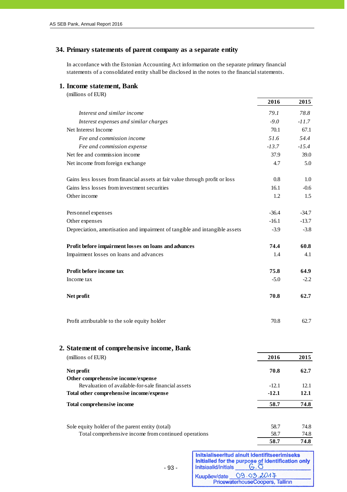### **34. Primary statements of parent company as a separate entity**

In accordance with the Estonian Accounting Act information on the separate primary financial statements of a consolidated entity shall be disclosed in the notes to the financial statements.

#### **1. Income statement, Bank**

| (millions of EUR)                                                            |         |         |
|------------------------------------------------------------------------------|---------|---------|
|                                                                              | 2016    | 2015    |
| Interest and similar income                                                  | 79.1    | 78.8    |
| Interest expenses and similar charges                                        | $-9.0$  | $-11.7$ |
| Net Interest Income                                                          | 70.1    | 67.1    |
| Fee and commission income                                                    | 51.6    | 54.4    |
| Fee and commission expense                                                   | $-13.7$ | $-15.4$ |
| Net fee and commission income                                                | 37.9    | 39.0    |
| Net income from foreign exchange                                             | 4.7     | 5.0     |
| Gains less losses from financial assets at fair value through profit or loss | 0.8     | 1.0     |
| Gains less losses from investment securities                                 | 16.1    | $-0.6$  |
| Other income                                                                 | 1.2     | 1.5     |
| Personnel expenses                                                           | $-36.4$ | $-34.7$ |
| Other expenses                                                               | $-16.1$ | $-13.7$ |
| Depreciation, amortisation and impairment of tangible and intangible assets  | $-3.9$  | $-3.8$  |
| Profit before impairment losses on loans and advances                        | 74.4    | 60.8    |
| Impairment losses on loans and advances                                      | 1.4     | 4.1     |
| Profit before income tax                                                     | 75.8    | 64.9    |
| Income tax                                                                   | $-5.0$  | $-2.2$  |
| Net profit                                                                   | 70.8    | 62.7    |
| Profit attributable to the sole equity holder                                | 70.8    | 62.7    |

| 2. Statement of comprehensive income, Bank           |         |      |
|------------------------------------------------------|---------|------|
| (millions of EUR)                                    | 2016    | 2015 |
| Net profit                                           | 70.8    | 62.7 |
| Other comprehensive income/expense                   |         |      |
| Revaluation of available-for-sale financial assets   | $-12.1$ | 12.1 |
| Total other comprehensive income/expense             | $-12.1$ | 12.1 |
| Total comprehensive income                           | 58.7    | 74.8 |
| Sole equity holder of the parent entity (total)      | 58.7    | 74.8 |
| Total comprehensive income from continued operations | 58.7    | 74.8 |
|                                                      | 58.7    | 74.8 |

| Initsialiseeritud ainult identifitseerimiseks<br>Initialled for the purpose of identification only<br>$G.\overline{O}$<br>Initsiaalid/initials<br>$-93-$ |                                                            |
|----------------------------------------------------------------------------------------------------------------------------------------------------------|------------------------------------------------------------|
|                                                                                                                                                          | Kuupäev/date 09.03.2017<br>PricewaterhouseCoopers, Tallinn |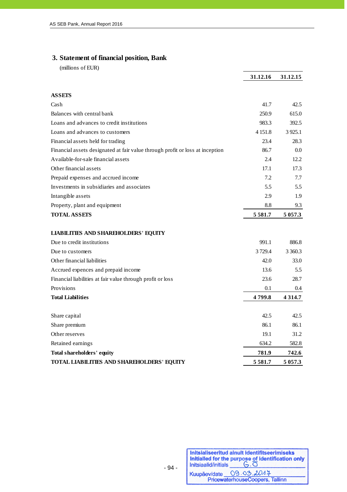# **3. Statement of financial position, Bank**

(millions of EUR)

j

|                                                                               | 31.12.16   | 31.12.15   |
|-------------------------------------------------------------------------------|------------|------------|
|                                                                               |            |            |
| <b>ASSETS</b>                                                                 |            |            |
| Cash                                                                          | 41.7       | 42.5       |
| Balances with central bank                                                    | 250.9      | 615.0      |
| Loans and advances to credit institutions                                     | 983.3      | 392.5      |
| Loans and advances to customers                                               | 4 1 5 1 .8 | 3 9 25.1   |
| Financial assets held for trading                                             | 23.4       | 28.3       |
| Financial assets designated at fair value through profit or loss at inception | 86.7       | 0.0        |
| Available-for-sale financial assets                                           | 2.4        | 12.2       |
| Other financial assets                                                        | 17.1       | 17.3       |
| Prepaid expenses and accrued income                                           | 7.2        | 7.7        |
| Investments in subsidiaries and associates                                    | 5.5        | 5.5        |
| Intangible assets                                                             | 2.9        | 1.9        |
| Property, plant and equipment                                                 | 8.8        | 9.3        |
| <b>TOTAL ASSETS</b>                                                           | 5581.7     | 5 0 5 7 .3 |
|                                                                               |            |            |
| <b>LIABILITIES AND SHAREHOLDERS' EQUITY</b>                                   |            |            |
| Due to credit institutions                                                    | 991.1      | 886.8      |
| Due to customers                                                              | 3729.4     | 3 360.3    |
| Other financial liabilities                                                   | 42.0       | 33.0       |
| Accrued expences and prepaid income                                           | 13.6       | 5.5        |
| Financial liabilities at fair value through profit or loss                    | 23.6       | 28.7       |
| Provisions                                                                    | 0.1        | 0.4        |
| <b>Total Liabilities</b>                                                      | 4799.8     | 4 3 1 4 .7 |
|                                                                               |            |            |
| Share capital                                                                 | 42.5       | 42.5       |
| Share premium                                                                 | 86.1       | 86.1       |
| Other reserves                                                                | 19.1       | 31.2       |
| Retained earnings                                                             | 634.2      | 582.8      |
| Total shareholders' equity                                                    | 781.9      | 742.6      |
| TOTAL LIABILITIES AND SHAREHOLDERS' EQUITY                                    | 5 581.7    | 5 0 5 7 .3 |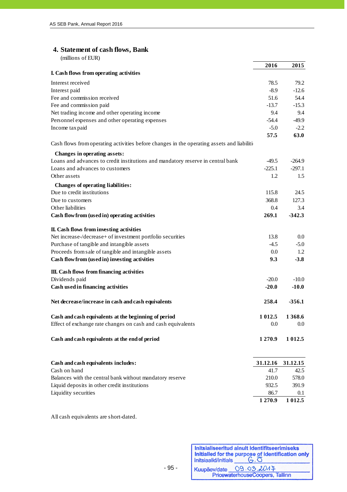# **4. Statement of cash flows, Bank**

| (millions of EUR)                                                                           |           |                  |
|---------------------------------------------------------------------------------------------|-----------|------------------|
|                                                                                             | 2016      | 2015             |
| I. Cash flows from operating activities                                                     |           |                  |
| Interest received                                                                           | 78.5      | 79.2             |
| Interest paid                                                                               | $-8.9$    | $-12.6$          |
| Fee and commission received                                                                 | 51.6      | 54.4             |
| Fee and commission paid                                                                     | $-13.7$   | $-15.3$          |
| Net trading income and other operating income                                               | 9.4       | 9.4              |
| Personnel expenses and other operating expenses                                             | $-54.4$   | $-49.9$          |
| Income tax paid                                                                             | $-5.0$    | $-2.2$           |
|                                                                                             | 57.5      | 63.0             |
| Cash flows from operating activities before changes in the operating assets and liabilities |           |                  |
| Changes in operating assets:                                                                |           |                  |
| Loans and advances to credit institutions and mandatory reserve in central bank             | -49.5     | $-264.9$         |
| Loans and advances to customers                                                             | $-225.1$  | $-297.1$         |
| Other assets                                                                                | 1.2       | 1.5              |
| Changes of operating liabilities:                                                           |           |                  |
| Due to credit institutions                                                                  | 115.8     | 24.5             |
| Due to customers                                                                            | 368.8     | 127.3            |
| Other liabilities                                                                           | 0.4       | 3.4              |
| Cash flow from (used in) operating activities                                               | 269.1     | $-342.3$         |
| II. Cash flows from investing activities                                                    |           |                  |
| Net increase-/decrease+ of investment portfolio securities                                  | 13.8      | 0.0 <sub>1</sub> |
| Purchase of tangible and intangible assets                                                  | $-4.5$    | $-5.0$           |
| Proceeds from sale of tangible and intangible assets                                        | 0.0       | 1.2              |
| Cash flow from (used in) investing activities                                               | 9.3       | $-3.8$           |
| III. Cash flows from financing activities                                                   |           |                  |
| Dividends paid                                                                              | $-20.0$   | $-10.0$          |
| Cash used in financing activities                                                           | $-20.0$   | $-10.0$          |
| Net decrease/increase in cash and cash equivalents                                          | 258.4     | $-356.1$         |
| Cash and cash equivalents at the beginning of period                                        | 1 0 1 2.5 | 1 3 68.6         |
| Effect of exchange rate changes on cash and cash equivalents                                | 0.0       | $0.0\,$          |
| Cash and cash equivalents at the end of period                                              | 1 270.9   | 1 0 1 2.5        |
| Cash and cash equivalents includes:                                                         | 31.12.16  | 31.12.15         |
| Cash on hand                                                                                | 41.7      | 42.5             |
| Balances with the central bank without mandatory reserve                                    | 210.0     | 578.0            |
| Liquid deposits in other credit institutions                                                | 932.5     | 391.9            |
| Liquidity securities                                                                        | 86.7      | $0.1\,$          |

All cash equivalents are short-dated.

Initsialiseeritud ainult identifitseerimiseks Initialled for the purpose of identification only<br>Initialation of Initial Superintensity Kuupäev/date 09.03.2047<br>PricewaterhouseCoopers, Tallinn

**1 270.9 1 012.5**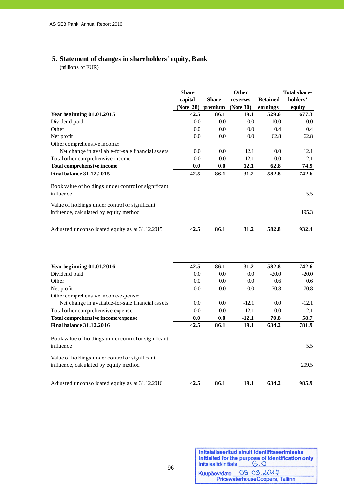# **5. Statement of changes in shareholders' equity, Bank**

(millions of EUR)

|                                                                                          | <b>Share</b><br>capital<br>(Note 28) | <b>Share</b><br>premium | Other<br>reserves<br>(Note 30) | <b>Retained</b><br>earnings | <b>Total share-</b><br>holders'<br>equity |
|------------------------------------------------------------------------------------------|--------------------------------------|-------------------------|--------------------------------|-----------------------------|-------------------------------------------|
| <b>Year beginning 01.01.2015</b>                                                         | 42.5                                 | 86.1                    | 19.1                           | 529.6                       | 677.3                                     |
| Dividend paid                                                                            | 0.0                                  | 0.0                     | 0.0                            | $-10.0$                     | $-10.0$                                   |
| Other                                                                                    | 0.0                                  | 0.0                     | 0.0                            | 0.4                         | 0.4                                       |
| Net profit                                                                               | 0.0                                  | 0.0                     | 0.0                            | 62.8                        | 62.8                                      |
| Other comprehensive income:                                                              |                                      |                         |                                |                             |                                           |
| Net change in available-for-sale financial assets                                        | 0.0                                  | 0.0                     | 12.1                           | 0.0                         | 12.1                                      |
| Total other comprehensive income                                                         | 0.0                                  | 0.0                     | 12.1                           | 0.0                         | 12.1                                      |
| Total comprehensive income                                                               | 0.0                                  | 0.0                     | 12.1                           | 62.8                        | 74.9                                      |
| <b>Final balance 31.12.2015</b>                                                          | 42.5                                 | 86.1                    | 31.2                           | 582.8                       | 742.6                                     |
| Book value of holdings under control or significant<br>influence                         |                                      |                         |                                |                             | 5.5                                       |
| Value of holdings under control or significant<br>influence, calculated by equity method |                                      |                         |                                |                             | 195.3                                     |
| Adjusted unconsolidated equity as at 31.12.2015                                          | 42.5                                 | 86.1                    | 31.2                           | 582.8                       | 932.4                                     |
| Year beginning 01.01.2016                                                                | 42.5                                 | 86.1                    | 31.2                           | 582.8                       | 742.6                                     |
| Dividend paid                                                                            | 0.0                                  | 0.0                     | $0.0\,$                        | $-20.0$                     | $-20.0$                                   |
| Other                                                                                    | 0.0                                  | 0.0                     | 0.0                            | 0.6                         | 0.6                                       |
| Net profit                                                                               | 0.0                                  | 0.0                     | 0.0                            | 70.8                        | 70.8                                      |
| Other comprehensive income/expense:                                                      |                                      |                         |                                |                             |                                           |
| Net change in available-for-sale financial assets                                        | 0.0                                  | 0.0                     | $-12.1$                        | 0.0                         | $-12.1$                                   |
| Total other comprehensive expense                                                        | 0.0                                  | 0.0                     | $-12.1$                        | 0.0                         | $-12.1$                                   |
| Total comprehensive income/expense                                                       | 0.0                                  | 0.0                     | $-12.1$                        | 70.8                        | 58.7                                      |
| <b>Final balance 31.12.2016</b>                                                          | 42.5                                 | 86.1                    | 19.1                           | 634.2                       | 781.9                                     |
| Book value of holdings under control or significant<br>influence                         |                                      |                         |                                |                             | 5.5                                       |
| Value of holdings under control or significant<br>influence, calculated by equity method |                                      |                         |                                |                             | 209.5                                     |
| Adjusted unconsolidated equity as at 31.12.2016                                          | 42.5                                 | 86.1                    | 19.1                           | 634.2                       | 985.9                                     |

| Initsiaalid/initials | Initsialiseeritud ainult identifitseerimiseks<br>Initialled for the purpose of identification only<br>$G.\overline{O}$ |
|----------------------|------------------------------------------------------------------------------------------------------------------------|
|                      | Kuupäev/date 09.03.2014<br>PricewaterhouseCoopers, Tallinn                                                             |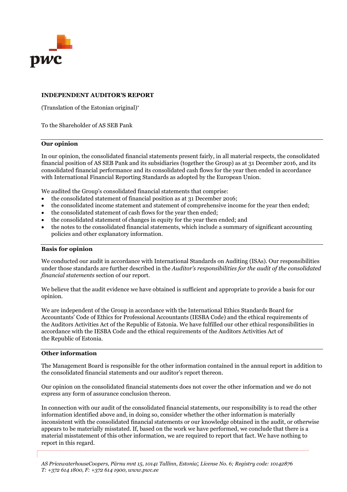

#### **INDEPENDENT AUDITOR'S REPORT**

(Translation of the Estonian original)

To the Shareholder of AS SEB Pank

#### **Our opinion**

In our opinion, the consolidated financial statements present fairly, in all material respects, the consolidated financial position of AS SEB Pank and its subsidiaries (together the Group) as at 31 December 2016, and its consolidated financial performance and its consolidated cash flows for the year then ended in accordance with International Financial Reporting Standards as adopted by the European Union*.*

We audited the Group's consolidated financial statements that comprise:

- the consolidated statement of financial position as at 31 December 2016;
- the consolidated income statement and statement of comprehensive income for the year then ended;
- the consolidated statement of cash flows for the year then ended;
- the consolidated statement of changes in equity for the year then ended; and
- the notes to the consolidated financial statements, which include a summary of significant accounting policies and other explanatory information.

#### **Basis for opinion**

We conducted our audit in accordance with International Standards on Auditing (ISAs). Our responsibilities under those standards are further described in the *Auditor's responsibilities for the audit of the consolidated financial statements* section of our report.

We believe that the audit evidence we have obtained is sufficient and appropriate to provide a basis for our opinion.

We are independent of the Group in accordance with the International Ethics Standards Board for Accountants' Code of Ethics for Professional Accountants (IESBA Code) and the ethical requirements of the Auditors Activities Act of the Republic of Estonia. We have fulfilled our other ethical responsibilities in accordance with the IESBA Code and the ethical requirements of the Auditors Activities Act of the Republic of Estonia.

#### **Other information**

The Management Board is responsible for the other information contained in the annual report in addition to the consolidated financial statements and our auditor's report thereon.

Our opinion on the consolidated financial statements does not cover the other information and we do not express any form of assurance conclusion thereon.

In connection with our audit of the consolidated financial statements, our responsibility is to read the other information identified above and, in doing so, consider whether the other information is materially inconsistent with the consolidated financial statements or our knowledge obtained in the audit, or otherwise appears to be materially misstated. If, based on the work we have performed, we conclude that there is a material misstatement of this other information, we are required to report that fact. We have nothing to report in this regard.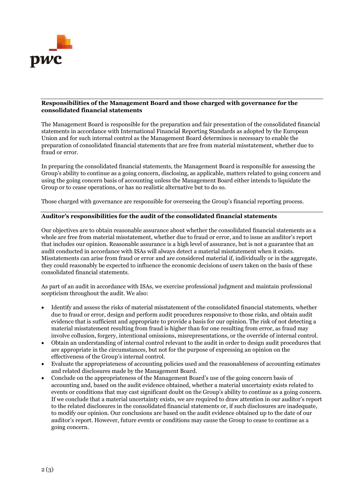

#### **Responsibilities of the Management Board and those charged with governance for the consolidated financial statements**

The Management Board is responsible for the preparation and fair presentation of the consolidated financial statements in accordance with International Financial Reporting Standards as adopted by the European Union and for such internal control as the Management Board determines is necessary to enable the preparation of consolidated financial statements that are free from material misstatement, whether due to fraud or error.

In preparing the consolidated financial statements, the Management Board is responsible for assessing the Group's ability to continue as a going concern, disclosing, as applicable, matters related to going concern and using the going concern basis of accounting unless the Management Board either intends to liquidate the Group or to cease operations, or has no realistic alternative but to do so.

Those charged with governance are responsible for overseeing the Group's financial reporting process.

#### **Auditor's responsibilities for the audit of the consolidated financial statements**

Our objectives are to obtain reasonable assurance about whether the consolidated financial statements as a whole are free from material misstatement, whether due to fraud or error, and to issue an auditor's report that includes our opinion. Reasonable assurance is a high level of assurance, but is not a guarantee that an audit conducted in accordance with ISAs will always detect a material misstatement when it exists. Misstatements can arise from fraud or error and are considered material if, individually or in the aggregate, they could reasonably be expected to influence the economic decisions of users taken on the basis of these consolidated financial statements.

As part of an audit in accordance with ISAs, we exercise professional judgment and maintain professional scepticism throughout the audit. We also:

- Identify and assess the risks of material misstatement of the consolidated financial statements, whether due to fraud or error, design and perform audit procedures responsive to those risks, and obtain audit evidence that is sufficient and appropriate to provide a basis for our opinion. The risk of not detecting a material misstatement resulting from fraud is higher than for one resulting from error, as fraud may involve collusion, forgery, intentional omissions, misrepresentations, or the override of internal control.
- Obtain an understanding of internal control relevant to the audit in order to design audit procedures that are appropriate in the circumstances, but not for the purpose of expressing an opinion on the effectiveness of the Group's internal control.
- Evaluate the appropriateness of accounting policies used and the reasonableness of accounting estimates and related disclosures made by the Management Board.
- Conclude on the appropriateness of the Management Board's use of the going concern basis of accounting and, based on the audit evidence obtained, whether a material uncertainty exists related to events or conditions that may cast significant doubt on the Group's ability to continue as a going concern. If we conclude that a material uncertainty exists, we are required to draw attention in our auditor's report to the related disclosures in the consolidated financial statements or, if such disclosures are inadequate, to modify our opinion. Our conclusions are based on the audit evidence obtained up to the date of our auditor's report. However, future events or conditions may cause the Group to cease to continue as a going concern.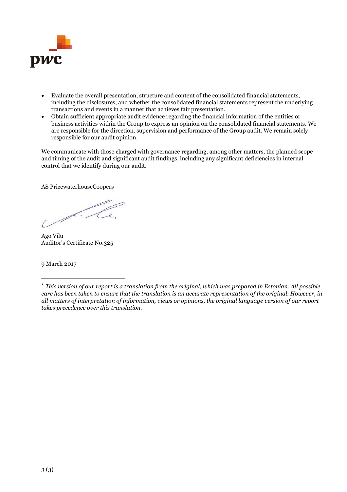

- Evaluate the overall presentation, structure and content of the consolidated financial statements, including the disclosures, and whether the consolidated financial statements represent the underlying transactions and events in a manner that achieves fair presentation.
- Obtain sufficient appropriate audit evidence regarding the financial information of the entities or business activities within the Group to express an opinion on the consolidated financial statements. We are responsible for the direction, supervision and performance of the Group audit. We remain solely responsible for our audit opinion.

We communicate with those charged with governance regarding, among other matters, the planned scope and timing of the audit and significant audit findings, including any significant deficiencies in internal control that we identify during our audit.

AS PricewaterhouseCoopers

L. Le

Ago Vilu Auditor's Certificate No.325

9 March 2017

*This version of our report is a translation from the original, which was prepared in Estonian. All possible care has been taken to ensure that the translation is an accurate representation of the original. However, in all matters of interpretation of information, views or opinions, the original language version of our report takes precedence over this translation.*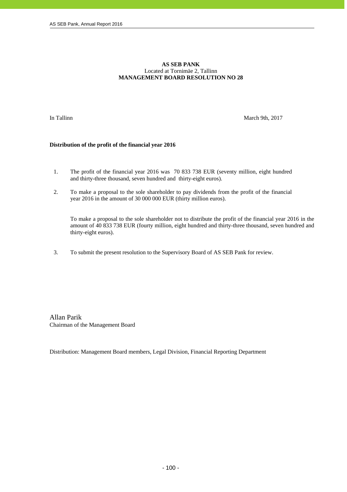#### **AS SEB PANK**  Located at Tornimäe 2, Tallinn **MANAGEMENT BOARD RESOLUTION NO 28**

j

In Tallinn March 9th, 2017

#### **Distribution of the profit of the financial year 2016**

- 1. The profit of the financial year 2016 was 70 833 738 EUR (seventy million, eight hundred and thirty-three thousand, seven hundred and thirty-eight euros).
- 2. To make a proposal to the sole shareholder to pay dividends from the profit of the financial year 2016 in the amount of 30 000 000 EUR (thirty million euros).

To make a proposal to the sole shareholder not to distribute the profit of the financial year 2016 in the amount of 40 833 738 EUR (fourty million, eight hundred and thirty-three thousand, seven hundred and thirty-eight euros).

3. To submit the present resolution to the Supervisory Board of AS SEB Pank for review.

Allan Parik Chairman of the Management Board

Distribution: Management Board members, Legal Division, Financial Reporting Department